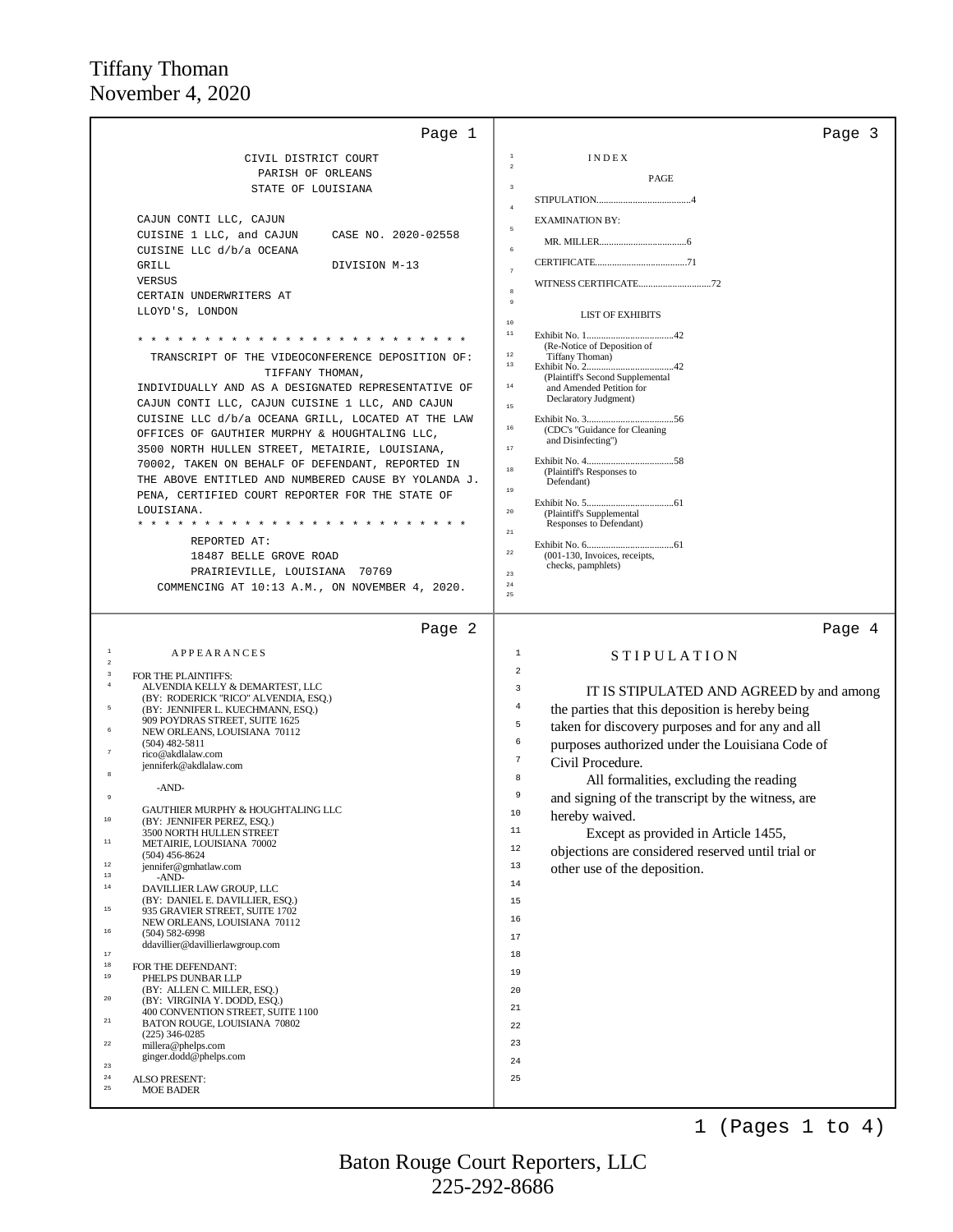|                                                                                                        | Page 3                                                                 |
|--------------------------------------------------------------------------------------------------------|------------------------------------------------------------------------|
| CIVIL DISTRICT COURT                                                                                   | $\,$ 1<br>INDEX<br>$\overline{a}$                                      |
| PARISH OF ORLEANS                                                                                      | PAGE                                                                   |
| STATE OF LOUISIANA                                                                                     | $\overline{\mathbf{3}}$                                                |
|                                                                                                        | $\frac{4}{3}$                                                          |
| CAJUN CONTI LLC, CAJUN<br>CUISINE 1 LLC, and CAJUN<br>CASE NO. 2020-02558                              | <b>EXAMINATION BY:</b><br>$\mathbf{r}_i$                               |
| CUISINE LLC d/b/a OCEANA                                                                               | 6                                                                      |
| GRILL<br>DIVISION M-13                                                                                 | $\overline{7}$                                                         |
| VERSUS                                                                                                 | WITNESS CERTIFICATE72                                                  |
| CERTAIN UNDERWRITERS AT                                                                                | $\overline{9}$                                                         |
| LLOYD'S, LONDON                                                                                        | <b>LIST OF EXHIBITS</b>                                                |
|                                                                                                        | $10$<br>11                                                             |
|                                                                                                        | (Re-Notice of Deposition of<br>$1\,2$                                  |
| TRANSCRIPT OF THE VIDEOCONFERENCE DEPOSITION OF:                                                       | Tiffany Thoman)<br>$13$                                                |
| TIFFANY THOMAN,<br>INDIVIDUALLY AND AS A DESIGNATED REPRESENTATIVE OF                                  | (Plaintiff's Second Supplemental<br>$1\,4$<br>and Amended Petition for |
| CAJUN CONTI LLC, CAJUN CUISINE 1 LLC, AND CAJUN                                                        | Declaratory Judgment)<br>$1\,5$                                        |
| CUISINE LLC d/b/a OCEANA GRILL, LOCATED AT THE LAW                                                     |                                                                        |
| OFFICES OF GAUTHIER MURPHY & HOUGHTALING LLC,                                                          | $1\,6$<br>(CDC's "Guidance for Cleaning<br>and Disinfecting")          |
| 3500 NORTH HULLEN STREET, METAIRIE, LOUISIANA,                                                         | $1\,7$                                                                 |
| 70002, TAKEN ON BEHALF OF DEFENDANT, REPORTED IN                                                       | $1\,8$<br>(Plaintiff's Responses to                                    |
| THE ABOVE ENTITLED AND NUMBERED CAUSE BY YOLANDA J.<br>PENA, CERTIFIED COURT REPORTER FOR THE STATE OF | Defendant)<br>$19$                                                     |
| LOUISIANA.                                                                                             | 20                                                                     |
| * * * * * * * * * * *                                                                                  | (Plaintiff's Supplemental<br>Responses to Defendant)                   |
| REPORTED AT:                                                                                           | $2\sqrt{1}$                                                            |
| 18487 BELLE GROVE ROAD                                                                                 | $2\sqrt{2}$<br>(001-130, Invoices, receipts,                           |
| PRAIRIEVILLE, LOUISIANA 70769                                                                          | checks, pamphlets)<br>$2\sqrt{3}$                                      |
| COMMENCING AT 10:13 A.M., ON NOVEMBER 4, 2020.                                                         | $2\sqrt{4}$<br>25                                                      |
|                                                                                                        |                                                                        |
| Page 2                                                                                                 | Page 4                                                                 |
| $\mathbf 1$<br><b>APPEARANCES</b><br>$\sqrt{2}$                                                        | 1<br><b>STIPULATION</b>                                                |
| $\,$ 3                                                                                                 |                                                                        |
| FOR THE PLAINTIFFS:                                                                                    | 2                                                                      |
| $\overline{4}$<br>ALVENDIA KELLY & DEMARTEST, LLC<br>(BY: RODERICK "RICO" ALVENDIA, ESQ.)              | 3<br>IT IS STIPULATED AND AGREED by and among                          |
| 5<br>(BY: JENNIFER L. KUECHMANN, ESQ.)                                                                 | $\overline{4}$<br>the parties that this deposition is hereby being     |
| 909 POYDRAS STREET, SUITE 1625<br>$\epsilon$<br>NEW ORLEANS, LOUISIANA 70112                           | 5<br>taken for discovery purposes and for any and all                  |
| $(504)$ 482-5811<br>$\boldsymbol{7}$                                                                   | 6<br>purposes authorized under the Louisiana Code of                   |
| rico@akdlalaw.com<br>jenniferk@akdlalaw.com                                                            | $\overline{7}$<br>Civil Procedure.                                     |
| -AND-                                                                                                  | 8<br>All formalities, excluding the reading                            |
|                                                                                                        | 9<br>and signing of the transcript by the witness, are                 |
| GAUTHIER MURPHY & HOUGHTALING LLC<br>$10\,$<br>(BY: JENNIFER PEREZ, ESQ.)                              | 10<br>hereby waived.                                                   |
| 3500 NORTH HULLEN STREET<br>$11\,$                                                                     | $11\,$<br>Except as provided in Article 1455,                          |
| METAIRIE, LOUISIANA 70002<br>$(504)$ 456-8624                                                          | 12<br>objections are considered reserved until trial or                |
| $1\,2$<br>jennifer@gmhatlaw.com<br>$1\,3$                                                              | 13<br>other use of the deposition.                                     |
| -AND-<br>$14\,$<br>DAVILLIER LAW GROUP, LLC                                                            | $1\,4$                                                                 |
| (BY: DANIEL E. DAVILLIER, ESQ.)<br>$15\,$                                                              | 15                                                                     |
| 935 GRAVIER STREET, SUITE 1702<br>NEW ORLEANS, LOUISIANA 70112                                         | 16                                                                     |
| $16\,$<br>$(504) 582 - 6998$<br>ddavillier@davillierlawgroup.com                                       | 17                                                                     |
| $1\,7$                                                                                                 | 18                                                                     |
| $1\,8$<br>FOR THE DEFENDANT:<br>$19\,$<br>PHELPS DUNBAR LLP                                            | 19                                                                     |
| (BY: ALLEN C. MILLER, ESQ.)                                                                            | 20                                                                     |
| ${\bf 20}$<br>(BY: VIRGINIA Y. DODD, ESQ.)<br>400 CONVENTION STREET, SUITE 1100                        | 21                                                                     |
| $2\sqrt{1}$<br>BATON ROUGE, LOUISIANA 70802                                                            | 22                                                                     |
| $(225)$ 346-0285<br>$\bf{^{22}}$<br>millera@phelps.com                                                 | 23                                                                     |
| ginger.dodd@phelps.com<br>$2\sqrt{3}$                                                                  | 24                                                                     |
| $\bf 24$<br><b>ALSO PRESENT:</b><br>$2\,$<br><b>MOE BADER</b>                                          | 25                                                                     |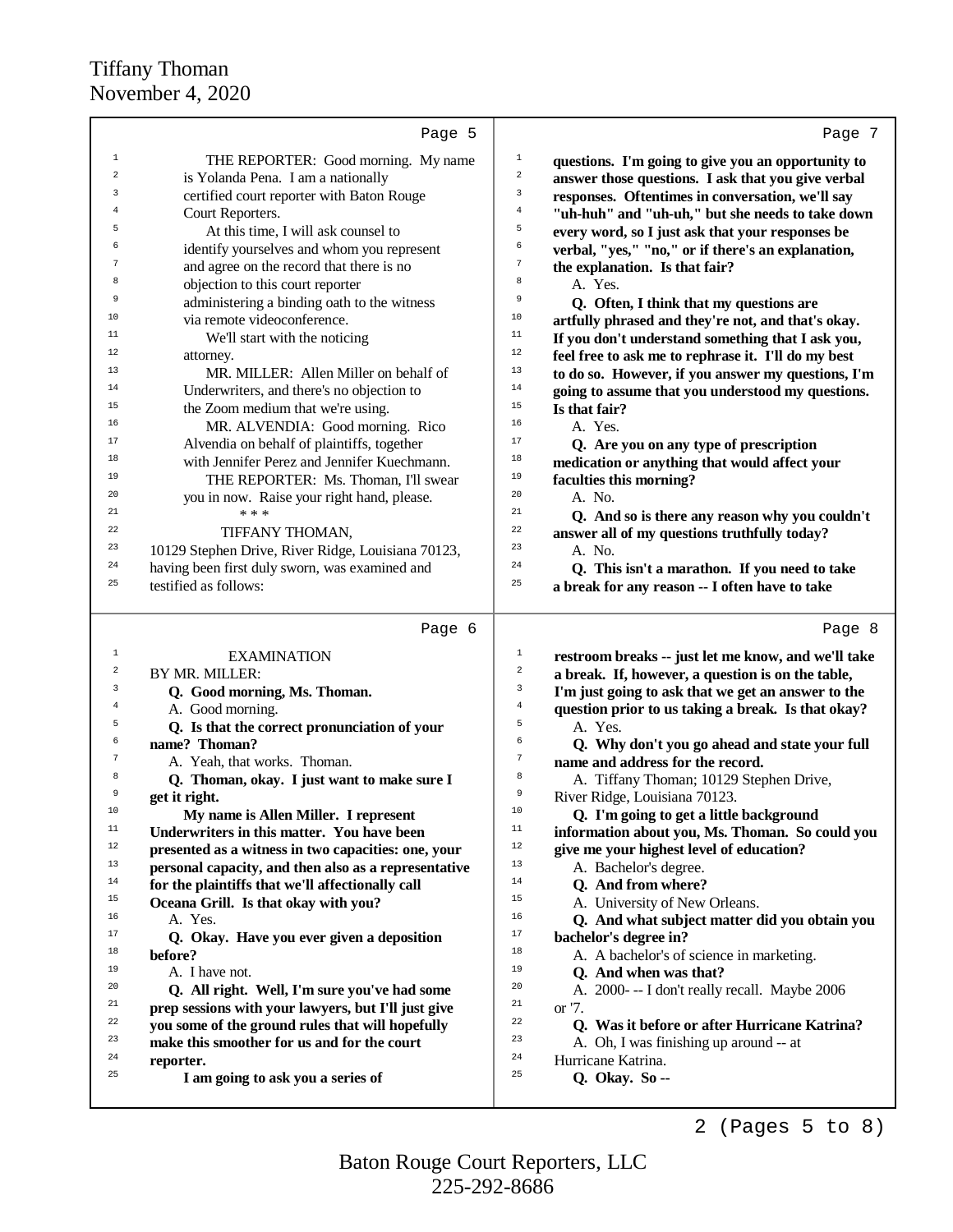|                         | Page 5                                               | Page 7                                                                        |
|-------------------------|------------------------------------------------------|-------------------------------------------------------------------------------|
| $\mathbf{1}$            | THE REPORTER: Good morning. My name                  | $\mathbf 1$<br>questions. I'm going to give you an opportunity to             |
| $\overline{\mathbf{c}}$ | is Yolanda Pena. I am a nationally                   | $\sqrt{2}$<br>answer those questions. I ask that you give verbal              |
| 3                       | certified court reporter with Baton Rouge            | 3<br>responses. Oftentimes in conversation, we'll say                         |
| $\overline{4}$          | Court Reporters.                                     | $\overline{4}$<br>"uh-huh" and "uh-uh," but she needs to take down            |
| 5                       | At this time, I will ask counsel to                  | 5<br>every word, so I just ask that your responses be                         |
| 6                       | identify yourselves and whom you represent           | 6<br>verbal, "yes," "no," or if there's an explanation,                       |
| 7                       | and agree on the record that there is no             | $\tau$<br>the explanation. Is that fair?                                      |
| 8                       | objection to this court reporter                     | 8<br>A. Yes.                                                                  |
| 9                       | administering a binding oath to the witness          | 9<br>Q. Often, I think that my questions are                                  |
| 10                      | via remote videoconference.                          | 10<br>artfully phrased and they're not, and that's okay.                      |
| 11                      | We'll start with the noticing                        | 11<br>If you don't understand something that I ask you,                       |
| 12                      | attorney.                                            | 12<br>feel free to ask me to rephrase it. I'll do my best                     |
| 13                      | MR. MILLER: Allen Miller on behalf of                | 13<br>to do so. However, if you answer my questions, I'm                      |
| 14                      | Underwriters, and there's no objection to            | $14\,$<br>going to assume that you understood my questions.                   |
| 15                      | the Zoom medium that we're using.                    | 15<br>Is that fair?                                                           |
| 16                      | MR. ALVENDIA: Good morning. Rico                     | 16<br>A. Yes.                                                                 |
| 17                      | Alvendia on behalf of plaintiffs, together           | 17<br>Q. Are you on any type of prescription                                  |
| 18                      | with Jennifer Perez and Jennifer Kuechmann.          | 18<br>medication or anything that would affect your                           |
| 19                      | THE REPORTER: Ms. Thoman, I'll swear                 | 19<br>faculties this morning?                                                 |
| 20                      | you in now. Raise your right hand, please.           | 20<br>A. No.                                                                  |
| 21                      | * * *                                                | 21<br>Q. And so is there any reason why you couldn't                          |
| 22                      | TIFFANY THOMAN,                                      | 22<br>answer all of my questions truthfully today?                            |
| 23<br>24                | 10129 Stephen Drive, River Ridge, Louisiana 70123,   | 23<br>A. No.<br>24                                                            |
| 25                      | having been first duly sworn, was examined and       | Q. This isn't a marathon. If you need to take<br>25                           |
|                         | testified as follows:                                | a break for any reason -- I often have to take                                |
|                         | Page 6                                               | Page 8                                                                        |
| $\mathbf{1}$            | <b>EXAMINATION</b>                                   | $\mathbf{1}$<br>restroom breaks -- just let me know, and we'll take           |
| $\overline{\mathbf{c}}$ | BY MR. MILLER:                                       | $\sqrt{2}$<br>a break. If, however, a question is on the table,               |
| 3                       | Q. Good morning, Ms. Thoman.                         | 3<br>I'm just going to ask that we get an answer to the                       |
| 4                       | A. Good morning.                                     | $\,4\,$<br>question prior to us taking a break. Is that okay?                 |
| 5                       | Q. Is that the correct pronunciation of your         | 5<br>A. Yes.                                                                  |
| 6                       | name? Thoman?                                        | 6<br>Q. Why don't you go ahead and state your full                            |
| 7                       | A. Yeah, that works. Thoman.                         | $\boldsymbol{7}$<br>name and address for the record.                          |
| 8                       | Q. Thoman, okay. I just want to make sure I          |                                                                               |
| 9                       |                                                      | 8                                                                             |
|                         | get it right.                                        | A. Tiffany Thoman; 10129 Stephen Drive,<br>9<br>River Ridge, Louisiana 70123. |
| 10                      | My name is Allen Miller. I represent                 | 10<br>Q. I'm going to get a little background                                 |
| 11                      | Underwriters in this matter. You have been           | 11<br>information about you, Ms. Thoman. So could you                         |
| 12                      | presented as a witness in two capacities: one, your  | 12<br>give me your highest level of education?                                |
| 13                      | personal capacity, and then also as a representative | 13<br>A. Bachelor's degree.                                                   |
| 14                      | for the plaintiffs that we'll affectionally call     | 14<br>Q. And from where?                                                      |
| 15                      | Oceana Grill. Is that okay with you?                 | 15<br>A. University of New Orleans.                                           |
| 16                      | A. Yes.                                              | 16<br>Q. And what subject matter did you obtain you                           |
| 17                      | Q. Okay. Have you ever given a deposition            | $17\,$<br>bachelor's degree in?                                               |
| 18                      | before?                                              | 18<br>A. A bachelor's of science in marketing.                                |
| 19                      | A. I have not.                                       | 19<br>Q. And when was that?                                                   |
| 20                      | Q. All right. Well, I'm sure you've had some         | 20<br>A. 2000--- I don't really recall. Maybe 2006                            |
| 21                      | prep sessions with your lawyers, but I'll just give  | 21<br>or '7.                                                                  |
| 22                      | you some of the ground rules that will hopefully     | 22<br>Q. Was it before or after Hurricane Katrina?                            |
| 23<br>24                | make this smoother for us and for the court          | 23<br>A. Oh, I was finishing up around -- at<br>24                            |
| 25                      | reporter.                                            | Hurricane Katrina.<br>25                                                      |
|                         | I am going to ask you a series of                    | Q. Okay. So --                                                                |

2 (Pages 5 to 8)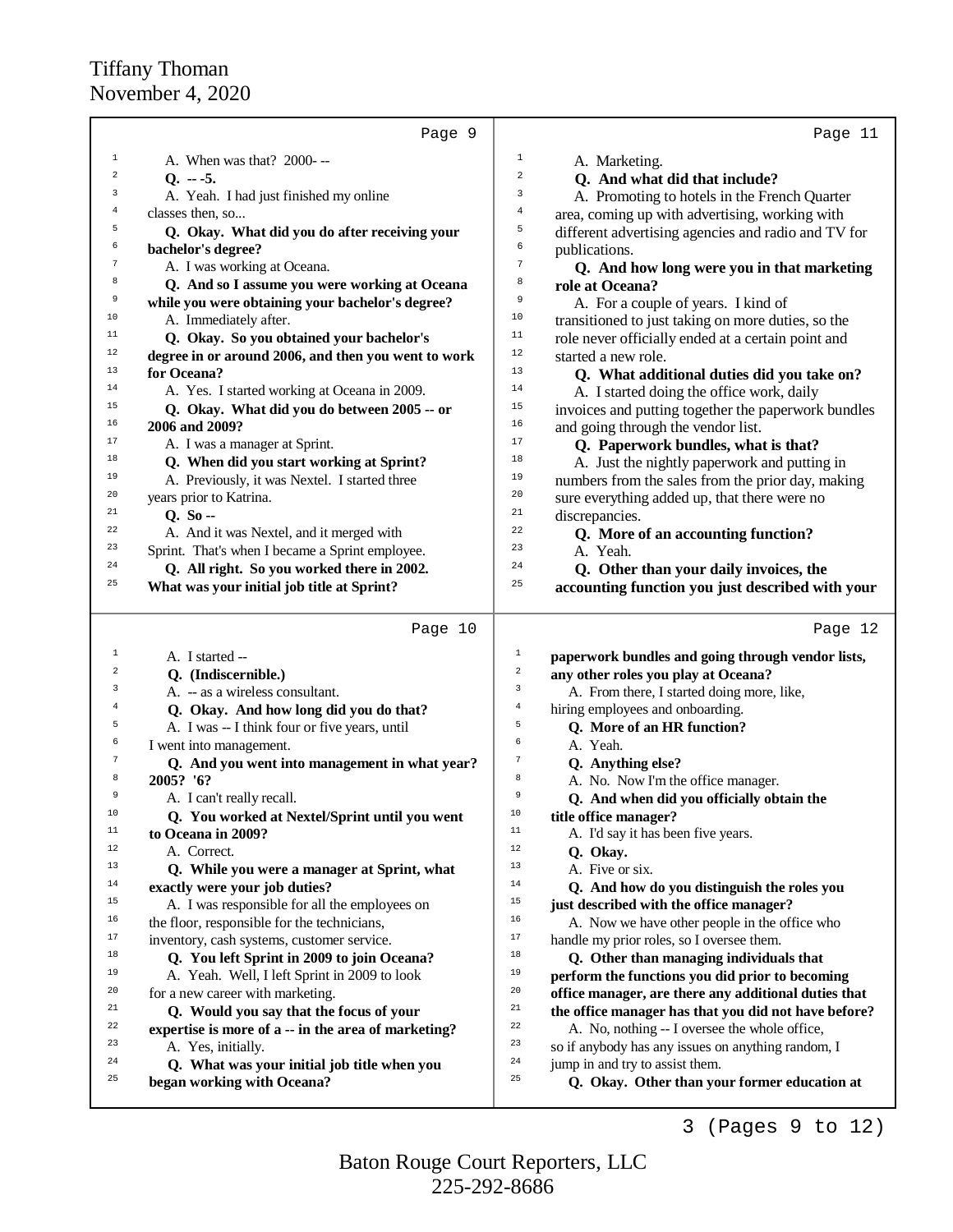|            | Page 9                                                                                     |                | Page 11                                                                                    |
|------------|--------------------------------------------------------------------------------------------|----------------|--------------------------------------------------------------------------------------------|
| 1          | A. When was that? 2000--                                                                   | $\mathbf{1}$   | A. Marketing.                                                                              |
| 2          | $Q. -5.$                                                                                   | 2              | Q. And what did that include?                                                              |
| 3          | A. Yeah. I had just finished my online                                                     | 3              | A. Promoting to hotels in the French Quarter                                               |
| 4          | classes then, so                                                                           | $\bf{4}$       | area, coming up with advertising, working with                                             |
| 5          | Q. Okay. What did you do after receiving your                                              | 5              | different advertising agencies and radio and TV for                                        |
| б          | bachelor's degree?                                                                         | 6              | publications.                                                                              |
| $\sqrt{7}$ | A. I was working at Oceana.                                                                | $\overline{7}$ | Q. And how long were you in that marketing                                                 |
| 8          | Q. And so I assume you were working at Oceana                                              | 8              | role at Oceana?                                                                            |
| 9          | while you were obtaining your bachelor's degree?                                           | 9              | A. For a couple of years. I kind of                                                        |
| 10         | A. Immediately after.                                                                      | 10             | transitioned to just taking on more duties, so the                                         |
| 11         | Q. Okay. So you obtained your bachelor's                                                   | 11             | role never officially ended at a certain point and                                         |
| 12         | degree in or around 2006, and then you went to work                                        | 12             | started a new role.                                                                        |
| 13         | for Oceana?                                                                                | 13             | Q. What additional duties did you take on?                                                 |
| 14         | A. Yes. I started working at Oceana in 2009.                                               | 14             | A. I started doing the office work, daily                                                  |
| 15         | Q. Okay. What did you do between 2005 -- or                                                | 15             | invoices and putting together the paperwork bundles                                        |
| 16         | 2006 and 2009?                                                                             | 16             | and going through the vendor list.                                                         |
| 17         | A. I was a manager at Sprint.                                                              | 17             | Q. Paperwork bundles, what is that?                                                        |
| 18         | Q. When did you start working at Sprint?                                                   | 18             | A. Just the nightly paperwork and putting in                                               |
| 19         | A. Previously, it was Nextel. I started three                                              | 19             | numbers from the sales from the prior day, making                                          |
| 20         | years prior to Katrina.                                                                    | 20             | sure everything added up, that there were no                                               |
| 21         | $Q. So -$                                                                                  | 21             | discrepancies.                                                                             |
| 22         | A. And it was Nextel, and it merged with                                                   | 22             | Q. More of an accounting function?                                                         |
| 23         | Sprint. That's when I became a Sprint employee.                                            | 23             | A. Yeah.                                                                                   |
| 24         | Q. All right. So you worked there in 2002.                                                 | 24             | Q. Other than your daily invoices, the                                                     |
| 25         | What was your initial job title at Sprint?                                                 | 25             | accounting function you just described with your                                           |
|            |                                                                                            |                |                                                                                            |
|            | Page 10                                                                                    |                | Page 12                                                                                    |
| 1          | A. I started --                                                                            | $\mathbf 1$    | paperwork bundles and going through vendor lists,                                          |
| $\sqrt{2}$ | Q. (Indiscernible.)                                                                        | $\,2$          | any other roles you play at Oceana?                                                        |
| 3          | A. - as a wireless consultant.                                                             | 3              | A. From there, I started doing more, like,                                                 |
| 4          | Q. Okay. And how long did you do that?                                                     | $\,4$          | hiring employees and onboarding.                                                           |
| 5          | A. I was -- I think four or five years, until                                              | 5              | Q. More of an HR function?                                                                 |
| б          | I went into management.                                                                    | 6              | A. Yeah.                                                                                   |
| 7          | Q. And you went into management in what year?                                              | $\sqrt{7}$     | Q. Anything else?                                                                          |
| 8          | 2005? '6?                                                                                  | 8              | A. No. Now I'm the office manager.                                                         |
| 9<br>10    | A. I can't really recall.                                                                  | 9<br>10        | Q. And when did you officially obtain the                                                  |
| 11         | Q. You worked at Nextel/Sprint until you went                                              | $11$           | title office manager?                                                                      |
| 12         | to Oceana in 2009?                                                                         | 12             | A. I'd say it has been five years.                                                         |
| 13         | A. Correct.                                                                                | 13             | Q. Okay.                                                                                   |
| 14         | Q. While you were a manager at Sprint, what                                                | 14             | A. Five or six.                                                                            |
| 15         | exactly were your job duties?                                                              | 15             | Q. And how do you distinguish the roles you                                                |
| 16         | A. I was responsible for all the employees on                                              | 16             | just described with the office manager?                                                    |
| 17         | the floor, responsible for the technicians,                                                | 17             | A. Now we have other people in the office who                                              |
| 18         | inventory, cash systems, customer service.                                                 | 18             | handle my prior roles, so I oversee them.                                                  |
| 19         | Q. You left Sprint in 2009 to join Oceana?<br>A. Yeah. Well, I left Sprint in 2009 to look | 19             | Q. Other than managing individuals that<br>perform the functions you did prior to becoming |
| 20         | for a new career with marketing.                                                           | 20             | office manager, are there any additional duties that                                       |
| 21         | Q. Would you say that the focus of your                                                    | 21             | the office manager has that you did not have before?                                       |
| 22         | expertise is more of a -- in the area of marketing?                                        | 22             | A. No, nothing -- I oversee the whole office,                                              |
| 23         | A. Yes, initially.                                                                         | 23             | so if anybody has any issues on anything random, I                                         |
| 24         | Q. What was your initial job title when you                                                | 24             | jump in and try to assist them.                                                            |
| 25         | began working with Oceana?                                                                 | 25             | Q. Okay. Other than your former education at                                               |
|            |                                                                                            |                |                                                                                            |

3 (Pages 9 to 12)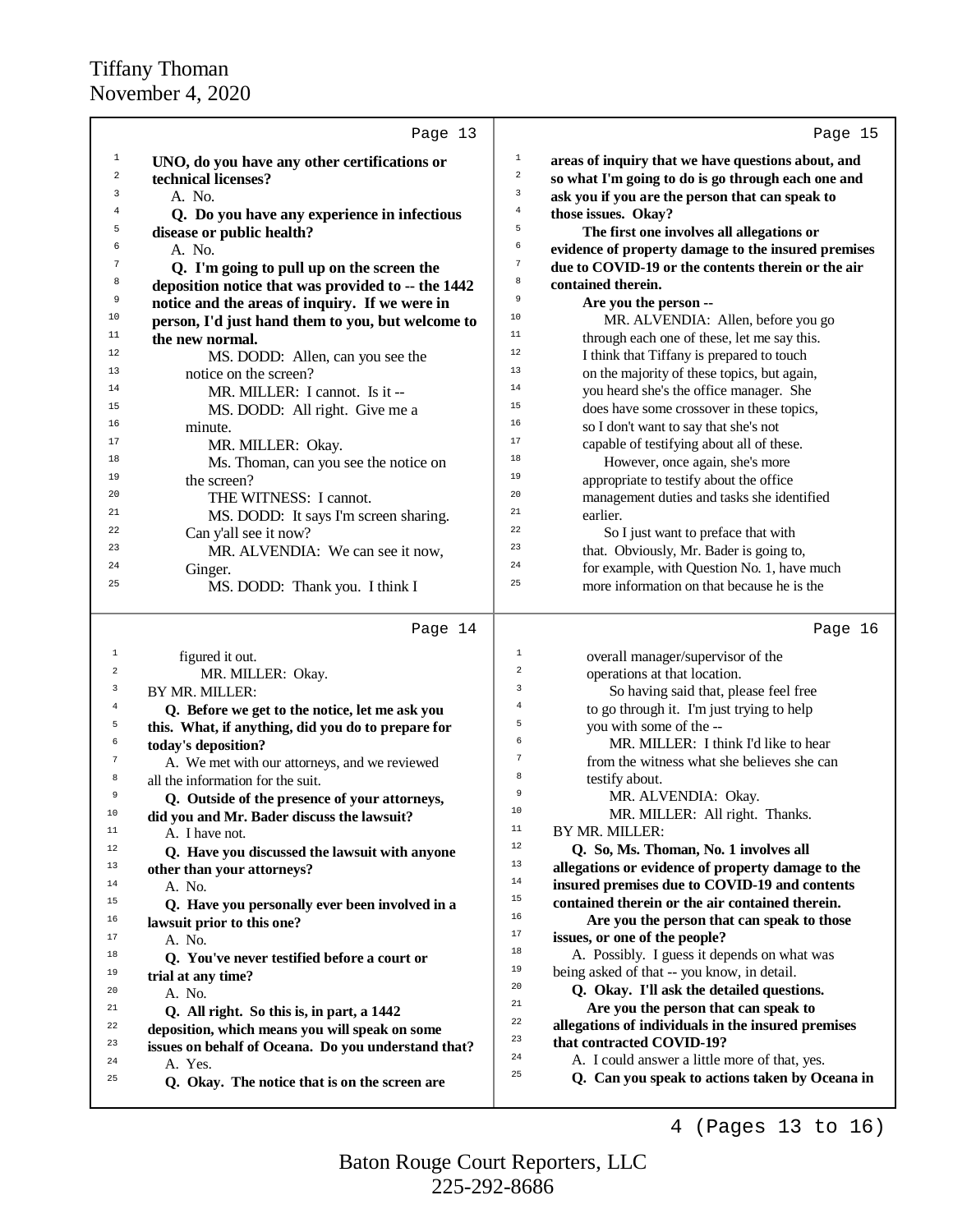|                         | Page 13                                                  |                                                                                                       |  |
|-------------------------|----------------------------------------------------------|-------------------------------------------------------------------------------------------------------|--|
|                         |                                                          | Page 15                                                                                               |  |
| 1                       | UNO, do you have any other certifications or             | $\mathbf 1$<br>areas of inquiry that we have questions about, and                                     |  |
| 2                       | technical licenses?                                      | $\mathbf 2$<br>so what I'm going to do is go through each one and<br>3                                |  |
| 3                       | A. No.                                                   | ask you if you are the person that can speak to<br>$\,4$                                              |  |
| $\bf{4}$                | Q. Do you have any experience in infectious              | those issues. Okay?<br>5                                                                              |  |
| 5                       | disease or public health?                                | The first one involves all allegations or                                                             |  |
| 6                       | A. No.                                                   | 6<br>evidence of property damage to the insured premises                                              |  |
| 7                       | Q. I'm going to pull up on the screen the                | $\sqrt{ }$<br>due to COVID-19 or the contents therein or the air                                      |  |
| 8                       | deposition notice that was provided to -- the 1442       | 8<br>contained therein.                                                                               |  |
| 9                       | notice and the areas of inquiry. If we were in           | 9<br>Are you the person --                                                                            |  |
| 10                      | person, I'd just hand them to you, but welcome to        | 10<br>MR. ALVENDIA: Allen, before you go                                                              |  |
| 11                      | the new normal.                                          | 11<br>through each one of these, let me say this.                                                     |  |
| 12                      | MS. DODD: Allen, can you see the                         | 12<br>I think that Tiffany is prepared to touch                                                       |  |
| 13                      | notice on the screen?                                    | 13<br>on the majority of these topics, but again,                                                     |  |
| 14                      | MR. MILLER: I cannot. Is it --                           | 14<br>you heard she's the office manager. She                                                         |  |
| 15                      | MS. DODD: All right. Give me a                           | 15<br>does have some crossover in these topics,                                                       |  |
| 16                      | minute.                                                  | 16<br>so I don't want to say that she's not                                                           |  |
| 17                      | MR. MILLER: Okay.                                        | 17<br>capable of testifying about all of these.                                                       |  |
| 18                      | Ms. Thoman, can you see the notice on                    | 18<br>However, once again, she's more                                                                 |  |
| 19                      | the screen?                                              | 19<br>appropriate to testify about the office                                                         |  |
| 20                      | THE WITNESS: I cannot.                                   | 20<br>management duties and tasks she identified                                                      |  |
| 21                      | MS. DODD: It says I'm screen sharing.                    | 21<br>earlier.                                                                                        |  |
| 22                      | Can y'all see it now?                                    | 22<br>So I just want to preface that with                                                             |  |
| 23                      | MR. ALVENDIA: We can see it now,                         | 23<br>that. Obviously, Mr. Bader is going to,                                                         |  |
| 24                      | Ginger.                                                  | 24<br>for example, with Question No. 1, have much                                                     |  |
| 25                      | MS. DODD: Thank you. I think I                           | 25<br>more information on that because he is the                                                      |  |
|                         | Page 14                                                  | Page 16                                                                                               |  |
| $\mathbf 1$             | figured it out.                                          | $\mathbf{1}$<br>overall manager/supervisor of the                                                     |  |
| $\overline{\mathbf{c}}$ | MR. MILLER: Okay.                                        |                                                                                                       |  |
|                         |                                                          | $\overline{\mathbf{c}}$                                                                               |  |
| 3                       |                                                          | operations at that location.<br>3                                                                     |  |
| 4                       | BY MR. MILLER:                                           | So having said that, please feel free<br>$\overline{4}$                                               |  |
| 5                       | Q. Before we get to the notice, let me ask you           | to go through it. I'm just trying to help<br>5                                                        |  |
| 6                       | this. What, if anything, did you do to prepare for       | you with some of the --<br>6                                                                          |  |
| $\overline{7}$          | today's deposition?                                      | MR. MILLER: I think I'd like to hear<br>7                                                             |  |
| 8                       | A. We met with our attorneys, and we reviewed            | from the witness what she believes she can<br>8                                                       |  |
| 9                       | all the information for the suit.                        | testify about.<br>9                                                                                   |  |
| 10                      | Q. Outside of the presence of your attorneys,            | MR. ALVENDIA: Okay.<br>$10$                                                                           |  |
| 11                      | did you and Mr. Bader discuss the lawsuit?               | MR. MILLER: All right. Thanks.<br>$11\,$                                                              |  |
| 12                      | A. I have not.                                           | BY MR. MILLER:<br>$12\,$                                                                              |  |
| 13                      | Q. Have you discussed the lawsuit with anyone            | Q. So, Ms. Thoman, No. 1 involves all<br>13                                                           |  |
| 14                      | other than your attorneys?                               | allegations or evidence of property damage to the<br>14                                               |  |
| 15                      | A. No.                                                   | insured premises due to COVID-19 and contents<br>$15\,$                                               |  |
|                         | Q. Have you personally ever been involved in a           | contained therein or the air contained therein.<br>16                                                 |  |
| 16<br>17                | lawsuit prior to this one?                               | Are you the person that can speak to those<br>$17\,$                                                  |  |
|                         | A. No.                                                   | issues, or one of the people?<br>$18\,$                                                               |  |
| 18                      | Q. You've never testified before a court or              | A. Possibly. I guess it depends on what was<br>19                                                     |  |
| 19                      | trial at any time?                                       | being asked of that -- you know, in detail.<br>20                                                     |  |
| 20                      | A. No.                                                   | Q. Okay. I'll ask the detailed questions.<br>21                                                       |  |
| 21                      | Q. All right. So this is, in part, a 1442                | Are you the person that can speak to<br>$^{\rm 22}$                                                   |  |
| 22                      | deposition, which means you will speak on some           | allegations of individuals in the insured premises<br>23                                              |  |
| 23                      | issues on behalf of Oceana. Do you understand that?      | that contracted COVID-19?<br>24                                                                       |  |
| 24<br>25                | A. Yes.<br>Q. Okay. The notice that is on the screen are | A. I could answer a little more of that, yes.<br>25<br>Q. Can you speak to actions taken by Oceana in |  |

4 (Pages 13 to 16)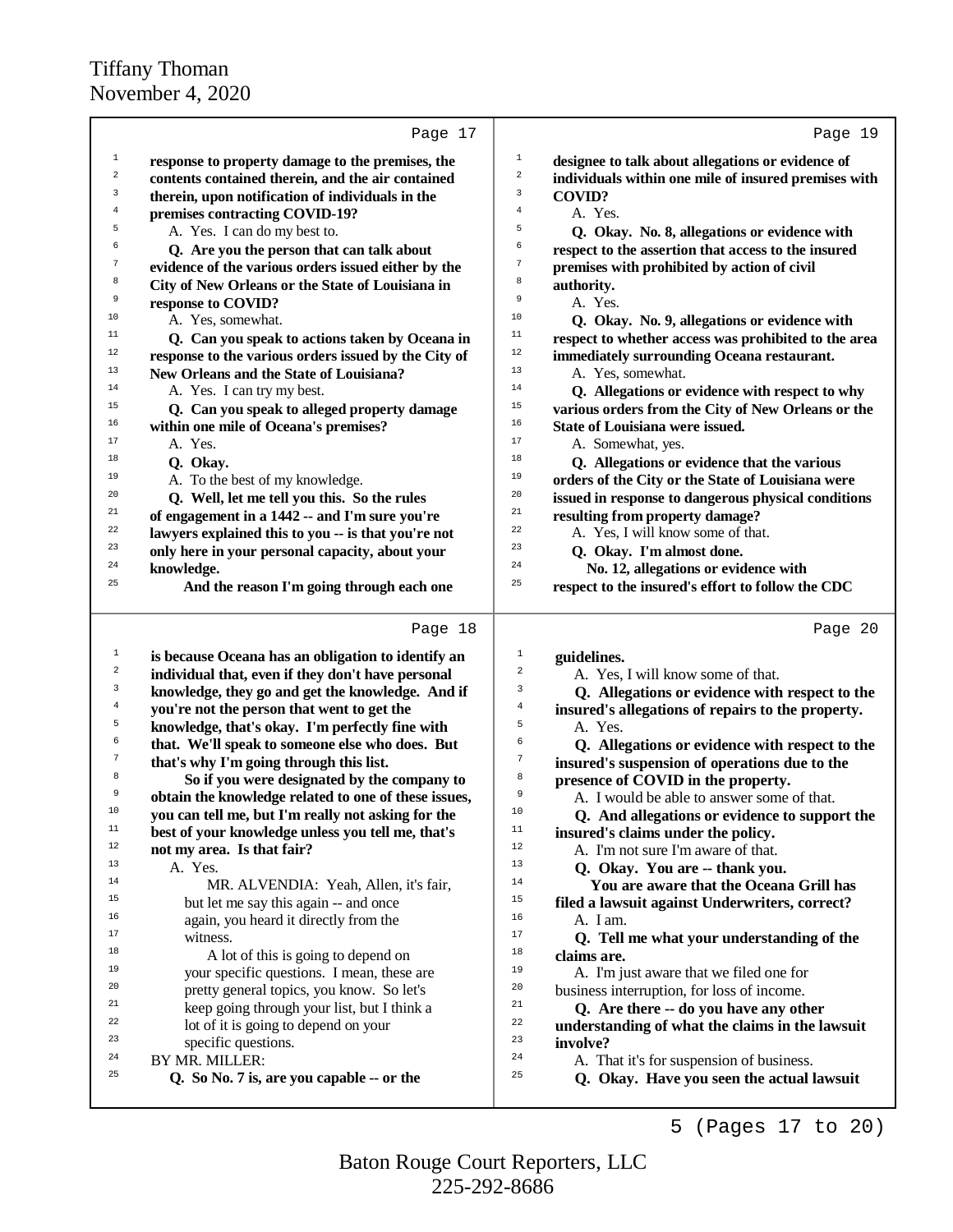|                  | Page 17                                                     | Page 19                                                                                     |
|------------------|-------------------------------------------------------------|---------------------------------------------------------------------------------------------|
| $\mathbf{1}$     | response to property damage to the premises, the            | $1\,$<br>designee to talk about allegations or evidence of                                  |
| $\overline{a}$   | contents contained therein, and the air contained           | $\sqrt{2}$<br>individuals within one mile of insured premises with                          |
| 3                | therein, upon notification of individuals in the            | $\mathsf 3$<br><b>COVID?</b>                                                                |
| $\,4$            | premises contracting COVID-19?                              | $\overline{4}$<br>A. Yes.                                                                   |
| 5                | A. Yes. I can do my best to.                                | 5<br>Q. Okay. No. 8, allegations or evidence with                                           |
| 6                | Q. Are you the person that can talk about                   | 6<br>respect to the assertion that access to the insured                                    |
| $\boldsymbol{7}$ | evidence of the various orders issued either by the         | $\tau$<br>premises with prohibited by action of civil                                       |
| 8                | City of New Orleans or the State of Louisiana in            | 8<br>authority.                                                                             |
| 9                | response to COVID?                                          | $\,9$<br>A. Yes.                                                                            |
| 10               | A. Yes, somewhat.                                           | 10<br>Q. Okay. No. 9, allegations or evidence with                                          |
| 11               | Q. Can you speak to actions taken by Oceana in              | 11<br>respect to whether access was prohibited to the area                                  |
| 12               | response to the various orders issued by the City of        | $12$<br>immediately surrounding Oceana restaurant.                                          |
| 13               | New Orleans and the State of Louisiana?                     | 13<br>A. Yes, somewhat.                                                                     |
| 14               | A. Yes. I can try my best.                                  | 14<br>Q. Allegations or evidence with respect to why                                        |
| 15               | Q. Can you speak to alleged property damage                 | 15<br>various orders from the City of New Orleans or the                                    |
| 16               | within one mile of Oceana's premises?                       | 16<br><b>State of Louisiana were issued.</b>                                                |
| 17               | A. Yes.                                                     | 17<br>A. Somewhat, yes.                                                                     |
| 18               | Q. Okay.                                                    | 18<br>Q. Allegations or evidence that the various                                           |
| 19               | A. To the best of my knowledge.                             | 19<br>orders of the City or the State of Louisiana were                                     |
| 20               | Q. Well, let me tell you this. So the rules                 | 20<br>issued in response to dangerous physical conditions                                   |
| 21               | of engagement in a 1442 -- and I'm sure you're              | 21<br>resulting from property damage?                                                       |
| 22               | lawyers explained this to you -- is that you're not         | 22<br>A. Yes, I will know some of that.                                                     |
| 23               | only here in your personal capacity, about your             | 23<br>Q. Okay. I'm almost done.                                                             |
| 24               | knowledge.                                                  | 24<br>No. 12, allegations or evidence with                                                  |
| 25               | And the reason I'm going through each one                   | 25<br>respect to the insured's effort to follow the CDC                                     |
|                  | Page 18                                                     | Page 20                                                                                     |
| $\mathbf{1}$     | is because Oceana has an obligation to identify an          | $\mathbf{1}$<br>guidelines.                                                                 |
| $\sqrt{2}$       | individual that, even if they don't have personal           | 2<br>A. Yes, I will know some of that.                                                      |
| 3                | knowledge, they go and get the knowledge. And if            | 3<br>Q. Allegations or evidence with respect to the                                         |
| 4                | you're not the person that went to get the                  | 4<br>insured's allegations of repairs to the property.                                      |
| 5                | knowledge, that's okay. I'm perfectly fine with             | 5<br>A. Yes.                                                                                |
| 6                | that. We'll speak to someone else who does. But             | 6<br>Q. Allegations or evidence with respect to the                                         |
| 7                | that's why I'm going through this list.                     | 7<br>insured's suspension of operations due to the                                          |
| 8                | So if you were designated by the company to                 | 8<br>presence of COVID in the property.                                                     |
| 9                | obtain the knowledge related to one of these issues,        | 9<br>A. I would be able to answer some of that.                                             |
| 10               | you can tell me, but I'm really not asking for the          | $10$<br>Q. And allegations or evidence to support the                                       |
| $11$             | best of your knowledge unless you tell me, that's           | 11<br>insured's claims under the policy.                                                    |
| 12               | not my area. Is that fair?                                  | 12<br>A. I'm not sure I'm aware of that.                                                    |
| 13               | A. Yes.                                                     | 13<br>Q. Okay. You are -- thank you.                                                        |
| 14               | MR. ALVENDIA: Yeah, Allen, it's fair,                       | 14<br>You are aware that the Oceana Grill has                                               |
| 15               | but let me say this again -- and once                       | 15<br>filed a lawsuit against Underwriters, correct?                                        |
| 16<br>17         | again, you heard it directly from the                       | 16<br>A. I am.<br>17                                                                        |
| 18               | witness.                                                    | Q. Tell me what your understanding of the<br>18                                             |
| 19               | A lot of this is going to depend on                         | claims are.<br>19                                                                           |
| 20               | your specific questions. I mean, these are                  | A. I'm just aware that we filed one for<br>20                                               |
| 21               | pretty general topics, you know. So let's                   | business interruption, for loss of income.<br>21                                            |
| 22               | keep going through your list, but I think a                 | Q. Are there -- do you have any other<br>22                                                 |
| 23               | lot of it is going to depend on your<br>specific questions. | understanding of what the claims in the lawsuit<br>23                                       |
|                  |                                                             |                                                                                             |
| 24               |                                                             | involve?<br>24                                                                              |
| 25               | BY MR. MILLER:<br>Q. So No. 7 is, are you capable -- or the | A. That it's for suspension of business.<br>25<br>Q. Okay. Have you seen the actual lawsuit |

5 (Pages 17 to 20)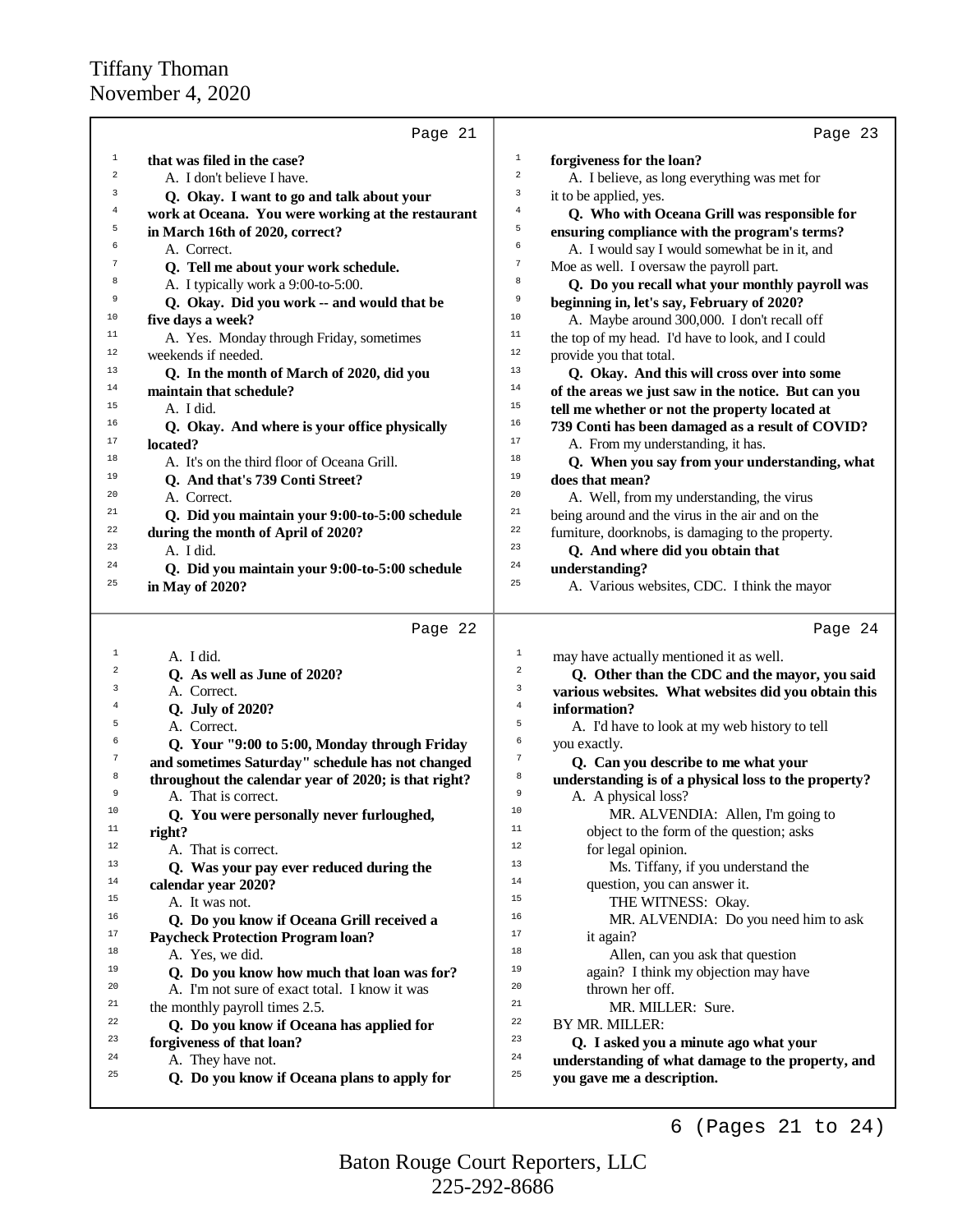|                         | Page 21                                                                     |                         | Page 23                                                                                      |
|-------------------------|-----------------------------------------------------------------------------|-------------------------|----------------------------------------------------------------------------------------------|
| 1                       | that was filed in the case?                                                 | $\mathbf{1}$            | forgiveness for the loan?                                                                    |
| $\overline{\mathbf{c}}$ | A. I don't believe I have.                                                  | $\,2$                   | A. I believe, as long everything was met for                                                 |
| 3                       | Q. Okay. I want to go and talk about your                                   | 3                       | it to be applied, yes.                                                                       |
| $\bf{4}$                | work at Oceana. You were working at the restaurant                          | 4                       | Q. Who with Oceana Grill was responsible for                                                 |
| 5                       | in March 16th of 2020, correct?                                             | 5                       | ensuring compliance with the program's terms?                                                |
| 6                       | A. Correct.                                                                 | 6                       | A. I would say I would somewhat be in it, and                                                |
| $\boldsymbol{7}$        |                                                                             | $\boldsymbol{7}$        | Moe as well. I oversaw the payroll part.                                                     |
| 8                       | Q. Tell me about your work schedule.<br>A. I typically work a 9:00-to-5:00. | 8                       |                                                                                              |
| 9                       |                                                                             | 9                       | Q. Do you recall what your monthly payroll was<br>beginning in, let's say, February of 2020? |
| 10                      | Q. Okay. Did you work -- and would that be<br>five days a week?             | 10                      |                                                                                              |
| 11                      |                                                                             | 11                      | A. Maybe around 300,000. I don't recall off                                                  |
| 12                      | A. Yes. Monday through Friday, sometimes                                    | 12                      | the top of my head. I'd have to look, and I could                                            |
| 13                      | weekends if needed.                                                         | 13                      | provide you that total.                                                                      |
|                         | Q. In the month of March of 2020, did you                                   | 14                      | Q. Okay. And this will cross over into some                                                  |
| 14                      | maintain that schedule?                                                     |                         | of the areas we just saw in the notice. But can you                                          |
| 15                      | A. I did.                                                                   | 15                      | tell me whether or not the property located at                                               |
| 16                      | Q. Okay. And where is your office physically                                | 16                      | 739 Conti has been damaged as a result of COVID?                                             |
| $17$                    | located?                                                                    | $17\,$                  | A. From my understanding, it has.                                                            |
| 18                      | A. It's on the third floor of Oceana Grill.                                 | 18                      | Q. When you say from your understanding, what                                                |
| 19                      | Q. And that's 739 Conti Street?                                             | 19                      | does that mean?                                                                              |
| 20                      | A. Correct.                                                                 | 20                      | A. Well, from my understanding, the virus                                                    |
| 21                      | Q. Did you maintain your 9:00-to-5:00 schedule                              | 21                      | being around and the virus in the air and on the                                             |
| 22                      | during the month of April of 2020?                                          | 22                      | furniture, doorknobs, is damaging to the property.                                           |
| 23                      | A. I did.                                                                   | 23                      | Q. And where did you obtain that                                                             |
| 24                      | Q. Did you maintain your 9:00-to-5:00 schedule                              | 24                      | understanding?                                                                               |
| 25                      | in May of 2020?                                                             | 25                      | A. Various websites, CDC. I think the mayor                                                  |
|                         |                                                                             |                         |                                                                                              |
|                         | Page 22                                                                     |                         | Page 24                                                                                      |
| $\mathbf{1}$            |                                                                             | $\mathbf 1$             |                                                                                              |
| $\overline{\mathbf{c}}$ | A. I did.                                                                   | $\overline{\mathbf{c}}$ | may have actually mentioned it as well.                                                      |
| 3                       | Q. As well as June of 2020?                                                 | 3                       | Q. Other than the CDC and the mayor, you said                                                |
|                         | A. Correct.                                                                 |                         | various websites. What websites did you obtain this                                          |
| 4                       | Q. July of 2020?                                                            | $\overline{4}$          | information?                                                                                 |
| 5                       | A. Correct.                                                                 | 5                       | A. I'd have to look at my web history to tell                                                |
| 6                       | Q. Your "9:00 to 5:00, Monday through Friday                                | б                       | you exactly.                                                                                 |
| $\boldsymbol{7}$        | and sometimes Saturday" schedule has not changed                            | $\boldsymbol{7}$        | Q. Can you describe to me what your                                                          |
| 8                       | throughout the calendar year of 2020; is that right?                        | 8                       | understanding is of a physical loss to the property?                                         |
| 9                       | A. That is correct.                                                         | 9                       | A. A physical loss?                                                                          |
| 10                      | Q. You were personally never furloughed,                                    | 10                      | MR. ALVENDIA: Allen, I'm going to                                                            |
| 11                      | right?                                                                      | 11                      | object to the form of the question; asks                                                     |
| 12                      | A. That is correct.                                                         | 12                      | for legal opinion.                                                                           |
| 13                      | Q. Was your pay ever reduced during the                                     | 13                      | Ms. Tiffany, if you understand the                                                           |
| 14                      | calendar year 2020?                                                         | 14                      | question, you can answer it.                                                                 |
| 15                      | A. It was not.                                                              | 15                      | THE WITNESS: Okay.                                                                           |
| 16                      | Q. Do you know if Oceana Grill received a                                   | 16                      | MR. ALVENDIA: Do you need him to ask                                                         |
| 17                      | <b>Paycheck Protection Program loan?</b>                                    | 17                      | it again?                                                                                    |
| 18                      | A. Yes, we did.                                                             | 18                      | Allen, can you ask that question                                                             |
| 19                      | Q. Do you know how much that loan was for?                                  | 19                      | again? I think my objection may have                                                         |
| 20                      | A. I'm not sure of exact total. I know it was                               | 20                      | thrown her off.                                                                              |
| 21                      | the monthly payroll times 2.5.                                              | 21                      | MR. MILLER: Sure.                                                                            |
| 22                      | Q. Do you know if Oceana has applied for                                    | 22                      | BY MR. MILLER:                                                                               |
| 23                      | forgiveness of that loan?                                                   | 23                      | Q. I asked you a minute ago what your                                                        |
| 24                      | A. They have not.                                                           | 24                      | understanding of what damage to the property, and                                            |
| 25                      |                                                                             |                         |                                                                                              |
|                         |                                                                             | 25                      |                                                                                              |
|                         | Q. Do you know if Oceana plans to apply for                                 |                         | you gave me a description.                                                                   |

225-292-8686 Baton Rouge Court Reporters, LLC 6 (Pages 21 to 24)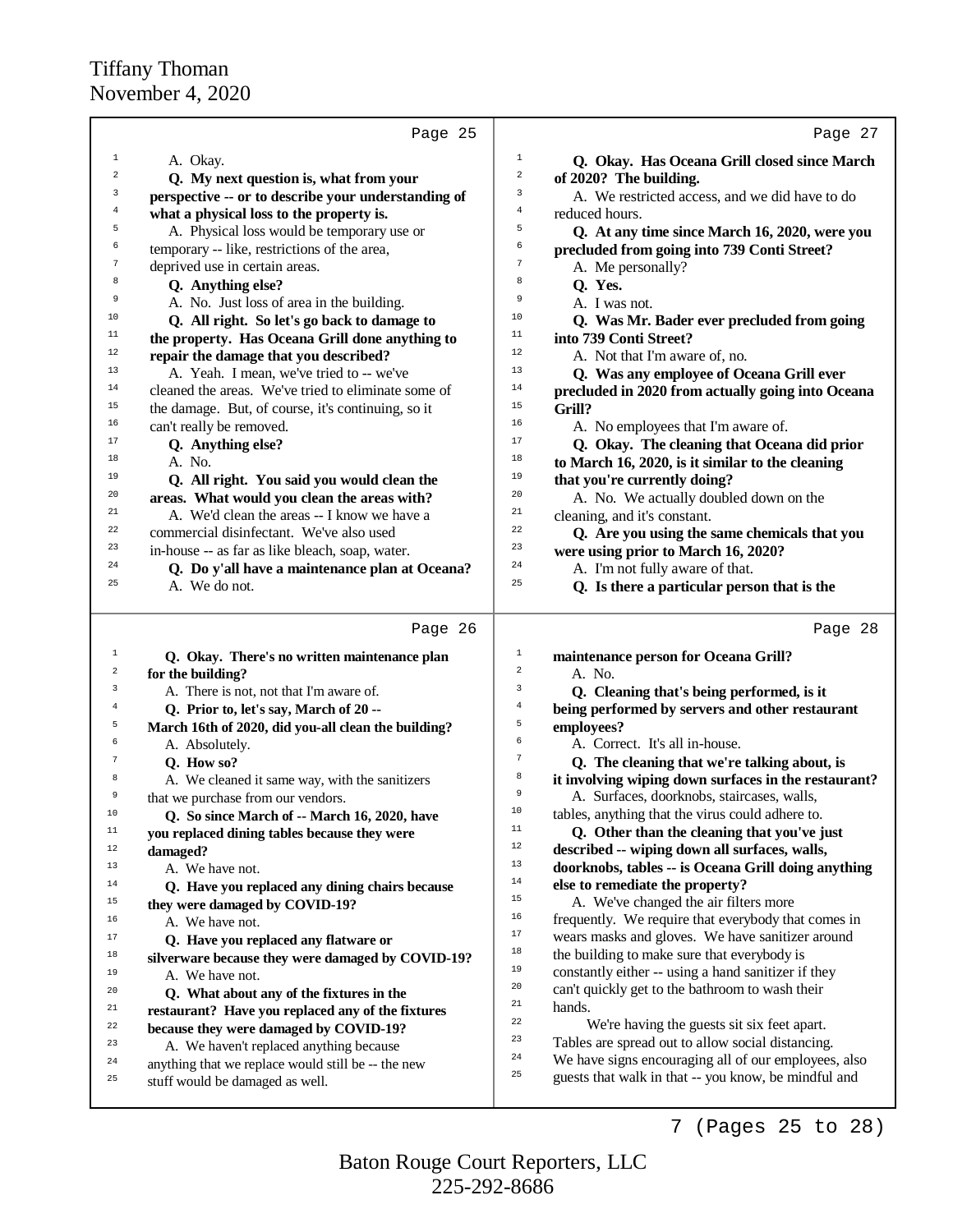|                | Page 25                                                                               | Page 27                                                                                                            |
|----------------|---------------------------------------------------------------------------------------|--------------------------------------------------------------------------------------------------------------------|
| $\mathbf{1}$   | A. Okay.                                                                              | $\mathbf{1}$<br>Q. Okay. Has Oceana Grill closed since March                                                       |
| 2              | Q. My next question is, what from your                                                | $\overline{a}$<br>of 2020? The building.                                                                           |
| 3              | perspective -- or to describe your understanding of                                   | 3<br>A. We restricted access, and we did have to do                                                                |
| 4              | what a physical loss to the property is.                                              | 4<br>reduced hours.                                                                                                |
| 5              | A. Physical loss would be temporary use or                                            | 5<br>Q. At any time since March 16, 2020, were you                                                                 |
| 6              | temporary -- like, restrictions of the area,                                          | 6<br>precluded from going into 739 Conti Street?                                                                   |
| 7              | deprived use in certain areas.                                                        | $\boldsymbol{7}$<br>A. Me personally?                                                                              |
| 8              | Q. Anything else?                                                                     | 8<br>Q. Yes.                                                                                                       |
| 9              | A. No. Just loss of area in the building.                                             | 9<br>A. I was not.                                                                                                 |
| 10             | Q. All right. So let's go back to damage to                                           | 10<br>Q. Was Mr. Bader ever precluded from going                                                                   |
| 11             | the property. Has Oceana Grill done anything to                                       | 11<br>into 739 Conti Street?                                                                                       |
| 12             | repair the damage that you described?                                                 | 12<br>A. Not that I'm aware of, no.                                                                                |
| 13             | A. Yeah. I mean, we've tried to -- we've                                              | 13<br>Q. Was any employee of Oceana Grill ever                                                                     |
| 14             | cleaned the areas. We've tried to eliminate some of                                   | 14<br>precluded in 2020 from actually going into Oceana                                                            |
| 15             | the damage. But, of course, it's continuing, so it                                    | 15<br>Grill?                                                                                                       |
| 16             | can't really be removed.                                                              | 16<br>A. No employees that I'm aware of.                                                                           |
| 17             | Q. Anything else?                                                                     | 17<br>Q. Okay. The cleaning that Oceana did prior                                                                  |
| 18             | A. No.                                                                                | 18<br>to March 16, 2020, is it similar to the cleaning                                                             |
| 19             | Q. All right. You said you would clean the                                            | 19<br>that you're currently doing?                                                                                 |
| 20             | areas. What would you clean the areas with?                                           | 20<br>A. No. We actually doubled down on the                                                                       |
| 21             | A. We'd clean the areas -- I know we have a                                           | 21<br>cleaning, and it's constant.                                                                                 |
| 22             | commercial disinfectant. We've also used                                              | 22<br>Q. Are you using the same chemicals that you                                                                 |
| 23             | in-house -- as far as like bleach, soap, water.                                       | 23<br>were using prior to March 16, 2020?                                                                          |
| 24             | Q. Do y'all have a maintenance plan at Oceana?                                        | 24<br>A. I'm not fully aware of that.                                                                              |
| 25             | A. We do not.                                                                         | 25<br>Q. Is there a particular person that is the                                                                  |
|                |                                                                                       |                                                                                                                    |
|                |                                                                                       |                                                                                                                    |
|                | Page 26                                                                               | Page 28                                                                                                            |
| 1              | Q. Okay. There's no written maintenance plan                                          | $\mathbf 1$<br>maintenance person for Oceana Grill?                                                                |
| 2              | for the building?                                                                     | $\overline{2}$<br>A. No.                                                                                           |
| 3              | A. There is not, not that I'm aware of.                                               | 3<br>Q. Cleaning that's being performed, is it                                                                     |
| $\overline{4}$ | Q. Prior to, let's say, March of 20 --                                                | $\overline{4}$<br>being performed by servers and other restaurant                                                  |
| 5              | March 16th of 2020, did you-all clean the building?                                   | 5<br>employees?                                                                                                    |
| 6              | A. Absolutely.                                                                        | 6<br>A. Correct. It's all in-house.                                                                                |
| 7              | Q. How so?                                                                            | $\sqrt{ }$<br>Q. The cleaning that we're talking about, is                                                         |
| 8              | A. We cleaned it same way, with the sanitizers                                        | 8<br>it involving wiping down surfaces in the restaurant?                                                          |
| 9              | that we purchase from our vendors.                                                    | 9<br>A. Surfaces, doorknobs, staircases, walls,                                                                    |
| 10             | Q. So since March of -- March 16, 2020, have                                          | 10<br>tables, anything that the virus could adhere to.                                                             |
| $11\,$         | you replaced dining tables because they were                                          | $11\,$<br>Q. Other than the cleaning that you've just                                                              |
| $12$           | damaged?                                                                              | 12<br>described -- wiping down all surfaces, walls,                                                                |
| 13             | A. We have not.                                                                       | 13<br>doorknobs, tables -- is Oceana Grill doing anything                                                          |
| $14\,$         | Q. Have you replaced any dining chairs because                                        | 14<br>else to remediate the property?                                                                              |
| 15             | they were damaged by COVID-19?                                                        | 15<br>A. We've changed the air filters more                                                                        |
| 16             | A. We have not.                                                                       | 16<br>frequently. We require that everybody that comes in                                                          |
| 17             | Q. Have you replaced any flatware or                                                  | $17\,$<br>wears masks and gloves. We have sanitizer around                                                         |
| 18             | silverware because they were damaged by COVID-19?                                     | $18\,$<br>the building to make sure that everybody is                                                              |
| 19             | A. We have not.                                                                       | 19<br>constantly either -- using a hand sanitizer if they                                                          |
| 20             | Q. What about any of the fixtures in the                                              | 20<br>can't quickly get to the bathroom to wash their                                                              |
| 21             | restaurant? Have you replaced any of the fixtures                                     | 21<br>hands.                                                                                                       |
| 22             | because they were damaged by COVID-19?                                                | $^{\rm 22}$<br>We're having the guests sit six feet apart.                                                         |
| 23             | A. We haven't replaced anything because                                               | 23<br>Tables are spread out to allow social distancing.<br>24                                                      |
| 24<br>25       | anything that we replace would still be -- the new<br>stuff would be damaged as well. | We have signs encouraging all of our employees, also<br>25<br>guests that walk in that -- you know, be mindful and |

7 (Pages 25 to 28)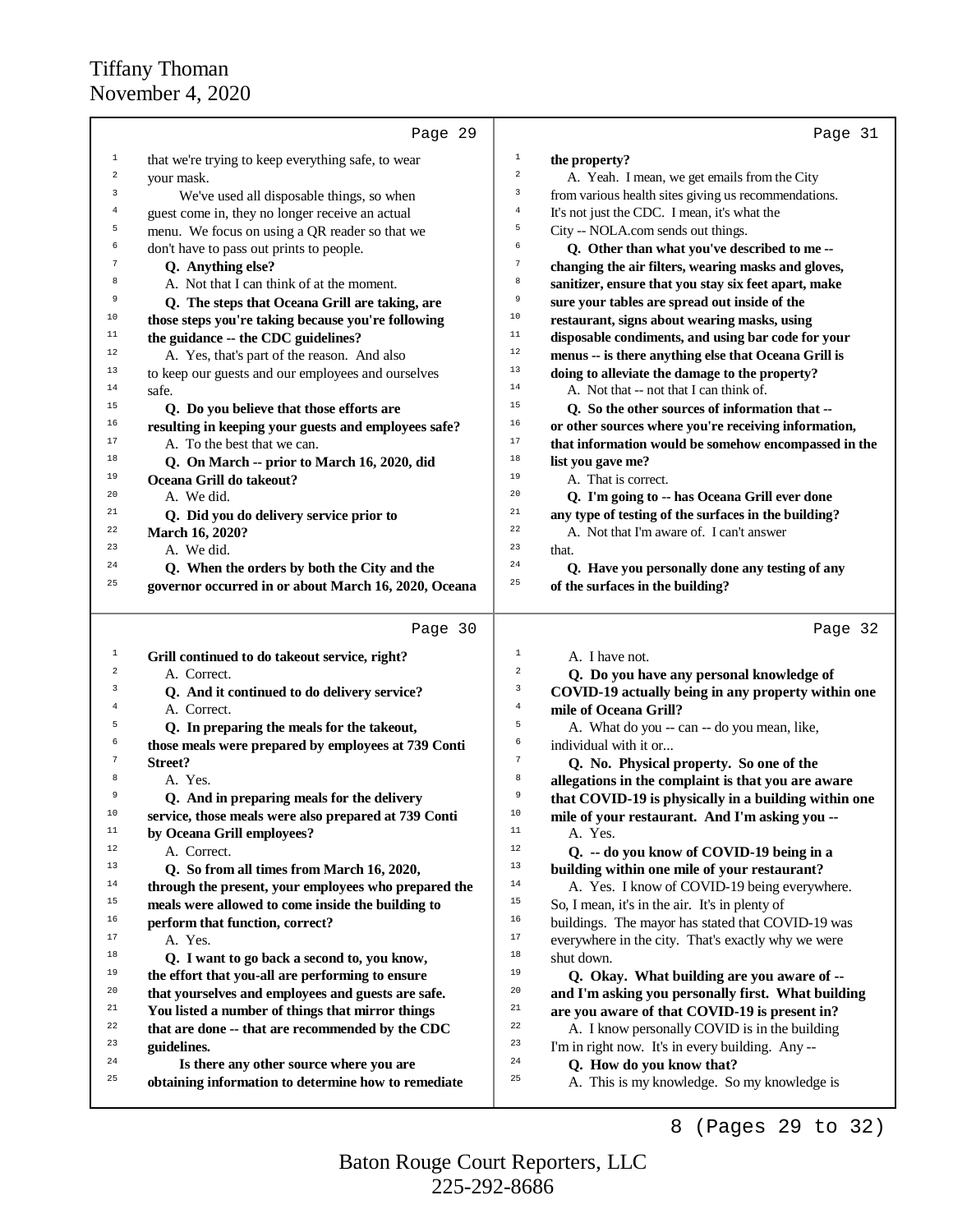|             | Page 29                                                         | Page 31                                                                                                 |
|-------------|-----------------------------------------------------------------|---------------------------------------------------------------------------------------------------------|
| 1           | that we're trying to keep everything safe, to wear              | $\mathbf{1}$<br>the property?                                                                           |
| 2           | your mask.                                                      | $\overline{a}$<br>A. Yeah. I mean, we get emails from the City                                          |
| $\mathsf 3$ | We've used all disposable things, so when                       | 3<br>from various health sites giving us recommendations.                                               |
| 4           | guest come in, they no longer receive an actual                 | 4<br>It's not just the CDC. I mean, it's what the                                                       |
| 5           | menu. We focus on using a QR reader so that we                  | 5<br>City -- NOLA.com sends out things.                                                                 |
| б           | don't have to pass out prints to people.                        | 6<br>Q. Other than what you've described to me --                                                       |
| $\tau$      | Q. Anything else?                                               | 7<br>changing the air filters, wearing masks and gloves,                                                |
| 8           | A. Not that I can think of at the moment.                       | 8<br>sanitizer, ensure that you stay six feet apart, make                                               |
| 9           | Q. The steps that Oceana Grill are taking, are                  | 9<br>sure your tables are spread out inside of the                                                      |
| 10          | those steps you're taking because you're following              | $10$<br>restaurant, signs about wearing masks, using                                                    |
| $11$        | the guidance -- the CDC guidelines?                             | 11<br>disposable condiments, and using bar code for your                                                |
| 12          | A. Yes, that's part of the reason. And also                     | $1\,2$<br>menus -- is there anything else that Oceana Grill is                                          |
| $13$        | to keep our guests and our employees and ourselves              | $13$<br>doing to alleviate the damage to the property?                                                  |
| 14          | safe.                                                           | 14<br>A. Not that -- not that I can think of.                                                           |
| 15          | Q. Do you believe that those efforts are                        | 15<br>Q. So the other sources of information that --                                                    |
| 16          | resulting in keeping your guests and employees safe?            | 16<br>or other sources where you're receiving information,                                              |
| 17          | A. To the best that we can.                                     | $17$<br>that information would be somehow encompassed in the                                            |
| 18          | Q. On March -- prior to March 16, 2020, did                     | 18<br>list you gave me?                                                                                 |
| 19          | Oceana Grill do takeout?                                        | 19<br>A. That is correct.                                                                               |
| 20          | A. We did.                                                      | 20<br>Q. I'm going to -- has Oceana Grill ever done                                                     |
| 21          | Q. Did you do delivery service prior to                         | 21<br>any type of testing of the surfaces in the building?                                              |
| 22          | March 16, 2020?                                                 | 22<br>A. Not that I'm aware of. I can't answer                                                          |
| 23          | A. We did.                                                      | 23<br>that.                                                                                             |
| 24          | Q. When the orders by both the City and the                     | 24<br>Q. Have you personally done any testing of any                                                    |
| 25          | governor occurred in or about March 16, 2020, Oceana            | 25<br>of the surfaces in the building?                                                                  |
|             | Page 30                                                         | Page 32                                                                                                 |
| 1           | Grill continued to do takeout service, right?                   | 1<br>A. I have not.                                                                                     |
| 2           | A. Correct.                                                     | $\,2$<br>Q. Do you have any personal knowledge of                                                       |
| 3           | Q. And it continued to do delivery service?                     | 3<br>COVID-19 actually being in any property within one                                                 |
| 4           | A. Correct.                                                     | $\overline{4}$<br>mile of Oceana Grill?                                                                 |
| 5           | Q. In preparing the meals for the takeout,                      | 5<br>A. What do you -- can -- do you mean, like,                                                        |
| б           | those meals were prepared by employees at 739 Conti             | 6<br>individual with it or                                                                              |
| 7           | Street?                                                         | $\boldsymbol{7}$<br>Q. No. Physical property. So one of the                                             |
| 8           | A. Yes.                                                         | 8<br>allegations in the complaint is that you are aware                                                 |
| 9           | Q. And in preparing meals for the delivery                      | 9<br>that COVID-19 is physically in a building within one                                               |
| 10          | service, those meals were also prepared at 739 Conti            | $10$<br>mile of your restaurant. And I'm asking you --                                                  |
| 11          | by Oceana Grill employees?                                      | 11<br>A. Yes.<br>12                                                                                     |
| 12          | A. Correct.                                                     | Q. -- do you know of COVID-19 being in a<br>13                                                          |
| 13          | Q. So from all times from March 16, 2020,                       | building within one mile of your restaurant?                                                            |
| 14<br>15    | through the present, your employees who prepared the            | $14\,$<br>A. Yes. I know of COVID-19 being everywhere.<br>15                                            |
| 16          | meals were allowed to come inside the building to               | So, I mean, it's in the air. It's in plenty of<br>16                                                    |
| 17          | perform that function, correct?                                 | buildings. The mayor has stated that COVID-19 was<br>$17\,$                                             |
| 18          | A. Yes.                                                         | everywhere in the city. That's exactly why we were<br>18                                                |
| 19          | Q. I want to go back a second to, you know,                     | shut down.<br>19                                                                                        |
| 20          | the effort that you-all are performing to ensure                | Q. Okay. What building are you aware of --<br>20                                                        |
| 21          | that yourselves and employees and guests are safe.              | and I'm asking you personally first. What building<br>21                                                |
| 22          | You listed a number of things that mirror things                | are you aware of that COVID-19 is present in?<br>22                                                     |
| 23          | that are done -- that are recommended by the CDC<br>guidelines. | A. I know personally COVID is in the building<br>23<br>I'm in right now. It's in every building. Any -- |
| 24          | Is there any other source where you are                         | 24<br>Q. How do you know that?                                                                          |
| 25          | obtaining information to determine how to remediate             | 25<br>A. This is my knowledge. So my knowledge is                                                       |
|             |                                                                 |                                                                                                         |

8 (Pages 29 to 32)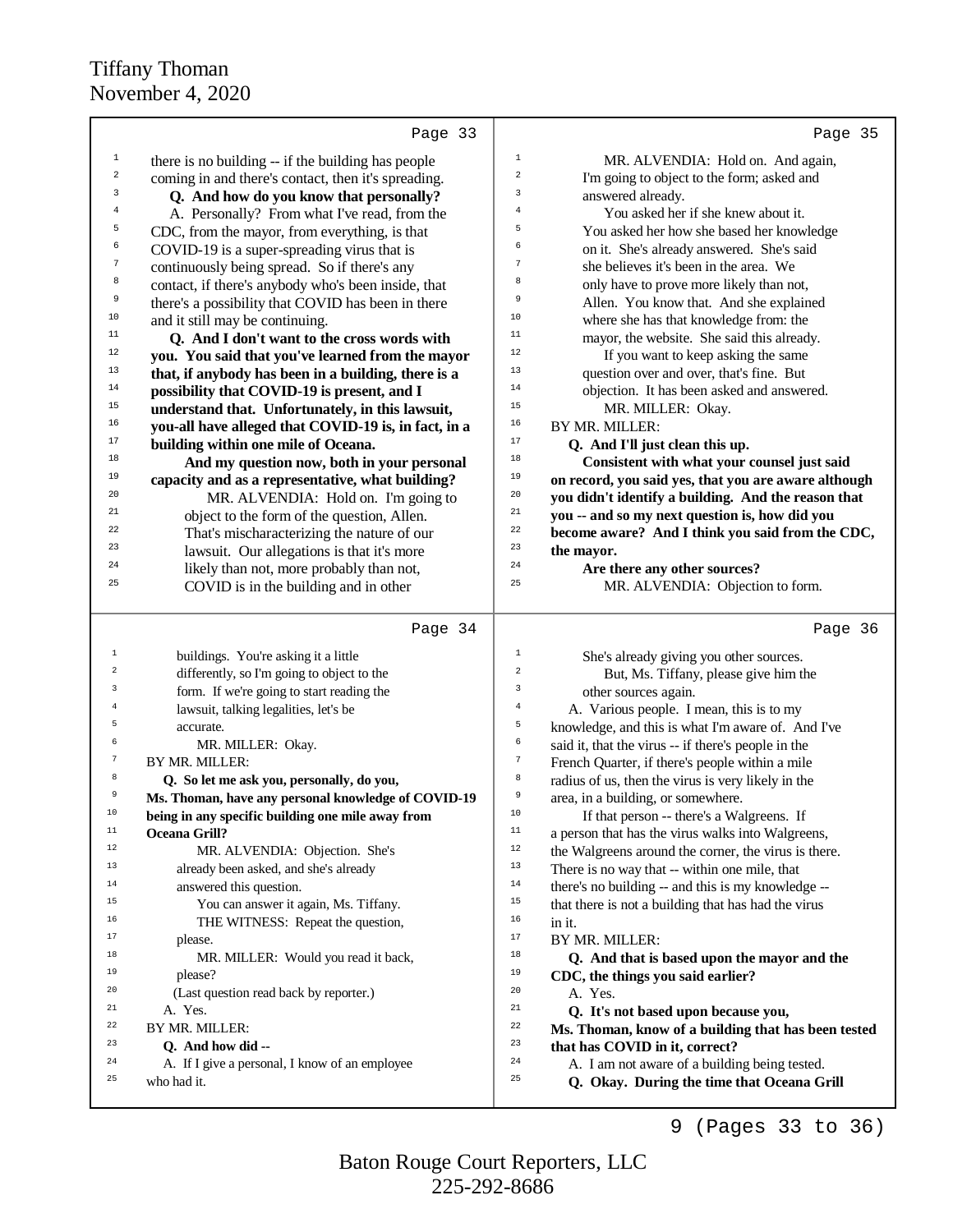|                  | Page 33                                                       | Page 35                                                                                                 |
|------------------|---------------------------------------------------------------|---------------------------------------------------------------------------------------------------------|
| $\,1$            | there is no building -- if the building has people            | $\mathbf 1$<br>MR. ALVENDIA: Hold on. And again,                                                        |
| $\sqrt{2}$       | coming in and there's contact, then it's spreading.           | $\,2$<br>I'm going to object to the form; asked and                                                     |
| 3                | Q. And how do you know that personally?                       | 3<br>answered already.                                                                                  |
| 4                | A. Personally? From what I've read, from the                  | 4<br>You asked her if she knew about it.                                                                |
| 5                | CDC, from the mayor, from everything, is that                 | 5<br>You asked her how she based her knowledge                                                          |
| 6                | COVID-19 is a super-spreading virus that is                   | 6<br>on it. She's already answered. She's said                                                          |
| $\boldsymbol{7}$ | continuously being spread. So if there's any                  | 7<br>she believes it's been in the area. We                                                             |
| 8                | contact, if there's anybody who's been inside, that           | 8<br>only have to prove more likely than not,                                                           |
| 9                | there's a possibility that COVID has been in there            | 9<br>Allen. You know that. And she explained                                                            |
| $10$             | and it still may be continuing.                               | 10<br>where she has that knowledge from: the                                                            |
| 11               | Q. And I don't want to the cross words with                   | 11<br>mayor, the website. She said this already.                                                        |
| 12               | you. You said that you've learned from the mayor              | 12<br>If you want to keep asking the same                                                               |
| 13               | that, if anybody has been in a building, there is a           | 13<br>question over and over, that's fine. But                                                          |
| 14               | possibility that COVID-19 is present, and I                   | 14<br>objection. It has been asked and answered.                                                        |
| 15               | understand that. Unfortunately, in this lawsuit,              | 15<br>MR. MILLER: Okay.                                                                                 |
| 16               | you-all have alleged that COVID-19 is, in fact, in a          | 16<br>BY MR. MILLER:                                                                                    |
| 17               | building within one mile of Oceana.                           | 17<br>Q. And I'll just clean this up.                                                                   |
| 18               | And my question now, both in your personal                    | 18<br>Consistent with what your counsel just said                                                       |
| 19               | capacity and as a representative, what building?              | 19<br>on record, you said yes, that you are aware although                                              |
| 20               | MR. ALVENDIA: Hold on. I'm going to                           | 20<br>you didn't identify a building. And the reason that                                               |
| 21               | object to the form of the question, Allen.                    | 21<br>you -- and so my next question is, how did you                                                    |
| 22               | That's mischaracterizing the nature of our                    | 22<br>become aware? And I think you said from the CDC,                                                  |
| 23               | lawsuit. Our allegations is that it's more                    | 23<br>the mayor.                                                                                        |
| 24               | likely than not, more probably than not,                      | 24<br>Are there any other sources?                                                                      |
| 25               | COVID is in the building and in other                         | 25<br>MR. ALVENDIA: Objection to form.                                                                  |
|                  | Page 34                                                       | Page 36                                                                                                 |
| $\,1\,$          | buildings. You're asking it a little                          | $\mathbf 1$<br>She's already giving you other sources.                                                  |
| $\overline{2}$   | differently, so I'm going to object to the                    | $\,2$<br>But, Ms. Tiffany, please give him the                                                          |
| 3                | form. If we're going to start reading the                     | 3<br>other sources again.                                                                               |
| 4                | lawsuit, talking legalities, let's be                         |                                                                                                         |
| 5                |                                                               | $\,4$                                                                                                   |
|                  | accurate.                                                     | A. Various people. I mean, this is to my<br>5<br>knowledge, and this is what I'm aware of. And I've     |
| 6                | MR. MILLER: Okay.                                             | 6<br>said it, that the virus -- if there's people in the                                                |
| 7                | BY MR. MILLER:                                                | $\boldsymbol{7}$<br>French Quarter, if there's people within a mile                                     |
| 8                | Q. So let me ask you, personally, do you,                     | 8<br>radius of us, then the virus is very likely in the                                                 |
| 9                | Ms. Thoman, have any personal knowledge of COVID-19           | 9<br>area, in a building, or somewhere.                                                                 |
| ΤO               | being in any specific building one mile away from             | $10$<br>If that person -- there's a Walgreens. If                                                       |
| 11               | Oceana Grill?                                                 | $11\,$<br>a person that has the virus walks into Walgreens,                                             |
| 12               | MR. ALVENDIA: Objection. She's                                | $12\,$<br>the Walgreens around the corner, the virus is there.                                          |
| 13               | already been asked, and she's already                         | 13<br>There is no way that -- within one mile, that                                                     |
| 14               | answered this question.                                       | $1\,4$<br>there's no building -- and this is my knowledge --                                            |
| 15               | You can answer it again, Ms. Tiffany.                         | 15<br>that there is not a building that has had the virus                                               |
| 16               | THE WITNESS: Repeat the question,                             | 16<br>in it.                                                                                            |
| 17               | please.                                                       | $17\,$<br>BY MR. MILLER:                                                                                |
| 18               | MR. MILLER: Would you read it back,                           | 18<br>Q. And that is based upon the mayor and the                                                       |
| 19               | please?                                                       | 19<br>CDC, the things you said earlier?                                                                 |
| 20               | (Last question read back by reporter.)                        | 20<br>A. Yes.                                                                                           |
| 21               | A. Yes.                                                       | 21<br>Q. It's not based upon because you,                                                               |
| 22               | BY MR. MILLER:                                                | 22<br>Ms. Thoman, know of a building that has been tested                                               |
| 23               | Q. And how did --                                             | 23<br>that has COVID in it, correct?                                                                    |
| 24<br>25         | A. If I give a personal, I know of an employee<br>who had it. | 24<br>A. I am not aware of a building being tested.<br>25<br>Q. Okay. During the time that Oceana Grill |

9 (Pages 33 to 36)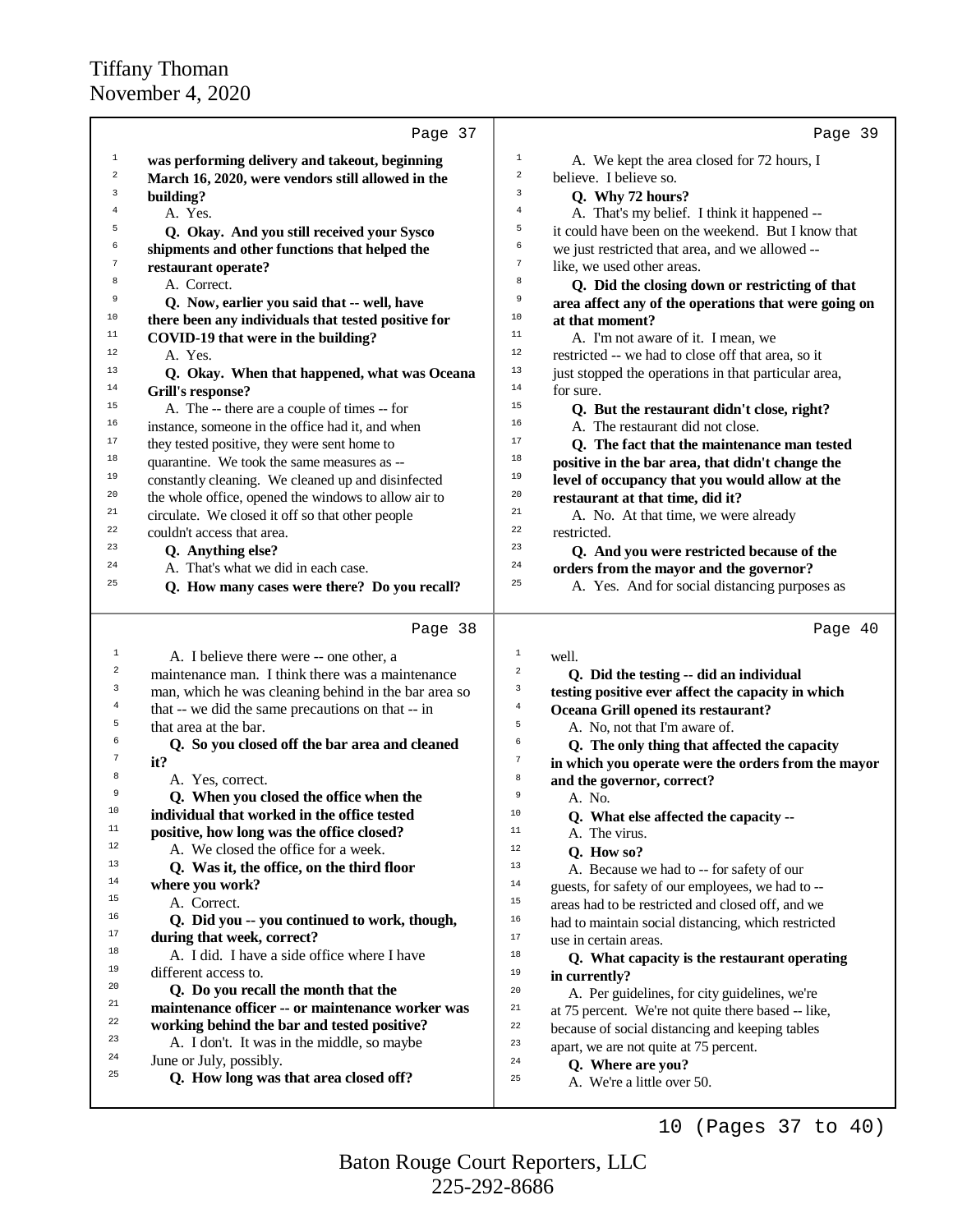|                         | Page 37                                                                                                   | Page 39                                                                                                     |
|-------------------------|-----------------------------------------------------------------------------------------------------------|-------------------------------------------------------------------------------------------------------------|
| $\mathbf{1}$            | was performing delivery and takeout, beginning                                                            | $\mathbf{1}$<br>A. We kept the area closed for 72 hours, I                                                  |
| $\overline{\mathbf{c}}$ | March 16, 2020, were vendors still allowed in the                                                         | $\overline{\mathbf{c}}$<br>believe. I believe so.                                                           |
| 3                       | building?                                                                                                 | 3<br>Q. Why 72 hours?                                                                                       |
| 4                       | A. Yes.                                                                                                   | $\overline{4}$<br>A. That's my belief. I think it happened --                                               |
| 5                       | Q. Okay. And you still received your Sysco                                                                | 5<br>it could have been on the weekend. But I know that                                                     |
| 6                       | shipments and other functions that helped the                                                             | б<br>we just restricted that area, and we allowed --                                                        |
| 7                       | restaurant operate?                                                                                       | $\boldsymbol{7}$<br>like, we used other areas.                                                              |
| 8                       | A. Correct.                                                                                               | 8<br>Q. Did the closing down or restricting of that                                                         |
| 9                       | Q. Now, earlier you said that -- well, have                                                               | 9<br>area affect any of the operations that were going on                                                   |
| 10                      | there been any individuals that tested positive for                                                       | 10<br>at that moment?                                                                                       |
| 11                      | COVID-19 that were in the building?                                                                       | 11<br>A. I'm not aware of it. I mean, we                                                                    |
| 12                      | A. Yes.                                                                                                   | 12<br>restricted -- we had to close off that area, so it                                                    |
| 13                      | Q. Okay. When that happened, what was Oceana                                                              | 13<br>just stopped the operations in that particular area,                                                  |
| 14                      | <b>Grill's response?</b>                                                                                  | 14<br>for sure.                                                                                             |
| 15                      | A. The -- there are a couple of times -- for                                                              | 15<br>Q. But the restaurant didn't close, right?                                                            |
| 16                      | instance, someone in the office had it, and when                                                          | 16<br>A. The restaurant did not close.                                                                      |
| 17                      | they tested positive, they were sent home to                                                              | 17<br>Q. The fact that the maintenance man tested                                                           |
| 18                      | quarantine. We took the same measures as --                                                               | 18<br>positive in the bar area, that didn't change the                                                      |
| 19                      | constantly cleaning. We cleaned up and disinfected                                                        | 19<br>level of occupancy that you would allow at the                                                        |
| 20                      | the whole office, opened the windows to allow air to                                                      | 20<br>restaurant at that time, did it?                                                                      |
| 21                      | circulate. We closed it off so that other people                                                          | 21<br>A. No. At that time, we were already                                                                  |
| 22                      | couldn't access that area.                                                                                | 22<br>restricted.                                                                                           |
| 23                      | Q. Anything else?                                                                                         | 23<br>Q. And you were restricted because of the                                                             |
| 24                      | A. That's what we did in each case.                                                                       | 24<br>orders from the mayor and the governor?                                                               |
| 25                      | Q. How many cases were there? Do you recall?                                                              | 25<br>A. Yes. And for social distancing purposes as                                                         |
|                         | Page 38                                                                                                   | Page 40                                                                                                     |
| $\mathbf{1}$            |                                                                                                           | $\mathbf{1}$                                                                                                |
| 2                       | A. I believe there were -- one other, a                                                                   | well.<br>$\overline{a}$                                                                                     |
| 3                       | maintenance man. I think there was a maintenance                                                          | Q. Did the testing -- did an individual<br>3                                                                |
| 4                       | man, which he was cleaning behind in the bar area so<br>that -- we did the same precautions on that -- in | testing positive ever affect the capacity in which<br>$\overline{4}$<br>Oceana Grill opened its restaurant? |
| 5                       | that area at the bar.                                                                                     | 5<br>A. No, not that I'm aware of.                                                                          |
| 6                       | Q. So you closed off the bar area and cleaned                                                             | 6<br>Q. The only thing that affected the capacity                                                           |
| 7                       | it?                                                                                                       | $\boldsymbol{7}$<br>in which you operate were the orders from the mayor                                     |
| 8                       | A. Yes, correct.                                                                                          | 8<br>and the governor, correct?                                                                             |
| 9                       | Q. When you closed the office when the                                                                    | 9<br>A. No.                                                                                                 |
| 10                      | individual that worked in the office tested                                                               | $10$<br>Q. What else affected the capacity --                                                               |
| 11                      | positive, how long was the office closed?                                                                 | 11<br>A. The virus.                                                                                         |
| 12                      | A. We closed the office for a week.                                                                       | 12<br>Q. How so?                                                                                            |
| 13                      | Q. Was it, the office, on the third floor                                                                 | 13<br>A. Because we had to -- for safety of our                                                             |
| 14                      | where you work?                                                                                           | $14$<br>guests, for safety of our employees, we had to --                                                   |
| 15                      | A. Correct.                                                                                               | $15\,$<br>areas had to be restricted and closed off, and we                                                 |
| 16                      | Q. Did you -- you continued to work, though,                                                              | 16<br>had to maintain social distancing, which restricted                                                   |
| 17                      | during that week, correct?                                                                                | 17<br>use in certain areas.                                                                                 |
| 18                      | A. I did. I have a side office where I have                                                               | 18<br>Q. What capacity is the restaurant operating                                                          |
| 19                      | different access to.                                                                                      | 19<br>in currently?                                                                                         |
| 20                      | Q. Do you recall the month that the                                                                       | 20<br>A. Per guidelines, for city guidelines, we're                                                         |
| 21                      | maintenance officer -- or maintenance worker was                                                          | 21<br>at 75 percent. We're not quite there based -- like,                                                   |
| 22                      | working behind the bar and tested positive?                                                               | 22<br>because of social distancing and keeping tables                                                       |
| 23                      | A. I don't. It was in the middle, so maybe                                                                | 23<br>apart, we are not quite at 75 percent.                                                                |
|                         | June or July, possibly.                                                                                   | 24                                                                                                          |
| 24                      |                                                                                                           |                                                                                                             |
| 25                      | Q. How long was that area closed off?                                                                     | Q. Where are you?<br>25<br>A. We're a little over 50.                                                       |

10 (Pages 37 to 40)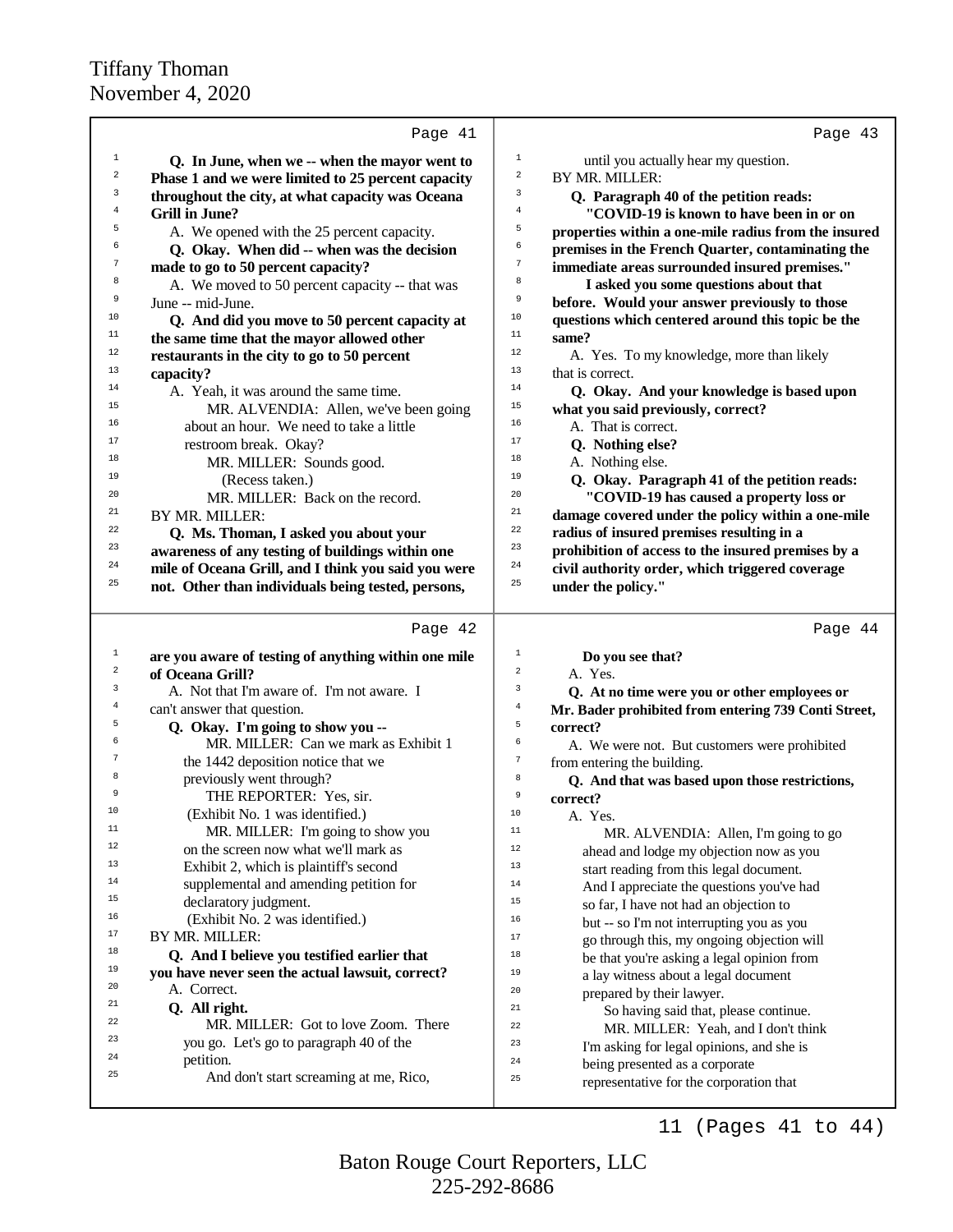|             | Page 41                                              | Page 43                                                       |
|-------------|------------------------------------------------------|---------------------------------------------------------------|
| $\mathbf 1$ | Q. In June, when we -- when the mayor went to        | $\mathbf 1$<br>until you actually hear my question.           |
| 2           | Phase 1 and we were limited to 25 percent capacity   | $\mathbf 2$<br>BY MR. MILLER:                                 |
| 3           | throughout the city, at what capacity was Oceana     | 3<br>Q. Paragraph 40 of the petition reads:                   |
| 4           | <b>Grill in June?</b>                                | $\overline{4}$<br>"COVID-19 is known to have been in or on    |
| 5           | A. We opened with the 25 percent capacity.           | 5<br>properties within a one-mile radius from the insured     |
| 6           | Q. Okay. When did -- when was the decision           | 6<br>premises in the French Quarter, contaminating the        |
| 7           | made to go to 50 percent capacity?                   | 7<br>immediate areas surrounded insured premises."            |
| 8           | A. We moved to 50 percent capacity -- that was       | 8<br>I asked you some questions about that                    |
| 9           | June -- mid-June.                                    | 9<br>before. Would your answer previously to those            |
| 10          | Q. And did you move to 50 percent capacity at        | 10<br>questions which centered around this topic be the       |
| 11          | the same time that the mayor allowed other           | 11<br>same?                                                   |
| 12          | restaurants in the city to go to 50 percent          | 12<br>A. Yes. To my knowledge, more than likely               |
| 13          | capacity?                                            | 13<br>that is correct.                                        |
| 14          | A. Yeah, it was around the same time.                | 14<br>Q. Okay. And your knowledge is based upon               |
| 15          | MR. ALVENDIA: Allen, we've been going                | 15<br>what you said previously, correct?                      |
| 16          | about an hour. We need to take a little              | 16<br>A. That is correct.                                     |
| 17          | restroom break. Okay?                                | 17<br>Q. Nothing else?                                        |
| 18          | MR. MILLER: Sounds good.                             | 18<br>A. Nothing else.                                        |
| 19          | (Recess taken.)                                      | 19<br>Q. Okay. Paragraph 41 of the petition reads:            |
| 20          | MR. MILLER: Back on the record.                      | 20<br>"COVID-19 has caused a property loss or                 |
| 21          | BY MR. MILLER:                                       | 21<br>damage covered under the policy within a one-mile       |
| 22          | Q. Ms. Thoman, I asked you about your                | 22<br>radius of insured premises resulting in a               |
| 23          | awareness of any testing of buildings within one     | 23<br>prohibition of access to the insured premises by a      |
| 24          | mile of Oceana Grill, and I think you said you were  | 24<br>civil authority order, which triggered coverage         |
| 25          | not. Other than individuals being tested, persons,   | 25<br>under the policy."                                      |
|             |                                                      |                                                               |
|             |                                                      |                                                               |
|             | Page 42                                              | Page 44                                                       |
| $\mathbf 1$ | are you aware of testing of anything within one mile | $\mathbf{1}$<br>Do you see that?                              |
| 2           | of Oceana Grill?                                     | $\overline{c}$<br>A. Yes.                                     |
| 3           | A. Not that I'm aware of. I'm not aware. I           | 3<br>Q. At no time were you or other employees or             |
| 4           | can't answer that question.                          | $\,4$<br>Mr. Bader prohibited from entering 739 Conti Street, |
| 5           | Q. Okay. I'm going to show you --                    | 5<br>correct?                                                 |
| 6           | MR. MILLER: Can we mark as Exhibit 1                 | 6<br>A. We were not. But customers were prohibited            |
| 7           | the 1442 deposition notice that we                   | $\sqrt{ }$<br>from entering the building.                     |
| 8           | previously went through?                             | 8<br>Q. And that was based upon those restrictions,           |
| 9           | THE REPORTER: Yes, sir.                              | 9<br>correct?                                                 |
| 10          | (Exhibit No. 1 was identified.)                      | 10<br>A. Yes.                                                 |
| 11          | MR. MILLER: I'm going to show you                    | 11<br>MR. ALVENDIA: Allen, I'm going to go                    |
| 12          | on the screen now what we'll mark as                 | 12<br>ahead and lodge my objection now as you                 |
| 13          | Exhibit 2, which is plaintiff's second               | 13<br>start reading from this legal document.                 |
| 14          | supplemental and amending petition for               | 14<br>And I appreciate the questions you've had               |
| 15          | declaratory judgment.                                | 15<br>so far, I have not had an objection to                  |
| 16          | (Exhibit No. 2 was identified.)                      | 16<br>but -- so I'm not interrupting you as you               |
| 17          | BY MR. MILLER:                                       | 17<br>go through this, my ongoing objection will              |
| 18          | Q. And I believe you testified earlier that          | 18<br>be that you're asking a legal opinion from              |
| 19          | you have never seen the actual lawsuit, correct?     | 19<br>a lay witness about a legal document                    |
| 20          | A. Correct.                                          | 20<br>prepared by their lawyer.                               |
| 21          | Q. All right.                                        | 21<br>So having said that, please continue.                   |
| 22          | MR. MILLER: Got to love Zoom. There                  | 22<br>MR. MILLER: Yeah, and I don't think                     |
| 23          | you go. Let's go to paragraph 40 of the              | 23<br>I'm asking for legal opinions, and she is               |
| 24          | petition.                                            | 24<br>being presented as a corporate                          |
| 25          | And don't start screaming at me, Rico,               | 25<br>representative for the corporation that                 |

225-292-8686 Baton Rouge Court Reporters, LLC

11 (Pages 41 to 44)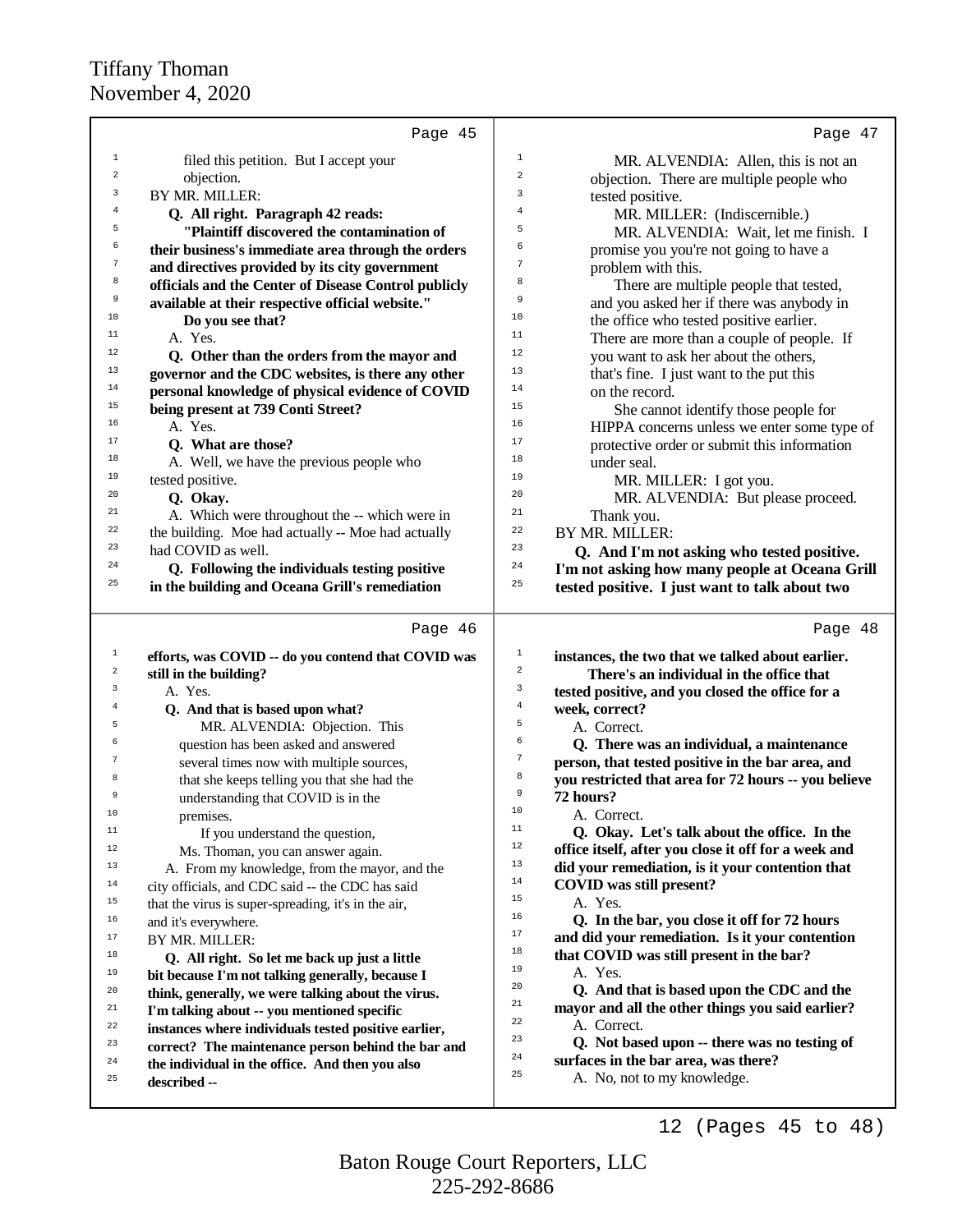| Page 45                                                                                               | Page 47                                                                                             |
|-------------------------------------------------------------------------------------------------------|-----------------------------------------------------------------------------------------------------|
| $\mathbf 1$                                                                                           | $\,1$                                                                                               |
| filed this petition. But I accept your                                                                | MR. ALVENDIA: Allen, this is not an                                                                 |
| $\overline{\mathbf{c}}$                                                                               | $\overline{\mathbf{c}}$                                                                             |
| objection.                                                                                            | objection. There are multiple people who                                                            |
| 3                                                                                                     | 3                                                                                                   |
| BY MR. MILLER:                                                                                        | tested positive.                                                                                    |
| 4                                                                                                     | $\overline{4}$                                                                                      |
| Q. All right. Paragraph 42 reads:                                                                     | MR. MILLER: (Indiscernible.)                                                                        |
| 5                                                                                                     | 5                                                                                                   |
| "Plaintiff discovered the contamination of                                                            | MR. ALVENDIA: Wait, let me finish. I                                                                |
| 6                                                                                                     | 6                                                                                                   |
| their business's immediate area through the orders                                                    | promise you you're not going to have a                                                              |
| 7                                                                                                     | 7                                                                                                   |
| and directives provided by its city government                                                        | problem with this.                                                                                  |
| 8                                                                                                     | 8                                                                                                   |
| officials and the Center of Disease Control publicly                                                  | There are multiple people that tested,                                                              |
| 9                                                                                                     | 9                                                                                                   |
| available at their respective official website."                                                      | and you asked her if there was anybody in                                                           |
| 10                                                                                                    | 10                                                                                                  |
| Do you see that?                                                                                      | the office who tested positive earlier.                                                             |
| 11                                                                                                    | 11                                                                                                  |
| A. Yes.                                                                                               | There are more than a couple of people. If                                                          |
| 12                                                                                                    | 12                                                                                                  |
| Q. Other than the orders from the mayor and                                                           | you want to ask her about the others,                                                               |
| 13                                                                                                    | 13                                                                                                  |
| governor and the CDC websites, is there any other                                                     | that's fine. I just want to the put this                                                            |
| 14                                                                                                    | 14                                                                                                  |
| personal knowledge of physical evidence of COVID                                                      | on the record.                                                                                      |
| 15                                                                                                    | 15                                                                                                  |
| being present at 739 Conti Street?                                                                    | She cannot identify those people for                                                                |
| 16                                                                                                    | 16                                                                                                  |
| A. Yes.                                                                                               | HIPPA concerns unless we enter some type of                                                         |
| 17                                                                                                    | 17                                                                                                  |
| Q. What are those?                                                                                    | protective order or submit this information                                                         |
| 18                                                                                                    | 18                                                                                                  |
| A. Well, we have the previous people who                                                              | under seal.                                                                                         |
| 19<br>tested positive.<br>20                                                                          | 19<br>MR. MILLER: I got you.                                                                        |
| Q. Okay.<br>21                                                                                        | 20<br>MR. ALVENDIA: But please proceed.<br>21                                                       |
| A. Which were throughout the -- which were in                                                         | Thank you.                                                                                          |
| 22                                                                                                    | 22                                                                                                  |
| the building. Moe had actually -- Moe had actually                                                    | BY MR. MILLER:                                                                                      |
| 23                                                                                                    | 23                                                                                                  |
| had COVID as well.                                                                                    | Q. And I'm not asking who tested positive.                                                          |
| 24                                                                                                    | 24                                                                                                  |
| Q. Following the individuals testing positive<br>25<br>in the building and Oceana Grill's remediation | I'm not asking how many people at Oceana Grill<br>25                                                |
|                                                                                                       | tested positive. I just want to talk about two                                                      |
| Page 46                                                                                               | Page 48                                                                                             |
|                                                                                                       |                                                                                                     |
| $\mathbf{1}$                                                                                          | $\mathbf{1}$                                                                                        |
| efforts, was COVID -- do you contend that COVID was                                                   | instances, the two that we talked about earlier.                                                    |
| $\mathbf 2$                                                                                           | $\mathbf 2$                                                                                         |
| still in the building?                                                                                | There's an individual in the office that                                                            |
| 3                                                                                                     | 3                                                                                                   |
| A. Yes.                                                                                               | tested positive, and you closed the office for a                                                    |
| 4                                                                                                     | $\,4\,$                                                                                             |
| Q. And that is based upon what?                                                                       | week, correct?                                                                                      |
| 5                                                                                                     | 5                                                                                                   |
| MR. ALVENDIA: Objection. This                                                                         | A. Correct.                                                                                         |
| 6                                                                                                     | 6                                                                                                   |
| question has been asked and answered                                                                  | Q. There was an individual, a maintenance                                                           |
| 7                                                                                                     | $\boldsymbol{7}$                                                                                    |
| several times now with multiple sources,                                                              | person, that tested positive in the bar area, and                                                   |
| 8                                                                                                     | 8                                                                                                   |
| that she keeps telling you that she had the                                                           | you restricted that area for 72 hours -- you believe                                                |
| 9                                                                                                     | 9                                                                                                   |
| understanding that COVID is in the                                                                    | 72 hours?                                                                                           |
| 10                                                                                                    | 10                                                                                                  |
| premises.                                                                                             | A. Correct.                                                                                         |
| 11                                                                                                    | 11                                                                                                  |
| If you understand the question,                                                                       | Q. Okay. Let's talk about the office. In the                                                        |
| 12                                                                                                    | 12                                                                                                  |
| Ms. Thoman, you can answer again.                                                                     | office itself, after you close it off for a week and                                                |
| 13                                                                                                    | 13                                                                                                  |
| A. From my knowledge, from the mayor, and the                                                         | did your remediation, is it your contention that                                                    |
| 14<br>city officials, and CDC said -- the CDC has said                                                | 14<br><b>COVID</b> was still present?<br>15                                                         |
| 15                                                                                                    | A. Yes.                                                                                             |
| that the virus is super-spreading, it's in the air,                                                   | 16                                                                                                  |
| 16                                                                                                    | Q. In the bar, you close it off for 72 hours                                                        |
| and it's everywhere.                                                                                  | $17\,$                                                                                              |
| 17<br>BY MR. MILLER:<br>$18\,$                                                                        | and did your remediation. Is it your contention<br>18                                               |
| Q. All right. So let me back up just a little                                                         | that COVID was still present in the bar?                                                            |
| 19                                                                                                    | 19                                                                                                  |
| bit because I'm not talking generally, because I                                                      | A. Yes.                                                                                             |
| 20                                                                                                    | 20                                                                                                  |
| think, generally, we were talking about the virus.<br>21                                              | Q. And that is based upon the CDC and the<br>21<br>mayor and all the other things you said earlier? |
| I'm talking about -- you mentioned specific                                                           | 22                                                                                                  |
| 22                                                                                                    | A. Correct.                                                                                         |
| instances where individuals tested positive earlier,                                                  | 23                                                                                                  |
| 23                                                                                                    | Q. Not based upon -- there was no testing of                                                        |
| correct? The maintenance person behind the bar and                                                    | 24                                                                                                  |
| 24                                                                                                    | surfaces in the bar area, was there?                                                                |
| the individual in the office. And then you also<br>25<br>described --                                 | 25<br>A. No, not to my knowledge.                                                                   |

12 (Pages 45 to 48)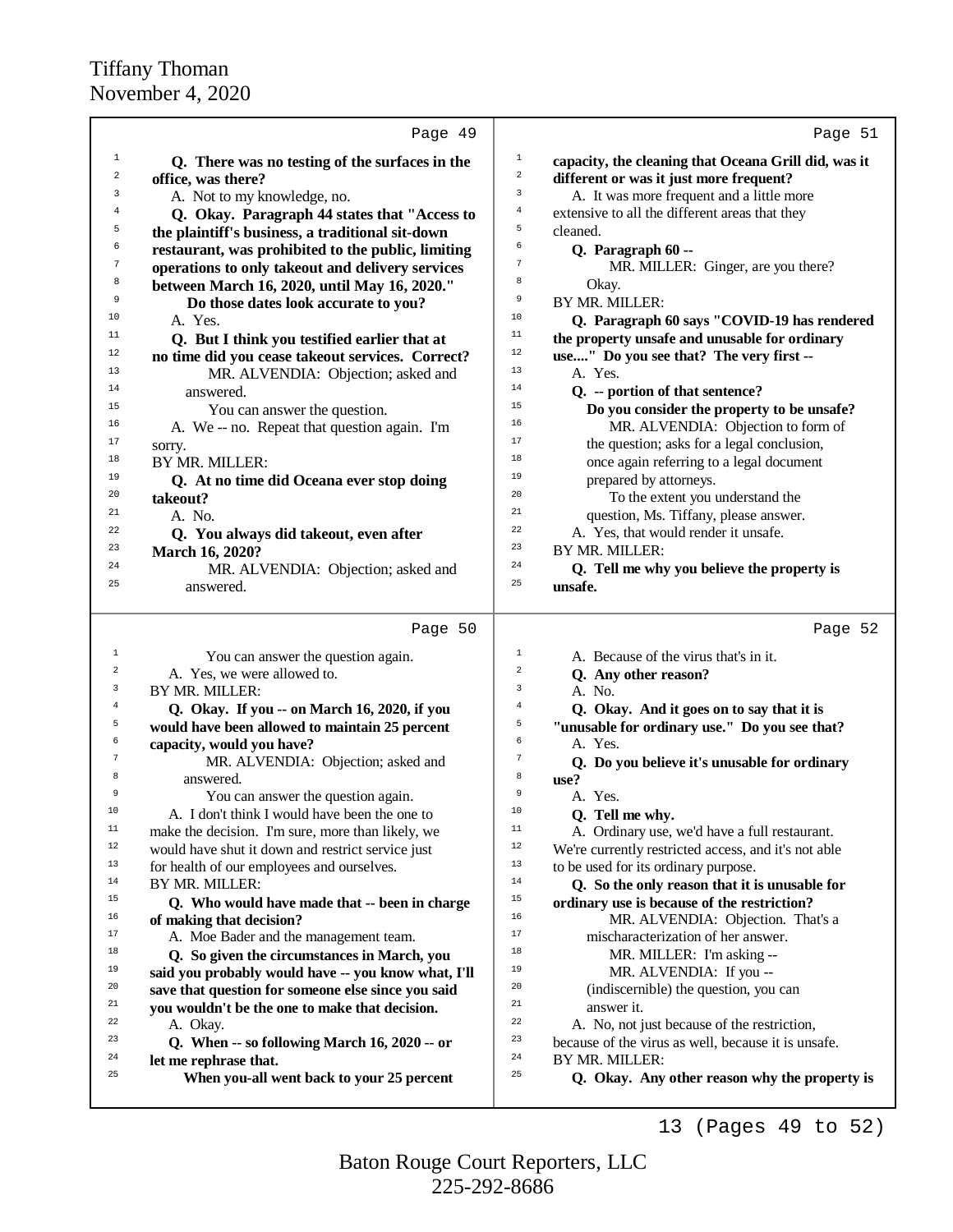|                | Page 49                                             |                | Page 51                                              |
|----------------|-----------------------------------------------------|----------------|------------------------------------------------------|
| $\mathbf{1}$   | Q. There was no testing of the surfaces in the      | $\mathbf 1$    | capacity, the cleaning that Oceana Grill did, was it |
| 2              | office, was there?                                  | $\mathbf 2$    | different or was it just more frequent?              |
| 3              | A. Not to my knowledge, no.                         | $\mathbf{3}$   | A. It was more frequent and a little more            |
| 4              | Q. Okay. Paragraph 44 states that "Access to        | $\overline{4}$ | extensive to all the different areas that they       |
| 5              | the plaintiff's business, a traditional sit-down    | 5              | cleaned.                                             |
| 6              | restaurant, was prohibited to the public, limiting  | 6              | Q. Paragraph 60 --                                   |
| 7              | operations to only takeout and delivery services    | $\tau$         | MR. MILLER: Ginger, are you there?                   |
| 8              | between March 16, 2020, until May 16, 2020."        | 8              | Okay.                                                |
| 9              | Do those dates look accurate to you?                | 9              | BY MR. MILLER:                                       |
| 10             | A. Yes.                                             | 10             | Q. Paragraph 60 says "COVID-19 has rendered          |
| 11             | Q. But I think you testified earlier that at        | 11             | the property unsafe and unusable for ordinary        |
| 12             | no time did you cease takeout services. Correct?    | $12\,$         | use" Do you see that? The very first --              |
| 13             | MR. ALVENDIA: Objection; asked and                  | 13             | A. Yes.                                              |
| 14             | answered.                                           | 14             | Q. -- portion of that sentence?                      |
| 15             | You can answer the question.                        | 15             | Do you consider the property to be unsafe?           |
| 16             | A. We -- no. Repeat that question again. I'm        | 16             | MR. ALVENDIA: Objection to form of                   |
| 17             | sorry.                                              | 17             | the question; asks for a legal conclusion,           |
| 18             | BY MR. MILLER:                                      | 18             | once again referring to a legal document             |
| 19             | Q. At no time did Oceana ever stop doing            | 19             | prepared by attorneys.                               |
| 20             | takeout?                                            | 20             | To the extent you understand the                     |
| 21             | A. No.                                              | 21             | question, Ms. Tiffany, please answer.                |
| 22             | Q. You always did takeout, even after               | 22             | A. Yes, that would render it unsafe.                 |
| 23             | March 16, 2020?                                     | 23             | BY MR. MILLER:                                       |
| 24             | MR. ALVENDIA: Objection; asked and                  | 24             | Q. Tell me why you believe the property is           |
| 25             | answered.                                           | 25             | unsafe.                                              |
|                | Page 50                                             |                | Page 52                                              |
| $\mathbf{1}$   | You can answer the question again.                  | $\mathbf{1}$   | A. Because of the virus that's in it.                |
| $\overline{a}$ | A. Yes, we were allowed to.                         | $\overline{2}$ | Q. Any other reason?                                 |
| 3              | BY MR. MILLER:                                      | $\mathbf{3}$   | A. No.                                               |
| $\overline{4}$ | Q. Okay. If you -- on March 16, 2020, if you        | $\overline{4}$ | Q. Okay. And it goes on to say that it is            |
| 5              | would have been allowed to maintain 25 percent      | 5              | "unusable for ordinary use." Do you see that?        |
| 6              | capacity, would you have?                           | 6              | A. Yes.                                              |
| $\tau$         | MR. ALVENDIA: Objection; asked and                  | $\tau$         | Q. Do you believe it's unusable for ordinary         |
| 8              | answered.                                           | 8              | use?                                                 |
| 9              | You can answer the question again.                  | 9              | A. Yes.                                              |
| ΤO             | A. I don't think I would have been the one to       | 10             | Q. Tell me why.                                      |
| 11             | make the decision. I'm sure, more than likely, we   | 11             | A. Ordinary use, we'd have a full restaurant.        |
| $12 \,$        | would have shut it down and restrict service just   | 12             | We're currently restricted access, and it's not able |
| 13             | for health of our employees and ourselves.          | 13             | to be used for its ordinary purpose.                 |
| 14             | BY MR. MILLER:                                      | 14             | Q. So the only reason that it is unusable for        |
| 15             | Q. Who would have made that -- been in charge       | 15             | ordinary use is because of the restriction?          |
| 16             | of making that decision?                            | 16             | MR. ALVENDIA: Objection. That's a                    |
| 17             | A. Moe Bader and the management team.               | 17             | mischaracterization of her answer.                   |
| 18             | Q. So given the circumstances in March, you         | 18             | MR. MILLER: I'm asking --                            |
| 19             | said you probably would have -- you know what, I'll | 19             | MR. ALVENDIA: If you --                              |
| 20             | save that question for someone else since you said  | 20             | (indiscernible) the question, you can                |
| 21             | you wouldn't be the one to make that decision.      | 21             | answer it.                                           |
| 22             | A. Okay.                                            | 22             | A. No, not just because of the restriction,          |
| 23             | Q. When -- so following March 16, 2020 -- or        | 23             | because of the virus as well, because it is unsafe.  |
| 24             | let me rephrase that.                               | 24             | BY MR. MILLER:                                       |
| 25             | When you-all went back to your 25 percent           | 25             | Q. Okay. Any other reason why the property is        |
|                |                                                     |                |                                                      |

13 (Pages 49 to 52)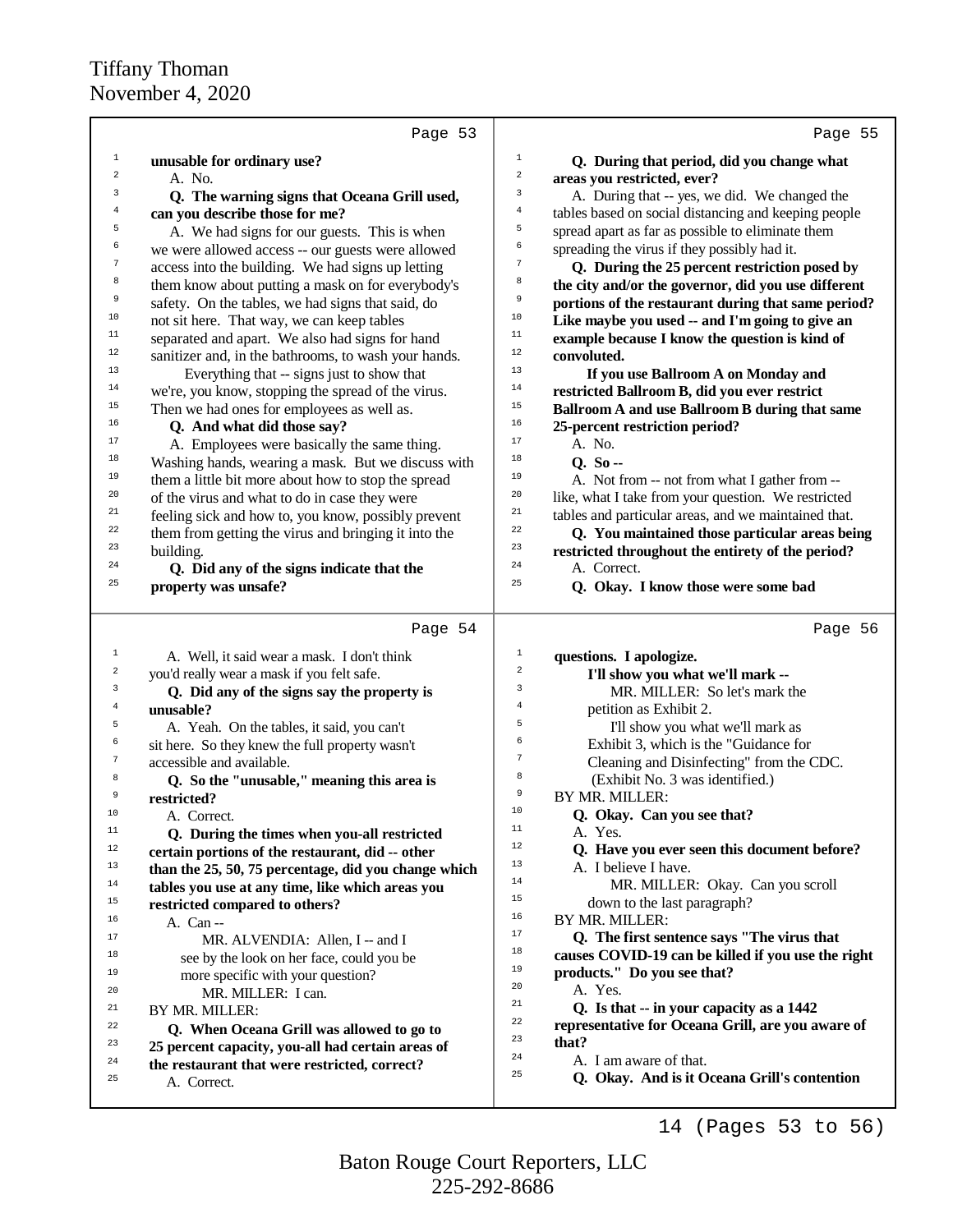|                         | Page 53                                                      | Page 55                                                           |
|-------------------------|--------------------------------------------------------------|-------------------------------------------------------------------|
| $\mathbf{1}$            | unusable for ordinary use?                                   | $\mathbf 1$<br>Q. During that period, did you change what         |
| $\overline{\mathbf{c}}$ | A. No.                                                       | $\mathbf 2$<br>areas you restricted, ever?                        |
| 3                       | Q. The warning signs that Oceana Grill used,                 | 3<br>A. During that -- yes, we did. We changed the                |
| 4                       | can you describe those for me?                               | 4<br>tables based on social distancing and keeping people         |
| 5                       | A. We had signs for our guests. This is when                 | 5<br>spread apart as far as possible to eliminate them            |
| 6                       | we were allowed access -- our guests were allowed            | б<br>spreading the virus if they possibly had it.                 |
| 7                       | access into the building. We had signs up letting            | $\boldsymbol{7}$<br>Q. During the 25 percent restriction posed by |
| 8                       | them know about putting a mask on for everybody's            | 8<br>the city and/or the governor, did you use different          |
| 9                       | safety. On the tables, we had signs that said, do            | 9<br>portions of the restaurant during that same period?          |
| $10$                    | not sit here. That way, we can keep tables                   | 10<br>Like maybe you used -- and I'm going to give an             |
| 11                      | separated and apart. We also had signs for hand              | 11<br>example because I know the question is kind of              |
| 12                      | sanitizer and, in the bathrooms, to wash your hands.         | 12<br>convoluted.                                                 |
| 13                      | Everything that -- signs just to show that                   | 13<br>If you use Ballroom A on Monday and                         |
| 14                      | we're, you know, stopping the spread of the virus.           | 14<br>restricted Ballroom B, did you ever restrict                |
| 15                      | Then we had ones for employees as well as.                   | 15<br>Ballroom A and use Ballroom B during that same              |
| 16                      | Q. And what did those say?                                   | $16\,$<br>25-percent restriction period?                          |
| 17                      | A. Employees were basically the same thing.                  | 17<br>A. No.                                                      |
| 18                      | Washing hands, wearing a mask. But we discuss with           | 18<br>$0.50 -$                                                    |
| 19                      | them a little bit more about how to stop the spread          | 19<br>A. Not from -- not from what I gather from --               |
| 20                      | of the virus and what to do in case they were                | 20<br>like, what I take from your question. We restricted         |
| $21\,$                  | feeling sick and how to, you know, possibly prevent          | 21<br>tables and particular areas, and we maintained that.        |
| 22                      | them from getting the virus and bringing it into the         | 22<br>Q. You maintained those particular areas being              |
| 23                      | building.                                                    | 23<br>restricted throughout the entirety of the period?           |
| 24                      | Q. Did any of the signs indicate that the                    | 24<br>A. Correct.                                                 |
| 25                      | property was unsafe?                                         | 25<br>Q. Okay. I know those were some bad                         |
|                         | Page 54                                                      | Page 56                                                           |
| 1                       | A. Well, it said wear a mask. I don't think                  | $1\,$<br>questions. I apologize.                                  |
| 2                       | you'd really wear a mask if you felt safe.                   | $\,2$                                                             |
| 3                       |                                                              | I'll show you what we'll mark --                                  |
|                         | Q. Did any of the signs say the property is                  | 3<br>MR. MILLER: So let's mark the                                |
| $\bf{4}$                | unusable?                                                    | 4<br>petition as Exhibit 2.                                       |
| 5                       | A. Yeah. On the tables, it said, you can't                   | 5<br>I'll show you what we'll mark as                             |
| б                       | sit here. So they knew the full property wasn't              | 6<br>Exhibit 3, which is the "Guidance for                        |
| $\boldsymbol{7}$        | accessible and available.                                    | 7<br>Cleaning and Disinfecting" from the CDC.                     |
| 8                       | Q. So the "unusable," meaning this area is                   | 8<br>(Exhibit No. 3 was identified.)<br>9                         |
| 9                       | restricted?                                                  | BY MR. MILLER:<br>10                                              |
| 10                      | A. Correct.                                                  | Q. Okay. Can you see that?<br>11                                  |
| 11                      | Q. During the times when you-all restricted                  | A. Yes.<br>12                                                     |
| 12                      | certain portions of the restaurant, did -- other             | Q. Have you ever seen this document before?<br>13                 |
| 13                      | than the 25, 50, 75 percentage, did you change which         | A. I believe I have.<br>14                                        |
| $14\,$                  | tables you use at any time, like which areas you             | MR. MILLER: Okay. Can you scroll<br>15                            |
| 15<br>16                | restricted compared to others?                               | down to the last paragraph?<br>16                                 |
| 17                      | A. Can --                                                    | BY MR. MILLER:<br>17                                              |
| 18                      | MR. ALVENDIA: Allen, I -- and I                              | Q. The first sentence says "The virus that<br>18                  |
| 19                      | see by the look on her face, could you be                    | causes COVID-19 can be killed if you use the right<br>19          |
| 20                      | more specific with your question?                            | products." Do you see that?<br>20<br>A. Yes.                      |
| 21                      | MR. MILLER: I can.                                           | 21<br>Q. Is that -- in your capacity as a 1442                    |
| 22                      | BY MR. MILLER:                                               | 22<br>representative for Oceana Grill, are you aware of           |
| 23                      | Q. When Oceana Grill was allowed to go to                    | 23<br>that?                                                       |
| 24                      | 25 percent capacity, you-all had certain areas of            | 24<br>A. I am aware of that.                                      |
| 25                      | the restaurant that were restricted, correct?<br>A. Correct. | 25<br>Q. Okay. And is it Oceana Grill's contention                |

14 (Pages 53 to 56)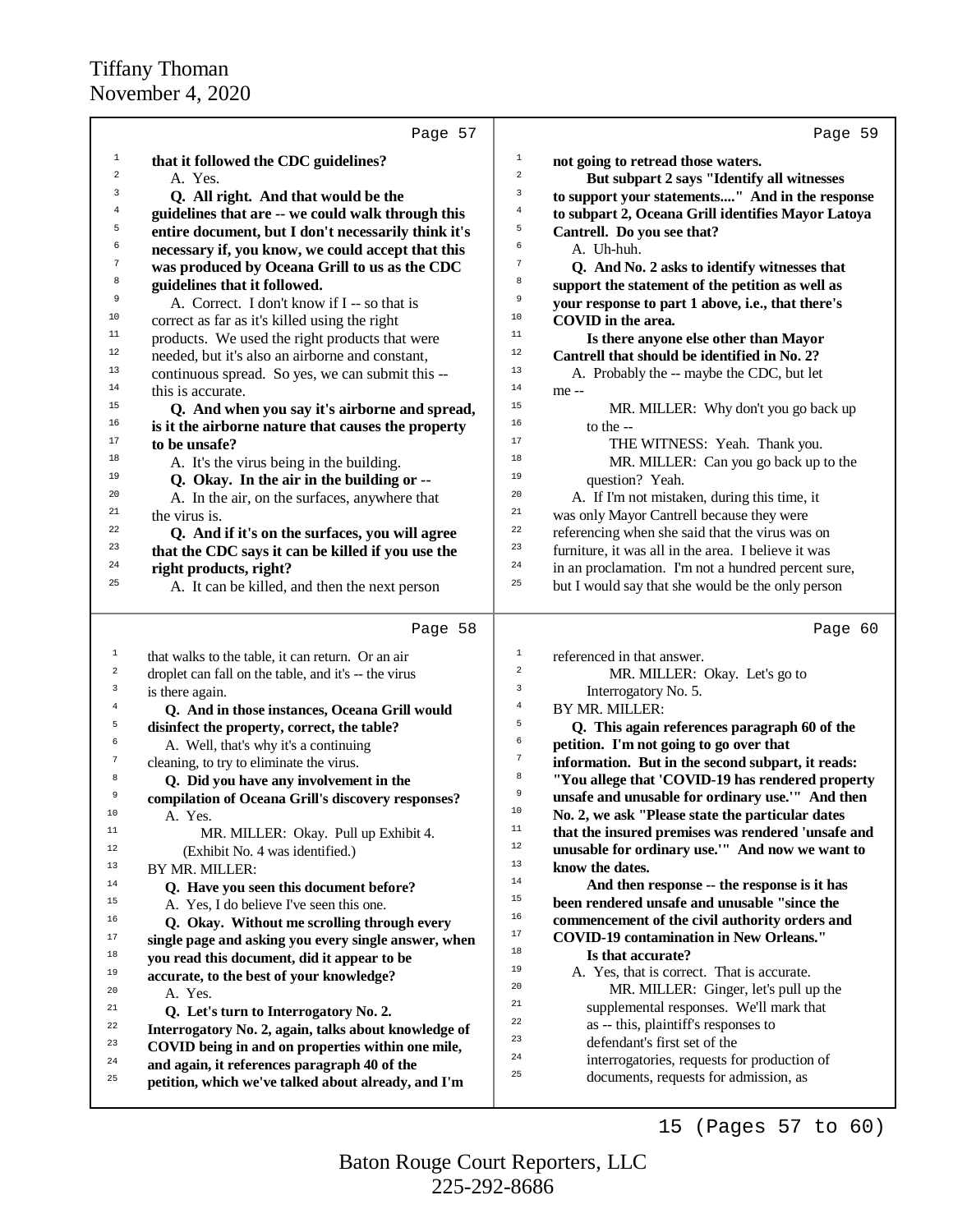|                | Page 57                                              | Page 59                                                                |
|----------------|------------------------------------------------------|------------------------------------------------------------------------|
| $\mathbf{1}$   | that it followed the CDC guidelines?                 | $\mathbf 1$<br>not going to retread those waters.                      |
| 2              | A. Yes.                                              | $\sqrt{2}$<br>But subpart 2 says "Identify all witnesses               |
| 3              | Q. All right. And that would be the                  | 3<br>to support your statements" And in the response                   |
| 4              | guidelines that are -- we could walk through this    | $\overline{4}$<br>to subpart 2, Oceana Grill identifies Mayor Latoya   |
| 5              | entire document, but I don't necessarily think it's  | 5<br>Cantrell. Do you see that?                                        |
| 6              | necessary if, you know, we could accept that this    | 6<br>A. Uh-huh.                                                        |
| 7              | was produced by Oceana Grill to us as the CDC        | $\boldsymbol{7}$<br>Q. And No. 2 asks to identify witnesses that       |
| 8              | guidelines that it followed.                         | 8<br>support the statement of the petition as well as                  |
| 9              | A. Correct. I don't know if I -- so that is          | 9<br>your response to part 1 above, i.e., that there's                 |
| 10             | correct as far as it's killed using the right        | 10<br>COVID in the area.                                               |
| 11             | products. We used the right products that were       | 11<br>Is there anyone else other than Mayor                            |
| 12             | needed, but it's also an airborne and constant,      | $12$<br>Cantrell that should be identified in No. 2?                   |
| 13             | continuous spread. So yes, we can submit this --     | 13<br>A. Probably the -- maybe the CDC, but let                        |
| 14             | this is accurate.                                    | 14<br>me --                                                            |
| 15             | Q. And when you say it's airborne and spread,        | 15<br>MR. MILLER: Why don't you go back up                             |
| 16             | is it the airborne nature that causes the property   | 16<br>to the --                                                        |
| 17             | to be unsafe?                                        | 17<br>THE WITNESS: Yeah. Thank you.                                    |
| 18             | A. It's the virus being in the building.             | 18<br>MR. MILLER: Can you go back up to the                            |
| 19             | Q. Okay. In the air in the building or --            | 19<br>question? Yeah.                                                  |
| 20             | A. In the air, on the surfaces, anywhere that        | 20<br>A. If I'm not mistaken, during this time, it                     |
| 21             | the virus is.                                        | 21<br>was only Mayor Cantrell because they were                        |
| 22             | Q. And if it's on the surfaces, you will agree       | 22<br>referencing when she said that the virus was on                  |
| 23             | that the CDC says it can be killed if you use the    | 23<br>furniture, it was all in the area. I believe it was              |
| 24             | right products, right?                               | 24<br>in an proclamation. I'm not a hundred percent sure,              |
| 25             | A. It can be killed, and then the next person        | 25<br>but I would say that she would be the only person                |
|                | Page 58                                              | Page 60                                                                |
| 1              | that walks to the table, it can return. Or an air    | $\,1$<br>referenced in that answer.                                    |
| $\overline{a}$ | droplet can fall on the table, and it's -- the virus | $\sqrt{2}$<br>MR. MILLER: Okay. Let's go to                            |
| 3              | is there again.                                      | 3<br>Interrogatory No. 5.                                              |
| $\bf{4}$       | Q. And in those instances, Oceana Grill would        | $\overline{4}$<br>BY MR. MILLER:                                       |
| 5              | disinfect the property, correct, the table?          | 5<br>Q. This again references paragraph 60 of the                      |
| 6              | A. Well, that's why it's a continuing                | 6<br>petition. I'm not going to go over that                           |
| 7              | cleaning, to try to eliminate the virus.             | $\boldsymbol{7}$<br>information. But in the second subpart, it reads:  |
| 8              | Q. Did you have any involvement in the               | 8<br>"You allege that 'COVID-19 has rendered property                  |
| 9              | compilation of Oceana Grill's discovery responses?   | 9<br>unsafe and unusable for ordinary use."" And then                  |
| 10             | A. Yes.                                              | 10<br>No. 2, we ask "Please state the particular dates                 |
| $11$           | MR. MILLER: Okay. Pull up Exhibit 4.                 | $11\,$<br>that the insured premises was rendered 'unsafe and<br>$12\,$ |
| $12\,$         | (Exhibit No. 4 was identified.)                      | unusable for ordinary use."" And now we want to<br>13                  |
| 13             | BY MR. MILLER:                                       | know the dates.<br>14                                                  |
| 14             | Q. Have you seen this document before?               | And then response -- the response is it has<br>15                      |
| 15             | A. Yes, I do believe I've seen this one.             | been rendered unsafe and unusable "since the<br>16                     |
| 16             | Q. Okay. Without me scrolling through every          | commencement of the civil authority orders and<br>17                   |
| 17             | single page and asking you every single answer, when | <b>COVID-19 contamination in New Orleans."</b><br>18                   |
| 18             | you read this document, did it appear to be          | Is that accurate?<br>19<br>A. Yes, that is correct. That is accurate.  |
| 19<br>20       | accurate, to the best of your knowledge?             | 20<br>MR. MILLER: Ginger, let's pull up the                            |
| 21             | A. Yes.                                              | 21<br>supplemental responses. We'll mark that                          |
| 22             | Q. Let's turn to Interrogatory No. 2.                | 22<br>as -- this, plaintiff's responses to                             |
| 23             | Interrogatory No. 2, again, talks about knowledge of | 23<br>defendant's first set of the                                     |
| 24             | COVID being in and on properties within one mile,    | 24<br>interrogatories, requests for production of                      |
| 25             | and again, it references paragraph 40 of the         | 25<br>documents, requests for admission, as                            |
|                | petition, which we've talked about already, and I'm  |                                                                        |

15 (Pages 57 to 60)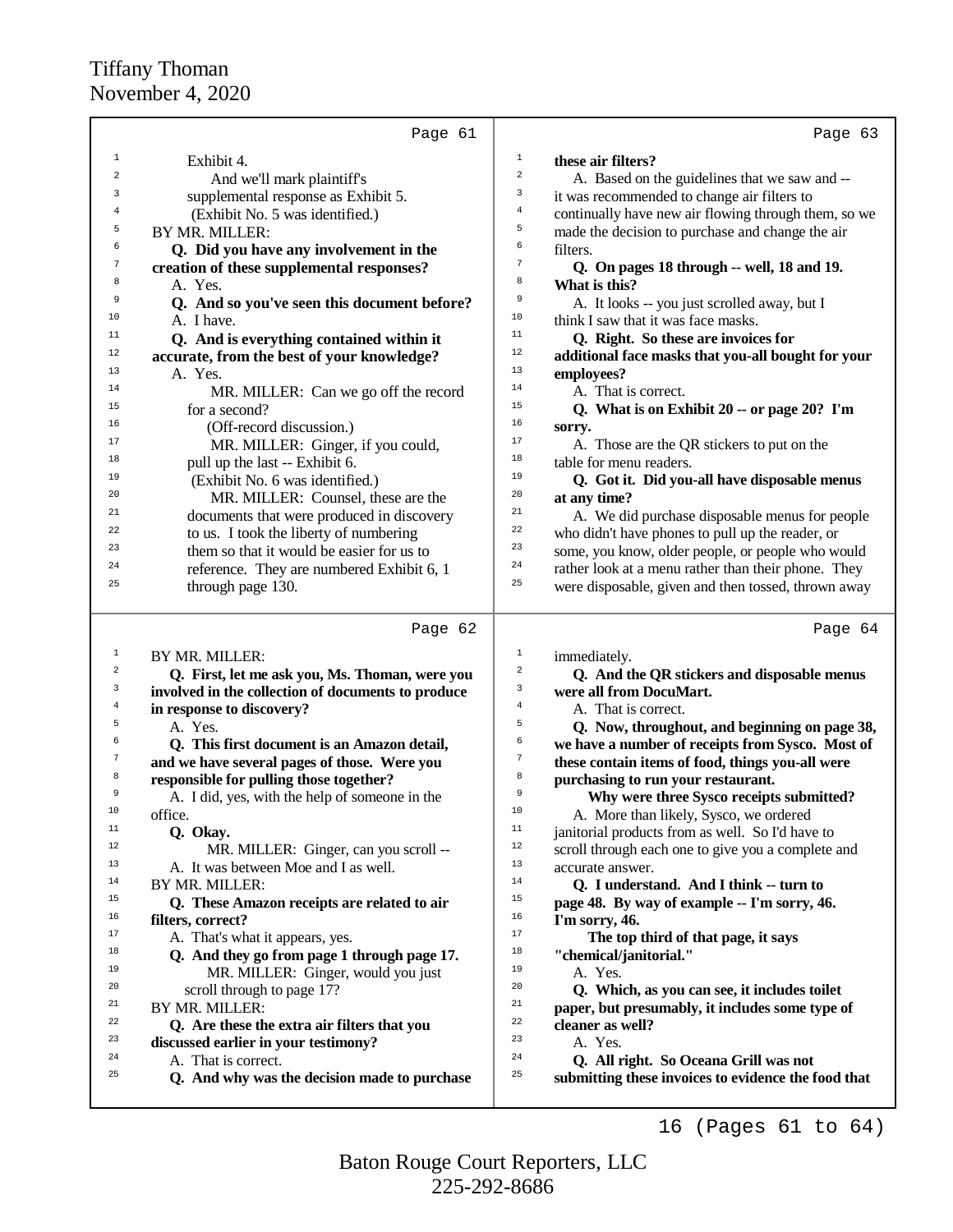|                  | Page 61                                                             | Page 63                                                                                                  |
|------------------|---------------------------------------------------------------------|----------------------------------------------------------------------------------------------------------|
| 1                | Exhibit 4.                                                          | $1\,$<br>these air filters?                                                                              |
| $\boldsymbol{2}$ | And we'll mark plaintiff's                                          | $\,2$<br>A. Based on the guidelines that we saw and --                                                   |
| 3                | supplemental response as Exhibit 5.                                 | 3                                                                                                        |
| 4                | (Exhibit No. 5 was identified.)                                     | it was recommended to change air filters to<br>4                                                         |
| 5                |                                                                     | continually have new air flowing through them, so we<br>5                                                |
| 6                | BY MR. MILLER:                                                      | made the decision to purchase and change the air<br>6                                                    |
|                  | Q. Did you have any involvement in the                              | filters.<br>7                                                                                            |
| 7                | creation of these supplemental responses?                           | Q. On pages 18 through -- well, 18 and 19.                                                               |
| 8                | A. Yes.                                                             | 8<br>What is this?                                                                                       |
| 9                | Q. And so you've seen this document before?                         | 9<br>A. It looks -- you just scrolled away, but I                                                        |
| 10               | A. I have.                                                          | 10<br>think I saw that it was face masks.                                                                |
| 11               | Q. And is everything contained within it                            | 11<br>Q. Right. So these are invoices for                                                                |
| 12               | accurate, from the best of your knowledge?                          | $12$<br>additional face masks that you-all bought for your                                               |
| 13               | A. Yes.                                                             | 13<br>employees?                                                                                         |
| 14               | MR. MILLER: Can we go off the record                                | 14<br>A. That is correct.                                                                                |
| 15               | for a second?                                                       | 15<br>Q. What is on Exhibit 20 -- or page 20? I'm                                                        |
| 16               | (Off-record discussion.)                                            | 16<br>sorry.                                                                                             |
| 17               | MR. MILLER: Ginger, if you could,                                   | 17<br>A. Those are the QR stickers to put on the                                                         |
| 18               | pull up the last -- Exhibit 6.                                      | 18<br>table for menu readers.                                                                            |
| 19               | (Exhibit No. 6 was identified.)                                     | 19<br>Q. Got it. Did you-all have disposable menus                                                       |
| 20               | MR. MILLER: Counsel, these are the                                  | 20<br>at any time?                                                                                       |
| 21               | documents that were produced in discovery                           | 21<br>A. We did purchase disposable menus for people                                                     |
| 22               | to us. I took the liberty of numbering                              | 22<br>who didn't have phones to pull up the reader, or                                                   |
| 23               | them so that it would be easier for us to                           | 23<br>some, you know, older people, or people who would                                                  |
| 24               | reference. They are numbered Exhibit 6, 1                           | 24<br>rather look at a menu rather than their phone. They                                                |
| 25               | through page 130.                                                   | 25<br>were disposable, given and then tossed, thrown away                                                |
|                  |                                                                     |                                                                                                          |
|                  |                                                                     |                                                                                                          |
|                  | Page 62                                                             | Page 64                                                                                                  |
| 1                |                                                                     | $1\,$                                                                                                    |
| 2                | BY MR. MILLER:                                                      | immediately.<br>$\,2$                                                                                    |
| 3                | Q. First, let me ask you, Ms. Thoman, were you                      | Q. And the QR stickers and disposable menus<br>3                                                         |
| 4                | involved in the collection of documents to produce                  | were all from DocuMart.<br>$\bf{4}$                                                                      |
| 5                | in response to discovery?                                           | A. That is correct.<br>5                                                                                 |
| 6                | A. Yes.                                                             | Q. Now, throughout, and beginning on page 38,<br>6                                                       |
| 7                | Q. This first document is an Amazon detail,                         | we have a number of receipts from Sysco. Most of<br>7                                                    |
| 8                | and we have several pages of those. Were you                        | these contain items of food, things you-all were<br>8                                                    |
| 9                | responsible for pulling those together?                             | purchasing to run your restaurant.<br>9                                                                  |
| 10               | A. I did, yes, with the help of someone in the                      | Why were three Sysco receipts submitted?<br>10                                                           |
| $11$             | office.                                                             | A. More than likely, Sysco, we ordered<br>11                                                             |
| 12               | Q. Okay.                                                            | janitorial products from as well. So I'd have to                                                         |
|                  | MR. MILLER: Ginger, can you scroll --                               | $12\,$<br>scroll through each one to give you a complete and                                             |
| 13               | A. It was between Moe and I as well.                                | 13<br>accurate answer.                                                                                   |
| 14               | BY MR. MILLER:                                                      | 14<br>Q. I understand. And I think -- turn to                                                            |
| 15               | Q. These Amazon receipts are related to air                         | 15<br>page 48. By way of example -- I'm sorry, 46.                                                       |
| 16               | filters, correct?                                                   | 16<br>I'm sorry, 46.                                                                                     |
| 17               | A. That's what it appears, yes.                                     | 17<br>The top third of that page, it says                                                                |
| 18               | Q. And they go from page 1 through page 17.                         | 18<br>"chemical/janitorial."                                                                             |
| 19               | MR. MILLER: Ginger, would you just                                  | 19<br>A. Yes.                                                                                            |
| 20               | scroll through to page 17?                                          | 20<br>Q. Which, as you can see, it includes toilet                                                       |
| 21               | BY MR. MILLER:                                                      | 21<br>paper, but presumably, it includes some type of                                                    |
| 22               | Q. Are these the extra air filters that you                         | 22<br>cleaner as well?                                                                                   |
| 23               | discussed earlier in your testimony?                                | 23<br>A. Yes.                                                                                            |
| 24<br>25         | A. That is correct.<br>Q. And why was the decision made to purchase | 24<br>Q. All right. So Oceana Grill was not<br>25<br>submitting these invoices to evidence the food that |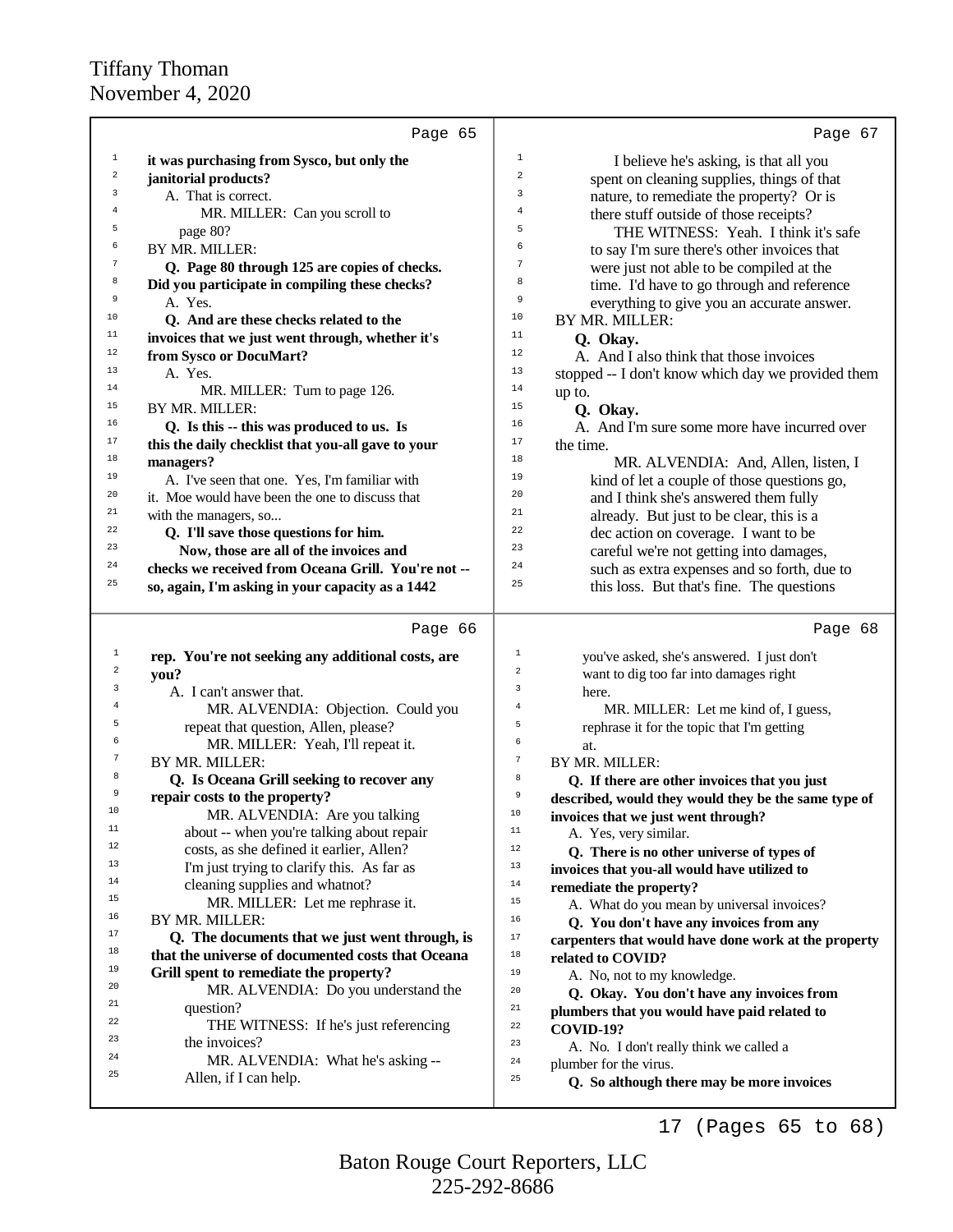|                         | Page 65                                             | Page 67                                                               |
|-------------------------|-----------------------------------------------------|-----------------------------------------------------------------------|
| $\mathbf 1$             | it was purchasing from Sysco, but only the          | $\mathbf{1}$<br>I believe he's asking, is that all you                |
| $\mathbf 2$             | janitorial products?                                | $\overline{\mathbf{c}}$<br>spent on cleaning supplies, things of that |
| 3                       | A. That is correct.                                 | 3<br>nature, to remediate the property? Or is                         |
| 4                       | MR. MILLER: Can you scroll to                       | 4<br>there stuff outside of those receipts?                           |
| 5                       | page 80?                                            | 5<br>THE WITNESS: Yeah. I think it's safe                             |
| 6                       | BY MR. MILLER:                                      | 6                                                                     |
| 7                       |                                                     | to say I'm sure there's other invoices that<br>7                      |
| 8                       | Q. Page 80 through 125 are copies of checks.        | were just not able to be compiled at the<br>8                         |
| 9                       | Did you participate in compiling these checks?      | time. I'd have to go through and reference<br>9                       |
| 10                      | A. Yes.                                             | everything to give you an accurate answer.<br>10                      |
|                         | Q. And are these checks related to the              | BY MR. MILLER:                                                        |
| 11                      | invoices that we just went through, whether it's    | 11<br>Q. Okay.                                                        |
| $12\,$                  | from Sysco or DocuMart?                             | 12<br>A. And I also think that those invoices                         |
| 13                      | A. Yes.                                             | 13<br>stopped -- I don't know which day we provided them              |
| 14                      | MR. MILLER: Turn to page 126.                       | 14<br>up to.                                                          |
| 15                      | BY MR. MILLER:                                      | 15<br>Q. Okay.                                                        |
| 16                      | Q. Is this -- this was produced to us. Is           | 16<br>A. And I'm sure some more have incurred over                    |
| 17                      | this the daily checklist that you-all gave to your  | 17<br>the time.                                                       |
| 18                      | managers?                                           | 18<br>MR. ALVENDIA: And, Allen, listen, I                             |
| 19                      | A. I've seen that one. Yes, I'm familiar with       | 19<br>kind of let a couple of those questions go,                     |
| 20                      | it. Moe would have been the one to discuss that     | 20<br>and I think she's answered them fully                           |
| 21                      | with the managers, so                               | 21<br>already. But just to be clear, this is a                        |
| 22                      | Q. I'll save those questions for him.               | 22<br>dec action on coverage. I want to be                            |
| 23                      | Now, those are all of the invoices and              | 23<br>careful we're not getting into damages,                         |
| 24                      | checks we received from Oceana Grill. You're not -- | 24<br>such as extra expenses and so forth, due to                     |
| 25                      | so, again, I'm asking in your capacity as a 1442    | 25<br>this loss. But that's fine. The questions                       |
|                         |                                                     |                                                                       |
|                         |                                                     |                                                                       |
|                         | Page 66                                             | Page 68                                                               |
| $\mathbf 1$             |                                                     | $\mathbf 1$                                                           |
| $\overline{\mathbf{c}}$ | rep. You're not seeking any additional costs, are   | you've asked, she's answered. I just don't<br>$\overline{a}$          |
| 3                       | you?                                                | want to dig too far into damages right<br>3                           |
| $\overline{4}$          | A. I can't answer that.                             | here.<br>$\overline{4}$                                               |
| 5                       | MR. ALVENDIA: Objection. Could you                  | MR. MILLER: Let me kind of, I guess,<br>5                             |
| 6                       | repeat that question, Allen, please?                | rephrase it for the topic that I'm getting<br>6                       |
| 7                       | MR. MILLER: Yeah, I'll repeat it.                   | at.<br>$\boldsymbol{7}$                                               |
| 8                       | BY MR. MILLER:                                      | BY MR. MILLER:                                                        |
| 9                       | Q. Is Oceana Grill seeking to recover any           | 8<br>Q. If there are other invoices that you just                     |
| 10                      | repair costs to the property?                       | 9<br>described, would they would they be the same type of             |
| 11                      | MR. ALVENDIA: Are you talking                       | 10<br>invoices that we just went through?                             |
| 12                      | about -- when you're talking about repair           | 11<br>A. Yes, very similar.                                           |
|                         | costs, as she defined it earlier, Allen?            | 12<br>Q. There is no other universe of types of                       |
| 13                      | I'm just trying to clarify this. As far as          | 13<br>invoices that you-all would have utilized to                    |
| 14                      | cleaning supplies and whatnot?                      | $1\,4$<br>remediate the property?                                     |
| 15                      | MR. MILLER: Let me rephrase it.                     | $15\,$<br>A. What do you mean by universal invoices?                  |
| 16                      | BY MR. MILLER:                                      | 16<br>Q. You don't have any invoices from any                         |
| 17                      | Q. The documents that we just went through, is      | $17\,$<br>carpenters that would have done work at the property        |
| 18                      | that the universe of documented costs that Oceana   | $18\,$<br>related to COVID?                                           |
| 19                      | Grill spent to remediate the property?              | 19<br>A. No, not to my knowledge.                                     |
| 20                      | MR. ALVENDIA: Do you understand the                 | 20<br>Q. Okay. You don't have any invoices from                       |
| 21                      | question?                                           | $21\,$<br>plumbers that you would have paid related to                |
| 22                      | THE WITNESS: If he's just referencing               | 22<br><b>COVID-19?</b>                                                |
| 23                      | the invoices?                                       | 23<br>A. No. I don't really think we called a                         |
| 24                      | MR. ALVENDIA: What he's asking --                   | 24<br>plumber for the virus.                                          |
| 25                      | Allen, if I can help.                               | 25<br>Q. So although there may be more invoices                       |

17 (Pages 65 to 68)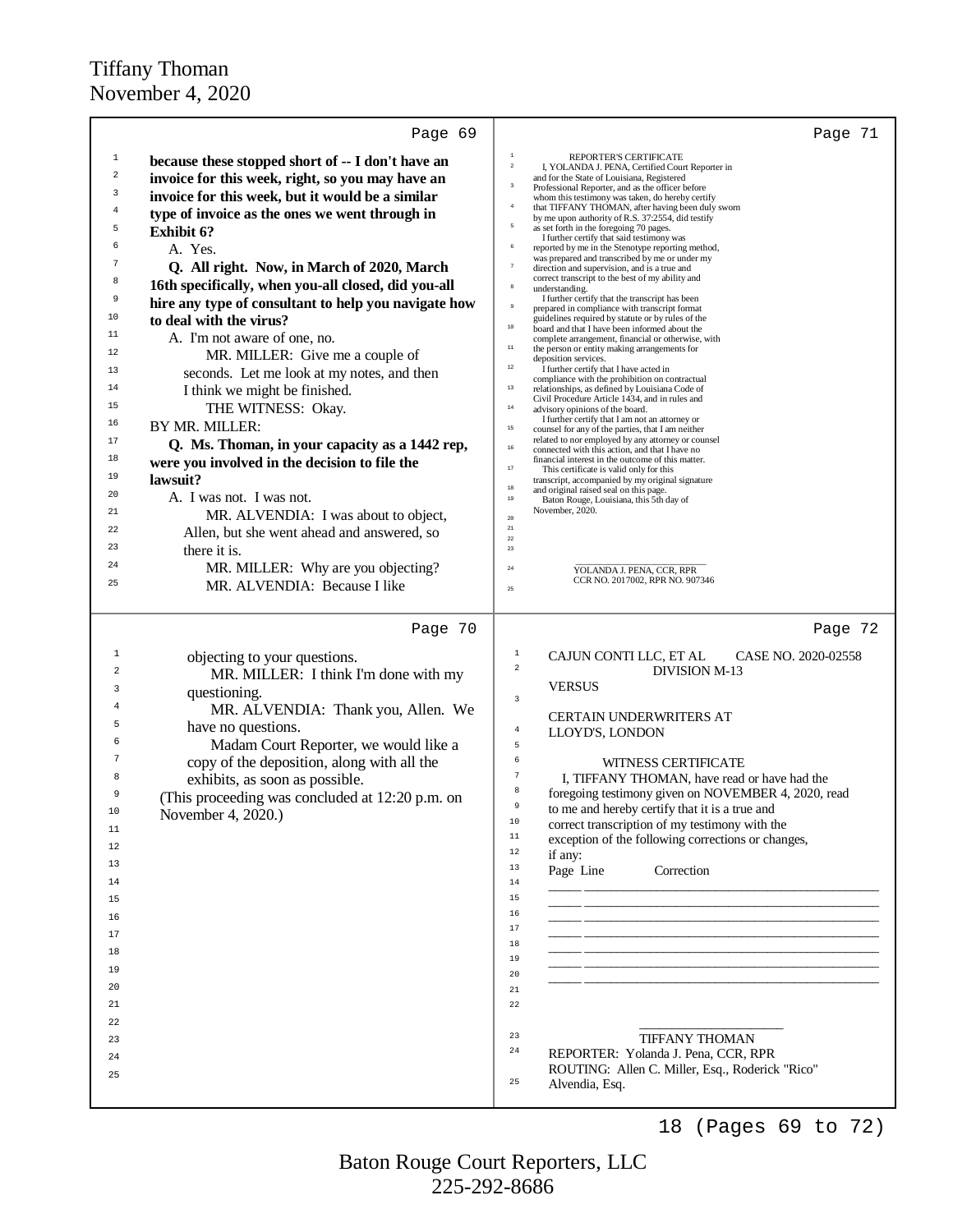|                | Page 69                                              | Page 71                                                                                                                 |
|----------------|------------------------------------------------------|-------------------------------------------------------------------------------------------------------------------------|
| $\mathbf{1}$   | because these stopped short of -- I don't have an    | REPORTER'S CERTIFICATE                                                                                                  |
| $\mathbf 2$    | invoice for this week, right, so you may have an     | $\overline{a}$<br>I, YOLANDA J. PENA, Certified Court Reporter in<br>and for the State of Louisiana, Registered         |
| 3              |                                                      | $\overline{\mathbf{3}}$<br>Professional Reporter, and as the officer before                                             |
| $\overline{4}$ | invoice for this week, but it would be a similar     | whom this testimony was taken, do hereby certify<br>$\bf{4}$<br>that TIFFANY THOMAN, after having been duly sworn       |
| 5              | type of invoice as the ones we went through in       | by me upon authority of R.S. 37:2554, did testify<br>$\overline{5}$<br>as set forth in the foregoing 70 pages.          |
| 6              | <b>Exhibit 6?</b>                                    | I further certify that said testimony was<br>6                                                                          |
| 7              | A. Yes.                                              | reported by me in the Stenotype reporting method,<br>was prepared and transcribed by me or under my                     |
| 8              | Q. All right. Now, in March of 2020, March           | $\scriptstyle\rm 7$<br>direction and supervision, and is a true and<br>correct transcript to the best of my ability and |
|                | 16th specifically, when you-all closed, did you-all  | $^{\rm 8}$<br>understanding.<br>I further certify that the transcript has been                                          |
| 9              | hire any type of consultant to help you navigate how | $\overline{9}$<br>prepared in compliance with transcript format                                                         |
| 10             | to deal with the virus?                              | guidelines required by statute or by rules of the<br>$10$<br>board and that I have been informed about the              |
| 11             | A. I'm not aware of one, no.                         | complete arrangement, financial or otherwise, with<br>$11\,$<br>the person or entity making arrangements for            |
| 12             | MR. MILLER: Give me a couple of                      | deposition services.<br>$12\,$                                                                                          |
| 13             | seconds. Let me look at my notes, and then           | I further certify that I have acted in<br>compliance with the prohibition on contractual                                |
| 14             | I think we might be finished.                        | $13\,$<br>relationships, as defined by Louisiana Code of<br>Civil Procedure Article 1434, and in rules and              |
| 15             | THE WITNESS: Okay.                                   | $14\,$<br>advisory opinions of the board.<br>I further certify that I am not an attorney or                             |
| 16             | BY MR. MILLER:                                       | $15\,$<br>counsel for any of the parties, that I am neither                                                             |
| 17             | Q. Ms. Thoman, in your capacity as a 1442 rep,       | related to nor employed by any attorney or counsel<br>$16\,$<br>connected with this action, and that I have no          |
| 18             | were you involved in the decision to file the        | financial interest in the outcome of this matter.<br>$17\,$<br>This certificate is valid only for this                  |
| 19             | lawsuit?                                             | transcript, accompanied by my original signature<br>$18\,$<br>and original raised seal on this page.                    |
| 20             | A. I was not. I was not.                             | $19\,$<br>Baton Rouge, Louisiana, this 5th day of                                                                       |
| 21             | MR. ALVENDIA: I was about to object,                 | November, 2020.<br>$20\,$                                                                                               |
| 22             | Allen, but she went ahead and answered, so           | $21\,$<br>$22\,$                                                                                                        |
| 23             | there it is.                                         | 23                                                                                                                      |
| 24             | MR. MILLER: Why are you objecting?                   | $\rm 24$<br>YOLANDA J. PENA, CCR, RPR                                                                                   |
| 25             | MR. ALVENDIA: Because I like                         | CCR NO. 2017002, RPR NO. 907346<br>25                                                                                   |
|                |                                                      |                                                                                                                         |
|                | Page 70                                              | Page 72                                                                                                                 |
| 1              | objecting to your questions.                         | 1<br>CAJUN CONTI LLC, ET AL<br>CASE NO. 2020-02558                                                                      |
| 2              | MR. MILLER: I think I'm done with my                 | $\sqrt{2}$<br><b>DIVISION M-13</b>                                                                                      |
| 3              | questioning.                                         | <b>VERSUS</b><br>3                                                                                                      |
|                | MR. ALVENDIA: Thank you, Allen. We                   | <b>CERTAIN UNDERWRITERS AT</b>                                                                                          |
|                | have no questions.                                   | $\overline{4}$<br>LLOYD'S, LONDON                                                                                       |
| 6              | Madam Court Reporter, we would like a                | 5                                                                                                                       |
|                | copy of the deposition, along with all the           | 6<br>WITNESS CERTIFICATE                                                                                                |
| 8              | exhibits, as soon as possible.                       | 7<br>I, TIFFANY THOMAN, have read or have had the                                                                       |
| 9              | (This proceeding was concluded at 12:20 p.m. on      | 8<br>foregoing testimony given on NOVEMBER 4, 2020, read<br>9                                                           |
| 10             | November 4, 2020.)                                   | to me and hereby certify that it is a true and<br>10<br>correct transcription of my testimony with the                  |
| 11             |                                                      | $1\,1$<br>exception of the following corrections or changes,                                                            |
| 12             |                                                      | $1\,2$<br>if any:                                                                                                       |
| 13             |                                                      | 13<br>Page Line<br>Correction                                                                                           |
| 14             |                                                      | 14                                                                                                                      |
| 15             |                                                      | 15<br>16                                                                                                                |
| 16             |                                                      | 17                                                                                                                      |
| 17             |                                                      | 18                                                                                                                      |
| 18             |                                                      | 19                                                                                                                      |
| 19             |                                                      | 20                                                                                                                      |
| 20             |                                                      | $2\,1$                                                                                                                  |
| 21             |                                                      | 22                                                                                                                      |
| 22             |                                                      |                                                                                                                         |
| 23             |                                                      | 23<br><b>TIFFANY THOMAN</b><br>$2\,4$                                                                                   |
| 24             |                                                      | REPORTER: Yolanda J. Pena, CCR, RPR<br>ROUTING: Allen C. Miller, Esq., Roderick "Rico"                                  |
| 25             |                                                      | 25<br>Alvendia, Esq.                                                                                                    |
|                |                                                      |                                                                                                                         |
|                |                                                      | 18<br>(Pages 69 to 72)                                                                                                  |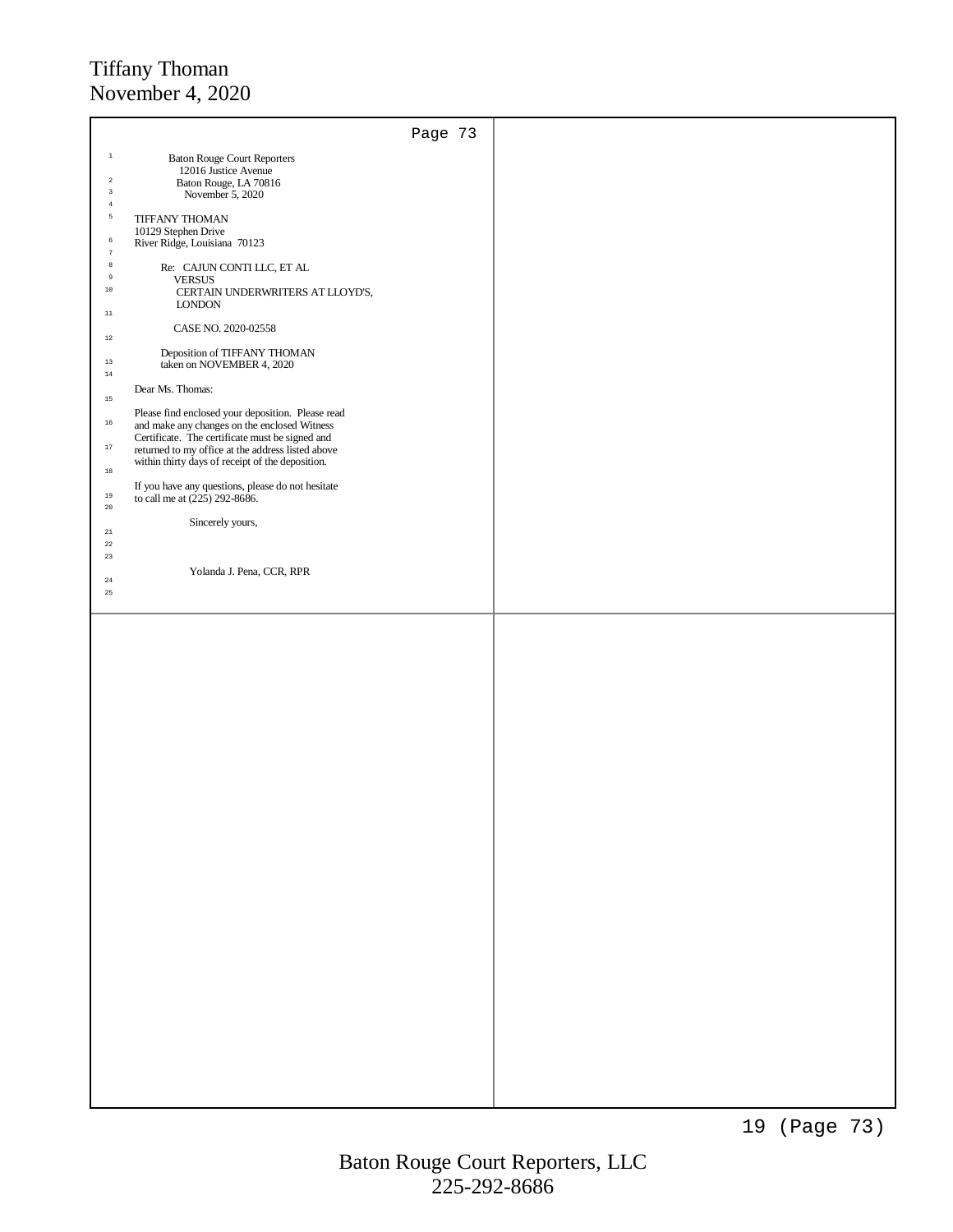|                            |                                                                                                   | Page 73 |  |
|----------------------------|---------------------------------------------------------------------------------------------------|---------|--|
| $\,$ $\,$                  | <b>Baton Rouge Court Reporters</b>                                                                |         |  |
|                            | 12016 Justice Avenue                                                                              |         |  |
| $\sqrt{2}$                 | Baton Rouge, LA 70816                                                                             |         |  |
| $\,$ 3<br>$\,4\,$          | November 5, 2020                                                                                  |         |  |
| $\mathsf S$                | <b>TIFFANY THOMAN</b>                                                                             |         |  |
|                            | 10129 Stephen Drive                                                                               |         |  |
| $\,$ 6<br>$\boldsymbol{7}$ | River Ridge, Louisiana 70123                                                                      |         |  |
| $^{\rm 8}$                 | Re: CAJUN CONTI LLC, ET AL                                                                        |         |  |
| $\,9$                      | <b>VERSUS</b>                                                                                     |         |  |
| $10\,$                     | CERTAIN UNDERWRITERS AT LLOYD'S,                                                                  |         |  |
| $11\,$                     | <b>LONDON</b>                                                                                     |         |  |
|                            | CASE NO. 2020-02558                                                                               |         |  |
| $12\,$                     |                                                                                                   |         |  |
| $13\,$                     | Deposition of TIFFANY THOMAN                                                                      |         |  |
| $14\,$                     | taken on NOVEMBER 4, 2020                                                                         |         |  |
|                            | Dear Ms. Thomas:                                                                                  |         |  |
| 15                         |                                                                                                   |         |  |
| $16\,$                     | Please find enclosed your deposition. Please read<br>and make any changes on the enclosed Witness |         |  |
|                            | Certificate. The certificate must be signed and                                                   |         |  |
| $17\,$                     | returned to my office at the address listed above                                                 |         |  |
| $18\,$                     | within thirty days of receipt of the deposition.                                                  |         |  |
|                            | If you have any questions, please do not hesitate                                                 |         |  |
| $19\,$                     | to call me at $(225)$ 292-8686.                                                                   |         |  |
| $20\,$                     | Sincerely yours,                                                                                  |         |  |
| $21\,$                     |                                                                                                   |         |  |
| $^{\rm 22}$                |                                                                                                   |         |  |
| $^{\rm 23}$                |                                                                                                   |         |  |
| $\bf 24$                   | Yolanda J. Pena, CCR, RPR                                                                         |         |  |
| 25                         |                                                                                                   |         |  |
|                            |                                                                                                   |         |  |
|                            |                                                                                                   |         |  |
|                            |                                                                                                   |         |  |
|                            |                                                                                                   |         |  |
|                            |                                                                                                   |         |  |
|                            |                                                                                                   |         |  |
|                            |                                                                                                   |         |  |
|                            |                                                                                                   |         |  |
|                            |                                                                                                   |         |  |
|                            |                                                                                                   |         |  |
|                            |                                                                                                   |         |  |
|                            |                                                                                                   |         |  |
|                            |                                                                                                   |         |  |
|                            |                                                                                                   |         |  |
|                            |                                                                                                   |         |  |
|                            |                                                                                                   |         |  |
|                            |                                                                                                   |         |  |
|                            |                                                                                                   |         |  |
|                            |                                                                                                   |         |  |
|                            |                                                                                                   |         |  |
|                            |                                                                                                   |         |  |
|                            |                                                                                                   |         |  |
|                            |                                                                                                   |         |  |
|                            |                                                                                                   |         |  |
|                            |                                                                                                   |         |  |
|                            |                                                                                                   |         |  |
|                            |                                                                                                   |         |  |
|                            |                                                                                                   |         |  |
|                            |                                                                                                   |         |  |
|                            |                                                                                                   |         |  |
|                            |                                                                                                   |         |  |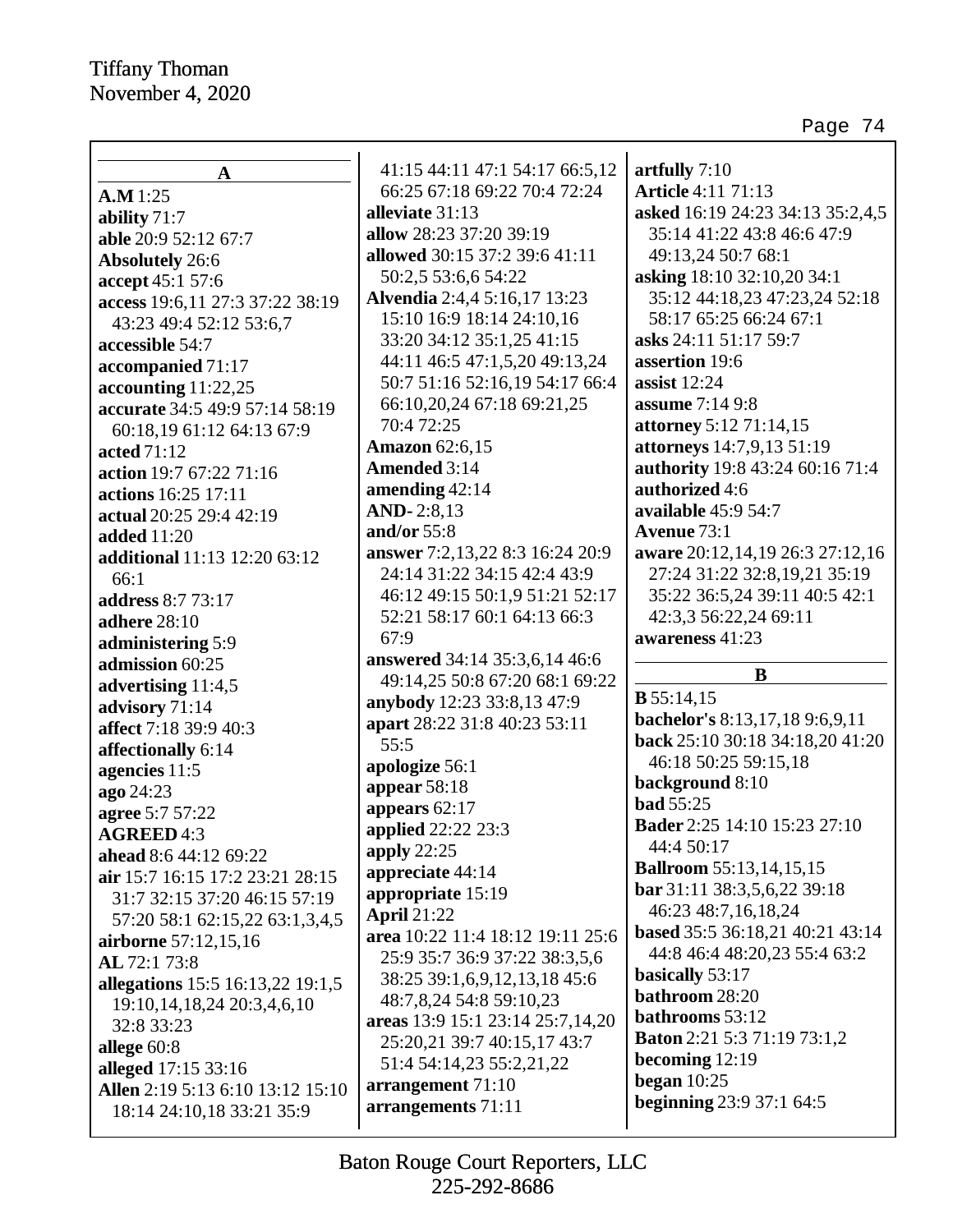$\mathbf l$ 

Page 74

|                                                               | 41:15 44:11 47:1 54:17 66:5,12          | artfully $7:10$                     |
|---------------------------------------------------------------|-----------------------------------------|-------------------------------------|
| $\mathbf A$                                                   | 66:25 67:18 69:22 70:4 72:24            | <b>Article 4:11 71:13</b>           |
| A.M 1:25                                                      | alleviate 31:13                         | asked 16:19 24:23 34:13 35:2,4,5    |
| ability 71:7                                                  | allow 28:23 37:20 39:19                 | 35:14 41:22 43:8 46:6 47:9          |
| able 20:9 52:12 67:7                                          | allowed 30:15 37:2 39:6 41:11           | 49:13,24 50:7 68:1                  |
| <b>Absolutely</b> 26:6                                        | 50:2,5 53:6,6 54:22                     | asking 18:10 32:10,20 34:1          |
| accept 45:1 57:6                                              | Alvendia 2:4,4 5:16,17 13:23            | 35:12 44:18,23 47:23,24 52:18       |
| access 19:6,11 27:3 37:22 38:19                               | 15:10 16:9 18:14 24:10,16               | 58:17 65:25 66:24 67:1              |
| 43:23 49:4 52:12 53:6,7                                       | 33:20 34:12 35:1,25 41:15               | asks 24:11 51:17 59:7               |
| accessible 54:7                                               | 44:11 46:5 47:1,5,20 49:13,24           | assertion 19:6                      |
| accompanied 71:17                                             |                                         | assist $12:24$                      |
| accounting $11:22,25$                                         | 50:7 51:16 52:16,19 54:17 66:4          |                                     |
| accurate 34:5 49:9 57:14 58:19                                | 66:10,20,24 67:18 69:21,25              | assume 7:14 9:8                     |
| 60:18,19 61:12 64:13 67:9                                     | 70:4 72:25                              | attorney 5:12 71:14,15              |
| acted 71:12                                                   | <b>Amazon</b> 62:6,15                   | attorneys 14:7,9,13 51:19           |
| action 19:7 67:22 71:16                                       | Amended 3:14                            | authority 19:8 43:24 60:16 71:4     |
| actions 16:25 17:11                                           | amending $42:14$                        | authorized 4:6                      |
| actual 20:25 29:4 42:19                                       | AND-2:8,13                              | available 45:9 54:7                 |
| <b>added</b> 11:20                                            | and/or $55:8$                           | <b>Avenue</b> 73:1                  |
| additional 11:13 12:20 63:12                                  | answer 7:2,13,22 8:3 16:24 20:9         | aware 20:12,14,19 26:3 27:12,16     |
| 66:1                                                          | 24:14 31:22 34:15 42:4 43:9             | 27:24 31:22 32:8,19,21 35:19        |
| address 8:7 73:17                                             | 46:12 49:15 50:1,9 51:21 52:17          | 35:22 36:5,24 39:11 40:5 42:1       |
| adhere 28:10                                                  | 52:21 58:17 60:1 64:13 66:3             | 42:3,3 56:22,24 69:11               |
| administering 5:9                                             | 67:9                                    | awareness 41:23                     |
| admission 60:25                                               | answered 34:14 35:3,6,14 46:6           |                                     |
|                                                               |                                         |                                     |
|                                                               | 49:14,25 50:8 67:20 68:1 69:22          | B                                   |
| advertising 11:4,5                                            | anybody 12:23 33:8,13 47:9              | $B$ 55:14,15                        |
| advisory 71:14                                                | apart 28:22 31:8 40:23 53:11            | bachelor's 8:13,17,18 9:6,9,11      |
| affect 7:18 39:9 40:3                                         | 55:5                                    | back 25:10 30:18 34:18,20 41:20     |
| affectionally 6:14                                            | apologize 56:1                          | 46:18 50:25 59:15,18                |
| agencies 11:5                                                 | appear $58:18$                          | background 8:10                     |
| ago 24:23                                                     | appears $62:17$                         | <b>bad</b> 55:25                    |
| agree 5:7 57:22                                               |                                         | <b>Bader</b> 2:25 14:10 15:23 27:10 |
| <b>AGREED 4:3</b>                                             | applied 22:22 23:3<br>apply $22:25$     | 44:4 50:17                          |
| ahead 8:6 44:12 69:22                                         | appreciate 44:14                        | <b>Ballroom</b> 55:13,14,15,15      |
| air 15:7 16:15 17:2 23:21 28:15                               | appropriate 15:19                       | bar 31:11 38:3,5,6,22 39:18         |
| 31:7 32:15 37:20 46:15 57:19                                  | <b>April 21:22</b>                      | 46:23 48:7,16,18,24                 |
| 57:20 58:1 62:15,22 63:1,3,4,5                                |                                         | based 35:5 36:18,21 40:21 43:14     |
| airborne 57:12,15,16                                          | area 10:22 11:4 18:12 19:11 25:6        | 44:8 46:4 48:20,23 55:4 63:2        |
| AL 72:1 73:8                                                  | 25:9 35:7 36:9 37:22 38:3,5,6           | basically 53:17                     |
| allegations 15:5 16:13,22 19:1,5                              | 38:25 39:1,6,9,12,13,18 45:6            | bathroom 28:20                      |
| 19:10, 14, 18, 24 20:3, 4, 6, 10                              | 48:7,8,24 54:8 59:10,23                 | bathrooms 53:12                     |
| 32:8 33:23                                                    | areas 13:9 15:1 23:14 25:7,14,20        | <b>Baton</b> 2:21 5:3 71:19 73:1,2  |
| allege $60:8$                                                 | 25:20,21 39:7 40:15,17 43:7             | becoming 12:19                      |
| alleged 17:15 33:16                                           | 51:4 54:14,23 55:2,21,22                | began $10:25$                       |
| Allen 2:19 5:13 6:10 13:12 15:10<br>18:14 24:10,18 33:21 35:9 | arrangement 71:10<br>arrangements 71:11 | <b>beginning</b> 23:9 37:1 64:5     |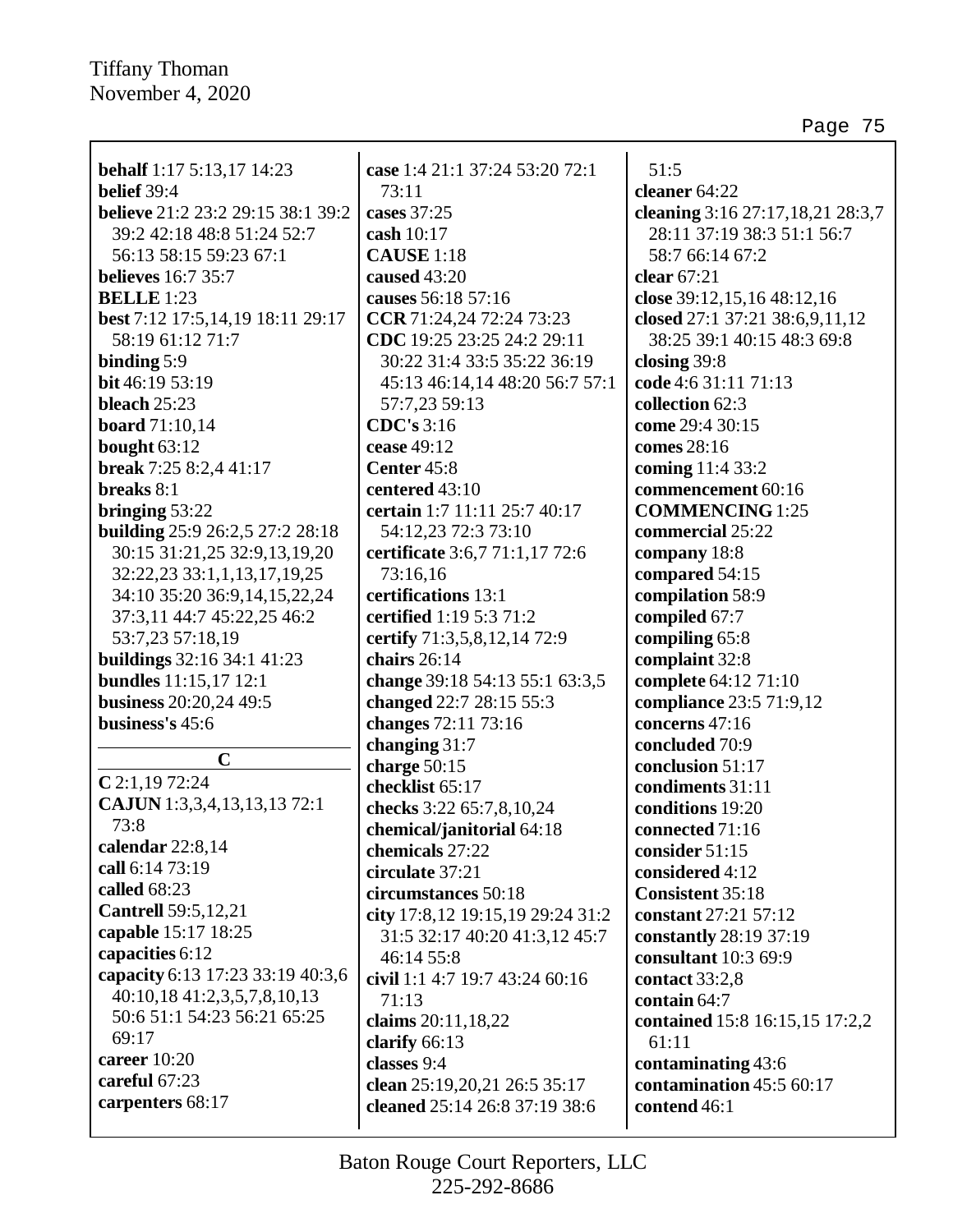| <b>behalf</b> 1:17 5:13,17 14:23  | case 1:4 21:1 37:24 53:20 72:1   | 51:5                             |
|-----------------------------------|----------------------------------|----------------------------------|
| belief 39:4                       | 73:11                            | cleaner 64:22                    |
| believe 21:2 23:2 29:15 38:1 39:2 | cases 37:25                      | cleaning 3:16 27:17,18,21 28:3,7 |
| 39:2 42:18 48:8 51:24 52:7        | cash 10:17                       | 28:11 37:19 38:3 51:1 56:7       |
| 56:13 58:15 59:23 67:1            | <b>CAUSE</b> 1:18                | 58:7 66:14 67:2                  |
| <b>believes</b> 16:7 35:7         | caused 43:20                     | clear 67:21                      |
| <b>BELLE</b> 1:23                 | causes 56:18 57:16               | close 39:12,15,16 48:12,16       |
| best 7:12 17:5,14,19 18:11 29:17  | CCR 71:24,24 72:24 73:23         | closed 27:1 37:21 38:6,9,11,12   |
| 58:19 61:12 71:7                  | CDC 19:25 23:25 24:2 29:11       | 38:25 39:1 40:15 48:3 69:8       |
| binding $5:9$                     | 30:22 31:4 33:5 35:22 36:19      | closing $39:8$                   |
| bit 46:19 53:19                   | 45:13 46:14,14 48:20 56:7 57:1   | code 4:6 31:11 71:13             |
| bleach $25:23$                    | 57:7,23 59:13                    | collection 62:3                  |
| <b>board</b> 71:10,14             | <b>CDC's</b> 3:16                | come 29:4 30:15                  |
| bought 63:12                      | cease 49:12                      | comes 28:16                      |
| break 7:25 8:2,4 41:17            | Center 45:8                      | coming 11:4 33:2                 |
| breaks 8:1                        | centered 43:10                   | commencement 60:16               |
| bringing $53:22$                  | certain 1:7 11:11 25:7 40:17     | <b>COMMENCING</b> 1:25           |
| building 25:9 26:2,5 27:2 28:18   | 54:12,23 72:3 73:10              | commercial 25:22                 |
| 30:15 31:21,25 32:9,13,19,20      | certificate 3:6,7 71:1,17 72:6   | company 18:8                     |
| 32:22,23 33:1,1,13,17,19,25       | 73:16,16                         | compared 54:15                   |
| 34:10 35:20 36:9,14,15,22,24      | certifications 13:1              | compilation 58:9                 |
| 37:3,11 44:7 45:22,25 46:2        | certified 1:19 5:3 71:2          | compiled 67:7                    |
| 53:7,23 57:18,19                  | certify 71:3,5,8,12,14 72:9      | compiling 65:8                   |
| <b>buildings</b> 32:16 34:1 41:23 | chairs 26:14                     | complaint 32:8                   |
| <b>bundles</b> 11:15,17 12:1      | change 39:18 54:13 55:1 63:3,5   | complete 64:12 71:10             |
| business 20:20,24 49:5            | changed 22:7 28:15 55:3          | compliance 23:5 71:9,12          |
| business's 45:6                   | changes 72:11 73:16              | concerns 47:16                   |
|                                   | changing 31:7                    | concluded 70:9                   |
| $\mathbf C$                       | charge 50:15                     | conclusion 51:17                 |
| $C$ 2:1,19 72:24                  | checklist 65:17                  | condiments 31:11                 |
| CAJUN 1:3,3,4,13,13,13 72:1       | checks 3:22 65:7,8,10,24         | conditions 19:20                 |
| 73:8                              | chemical/janitorial 64:18        | connected 71:16                  |
| calendar 22:8,14                  | chemicals 27:22                  | consider $51:15$                 |
| call 6:14 73:19                   | circulate 37:21                  | considered 4:12                  |
| called 68:23                      | circumstances 50:18              | <b>Consistent 35:18</b>          |
| <b>Cantrell</b> 59:5,12,21        | city 17:8,12 19:15,19 29:24 31:2 | constant 27:21 57:12             |
| capable 15:17 18:25               | 31:5 32:17 40:20 41:3,12 45:7    | constantly 28:19 37:19           |
| capacities 6:12                   | 46:14 55:8                       | consultant 10:3 69:9             |
| capacity 6:13 17:23 33:19 40:3,6  | civil 1:1 4:7 19:7 43:24 60:16   | contact 33:2,8                   |
| 40:10,18 41:2,3,5,7,8,10,13       | 71:13                            | contain 64:7                     |
| 50:6 51:1 54:23 56:21 65:25       | claims 20:11,18,22               | contained 15:8 16:15,15 17:2,2   |
| 69:17                             | clarify $66:13$                  | 61:11                            |
| career $10:20$                    | classes 9:4                      | contaminating 43:6               |
| careful 67:23                     | clean 25:19,20,21 26:5 35:17     | contamination 45:5 60:17         |
| carpenters 68:17                  | cleaned 25:14 26:8 37:19 38:6    | contend 46:1                     |
|                                   |                                  |                                  |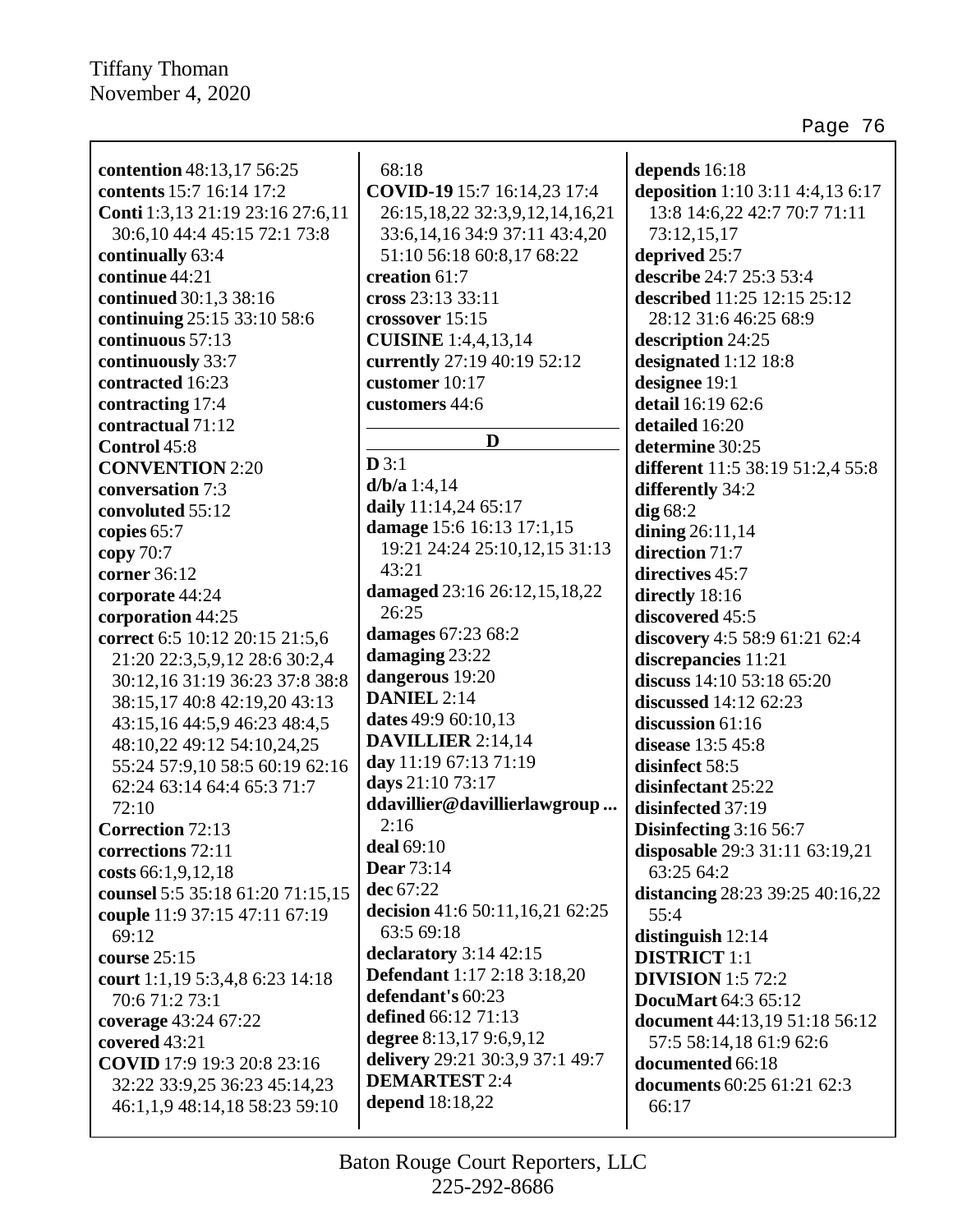$\mathbf l$ 

| contention 48:13,17 56:25<br>contents 15:7 16:14 17:2 | 68:18<br>COVID-19 15:7 16:14,23 17:4       | depends 16:18<br>deposition 1:10 3:11 4:4,13 6:17 |
|-------------------------------------------------------|--------------------------------------------|---------------------------------------------------|
| Conti 1:3,13 21:19 23:16 27:6,11                      | 26:15, 18, 22 32:3, 9, 12, 14, 16, 21      | 13:8 14:6,22 42:7 70:7 71:11                      |
| 30:6,10 44:4 45:15 72:1 73:8                          | 33:6, 14, 16 34:9 37:11 43:4, 20           | 73:12,15,17                                       |
| continually 63:4                                      |                                            |                                                   |
| continue 44:21                                        | 51:10 56:18 60:8,17 68:22<br>creation 61:7 | deprived 25:7<br>describe 24:7 25:3 53:4          |
|                                                       | cross 23:13 33:11                          |                                                   |
| continued 30:1,3 38:16                                |                                            | described 11:25 12:15 25:12                       |
| continuing 25:15 33:10 58:6                           | crossover 15:15                            | 28:12 31:6 46:25 68:9                             |
| continuous 57:13                                      | <b>CUISINE</b> 1:4,4,13,14                 | description 24:25                                 |
| continuously 33:7                                     | currently 27:19 40:19 52:12                | designated 1:12 18:8                              |
| contracted 16:23                                      | customer 10:17                             | designee 19:1                                     |
| contracting 17:4                                      | customers 44:6                             | detail 16:19 62:6                                 |
| contractual 71:12                                     | D                                          | detailed 16:20                                    |
| Control 45:8                                          | D3:1                                       | determine 30:25                                   |
| <b>CONVENTION 2:20</b>                                | $d/b/a$ 1:4,14                             | different 11:5 38:19 51:2,4 55:8                  |
| conversation 7:3                                      |                                            | differently 34:2                                  |
| convoluted 55:12                                      | daily 11:14,24 65:17                       | $dig$ 68:2                                        |
| copies 65:7                                           | damage 15:6 16:13 17:1,15                  | dining $26:11,14$                                 |
| copy 70:7                                             | 19:21 24:24 25:10,12,15 31:13<br>43:21     | direction 71:7                                    |
| corner 36:12                                          |                                            | directives 45:7                                   |
| corporate 44:24                                       | damaged 23:16 26:12,15,18,22               | directly 18:16                                    |
| corporation 44:25                                     | 26:25                                      | discovered 45:5                                   |
| correct 6:5 10:12 20:15 21:5,6                        | damages 67:23 68:2                         | discovery 4:5 58:9 61:21 62:4                     |
| 21:20 22:3,5,9,12 28:6 30:2,4                         | damaging 23:22                             | discrepancies 11:21                               |
| 30:12,16 31:19 36:23 37:8 38:8                        | dangerous 19:20                            | discuss 14:10 53:18 65:20                         |
| 38:15,17 40:8 42:19,20 43:13                          | <b>DANIEL 2:14</b>                         | discussed $14:12\,62:23$                          |
| 43:15,16 44:5,9 46:23 48:4,5                          | dates 49:9 60:10,13                        | discussion 61:16                                  |
| 48:10,22 49:12 54:10,24,25                            | <b>DAVILLIER</b> 2:14,14                   | disease 13:5 45:8                                 |
| 55:24 57:9,10 58:5 60:19 62:16                        | day 11:19 67:13 71:19                      | disinfect 58:5                                    |
| 62:24 63:14 64:4 65:3 71:7                            | days 21:10 73:17                           | disinfectant 25:22                                |
| 72:10                                                 | ddavillier@davillierlawgroup               | disinfected 37:19                                 |
| <b>Correction 72:13</b>                               | 2:16                                       | Disinfecting 3:16 56:7                            |
| corrections 72:11                                     | <b>deal</b> 69:10                          | disposable 29:3 31:11 63:19,21                    |
| costs 66:1,9,12,18                                    | <b>Dear</b> 73:14                          | 63:25 64:2                                        |
| counsel 5:5 35:18 61:20 71:15,15                      | dec 67:22                                  | distancing $28:23\,39:25\,40:16,22$               |
| couple 11:9 37:15 47:11 67:19                         | decision 41:6 50:11,16,21 62:25            | 55:4                                              |
| 69:12                                                 | 63:5 69:18                                 | distinguish $12:14$                               |
| course $25:15$                                        | declaratory $3:14$ 42:15                   | <b>DISTRICT</b> 1:1                               |
| court 1:1,19 5:3,4,8 6:23 14:18                       | <b>Defendant</b> 1:17 2:18 3:18,20         | <b>DIVISION</b> 1:5 72:2                          |
| 70:6 71:2 73:1                                        | defendant's 60:23                          | <b>DocuMart</b> 64:3 65:12                        |
| coverage 43:24 67:22                                  | defined 66:12 71:13                        | document 44:13,19 51:18 56:12                     |
| covered 43:21                                         | degree 8:13,17 9:6,9,12                    | 57:5 58:14,18 61:9 62:6                           |
| COVID 17:9 19:3 20:8 23:16                            | delivery 29:21 30:3,9 37:1 49:7            | documented 66:18                                  |
| 32:22 33:9,25 36:23 45:14,23                          | <b>DEMARTEST 2:4</b>                       | documents 60:25 61:21 62:3                        |
| 46:1,1,9 48:14,18 58:23 59:10                         | depend 18:18,22                            | 66:17                                             |
|                                                       |                                            |                                                   |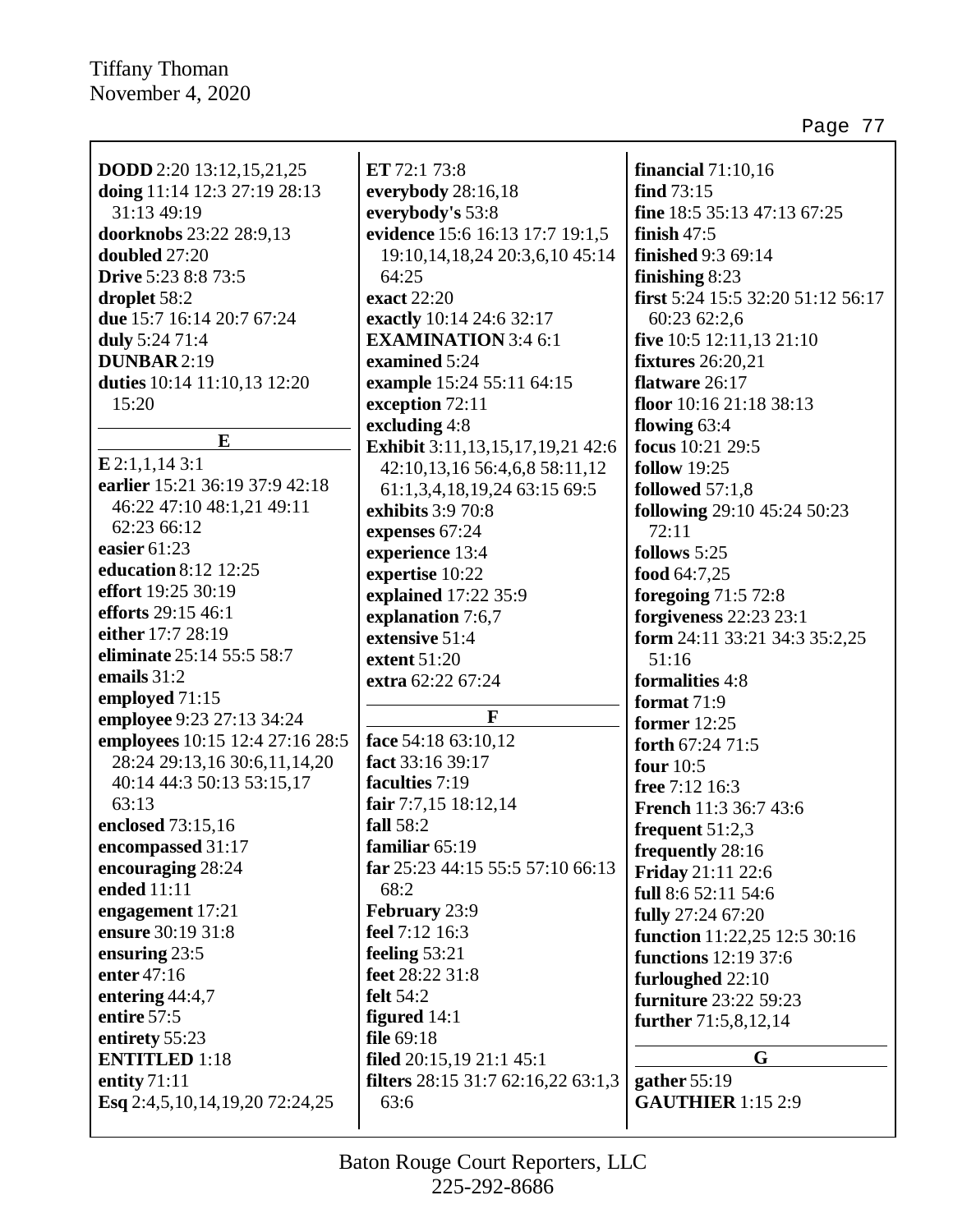| <b>DODD</b> 2:20 13:12,15,21,25                    | ET 72:1 73:8<br>everybody 28:16,18                  | financial $71:10,16$<br>find $73:15$ |
|----------------------------------------------------|-----------------------------------------------------|--------------------------------------|
| doing 11:14 12:3 27:19 28:13<br>31:13 49:19        |                                                     | fine 18:5 35:13 47:13 67:25          |
|                                                    | everybody's 53:8<br>evidence 15:6 16:13 17:7 19:1,5 |                                      |
| doorknobs 23:22 28:9,13<br>doubled 27:20           |                                                     | finish $47:5$                        |
|                                                    | 19:10, 14, 18, 24 20:3, 6, 10 45:14                 | <b>finished</b> 9:3 69:14            |
| <b>Drive</b> 5:23 8:8 73:5                         | 64:25                                               | finishing $8:23$                     |
| droplet 58:2                                       | exact 22:20                                         | first 5:24 15:5 32:20 51:12 56:17    |
| due 15:7 16:14 20:7 67:24                          | exactly 10:14 24:6 32:17                            | 60:23 62:2,6                         |
| duly 5:24 71:4                                     | <b>EXAMINATION</b> 3:4 6:1                          | five 10:5 12:11,13 21:10             |
| <b>DUNBAR 2:19</b>                                 | examined 5:24                                       | <b>fixtures</b> 26:20,21             |
| duties 10:14 11:10,13 12:20                        | example 15:24 55:11 64:15                           | flatware 26:17                       |
| 15:20                                              | exception 72:11                                     | floor $10:1621:1838:13$              |
| E                                                  | excluding 4:8                                       | flowing $63:4$                       |
|                                                    | Exhibit 3:11,13,15,17,19,21 42:6                    | focus 10:21 29:5                     |
| $E$ 2:1,1,14 3:1<br>earlier 15:21 36:19 37:9 42:18 | 42:10,13,16 56:4,6,8 58:11,12                       | <b>follow</b> 19:25                  |
|                                                    | 61:1,3,4,18,19,24 63:15 69:5                        | followed $57:1,8$                    |
| 46:22 47:10 48:1,21 49:11                          | exhibits 3:9 70:8                                   | following 29:10 45:24 50:23          |
| 62:23 66:12                                        | expenses 67:24                                      | 72:11                                |
| easier 61:23                                       | experience 13:4                                     | follows 5:25                         |
| education 8:12 12:25                               | expertise 10:22                                     | food 64:7,25                         |
| effort 19:25 30:19                                 | explained 17:22 35:9                                | foregoing 71:5 72:8                  |
| efforts 29:15 46:1                                 | explanation 7:6,7                                   | forgiveness 22:23 23:1               |
| either 17:7 28:19                                  | extensive 51:4                                      | form 24:11 33:21 34:3 35:2,25        |
| eliminate 25:14 55:5 58:7                          | extent 51:20                                        | 51:16                                |
| emails $31:2$                                      | extra 62:22 67:24                                   | formalities 4:8                      |
| employed 71:15                                     |                                                     | format $71:9$                        |
| employee 9:23 27:13 34:24                          | F                                                   | former $12:25$                       |
| employees 10:15 12:4 27:16 28:5                    | face 54:18 63:10,12                                 | forth 67:24 71:5                     |
| 28:24 29:13,16 30:6,11,14,20                       | fact 33:16 39:17                                    | four $10:5$                          |
| 40:14 44:3 50:13 53:15,17                          | faculties 7:19                                      | free 7:12 16:3                       |
| 63:13                                              | fair 7:7,15 18:12,14                                | <b>French 11:3 36:7 43:6</b>         |
| enclosed 73:15,16                                  | fall 58:2                                           | frequent $51:2,3$                    |
| encompassed 31:17                                  | familiar 65:19                                      | frequently 28:16                     |
| encouraging 28:24                                  | far 25:23 44:15 55:5 57:10 66:13                    | <b>Friday</b> 21:11 22:6             |
| ended 11:11                                        | 68:2                                                | full 8:6 52:11 54:6                  |
| engagement 17:21                                   | February 23:9                                       | fully 27:24 67:20                    |
| ensure 30:19 31:8                                  | feel 7:12 16:3                                      | function 11:22,25 12:5 30:16         |
| ensuring 23:5                                      | feeling 53:21                                       | <b>functions</b> 12:19 37:6          |
| enter 47:16                                        | feet 28:22 31:8                                     | furloughed 22:10                     |
| entering 44:4,7                                    | <b>felt</b> 54:2                                    | furniture 23:22 59:23                |
| entire 57:5                                        | figured 14:1                                        | further 71:5,8,12,14                 |
| entirety 55:23                                     | file 69:18                                          |                                      |
| <b>ENTITLED</b> 1:18                               | filed $20:15,1921:145:1$                            | G                                    |
| entity $71:11$                                     | <b>filters</b> $28:15\,31:7\,62:16,22\,63:1,3$      | gather $55:19$                       |
| Esq 2:4,5,10,14,19,20 72:24,25                     | 63:6                                                | <b>GAUTHIER</b> 1:15 2:9             |
|                                                    |                                                     |                                      |
|                                                    |                                                     |                                      |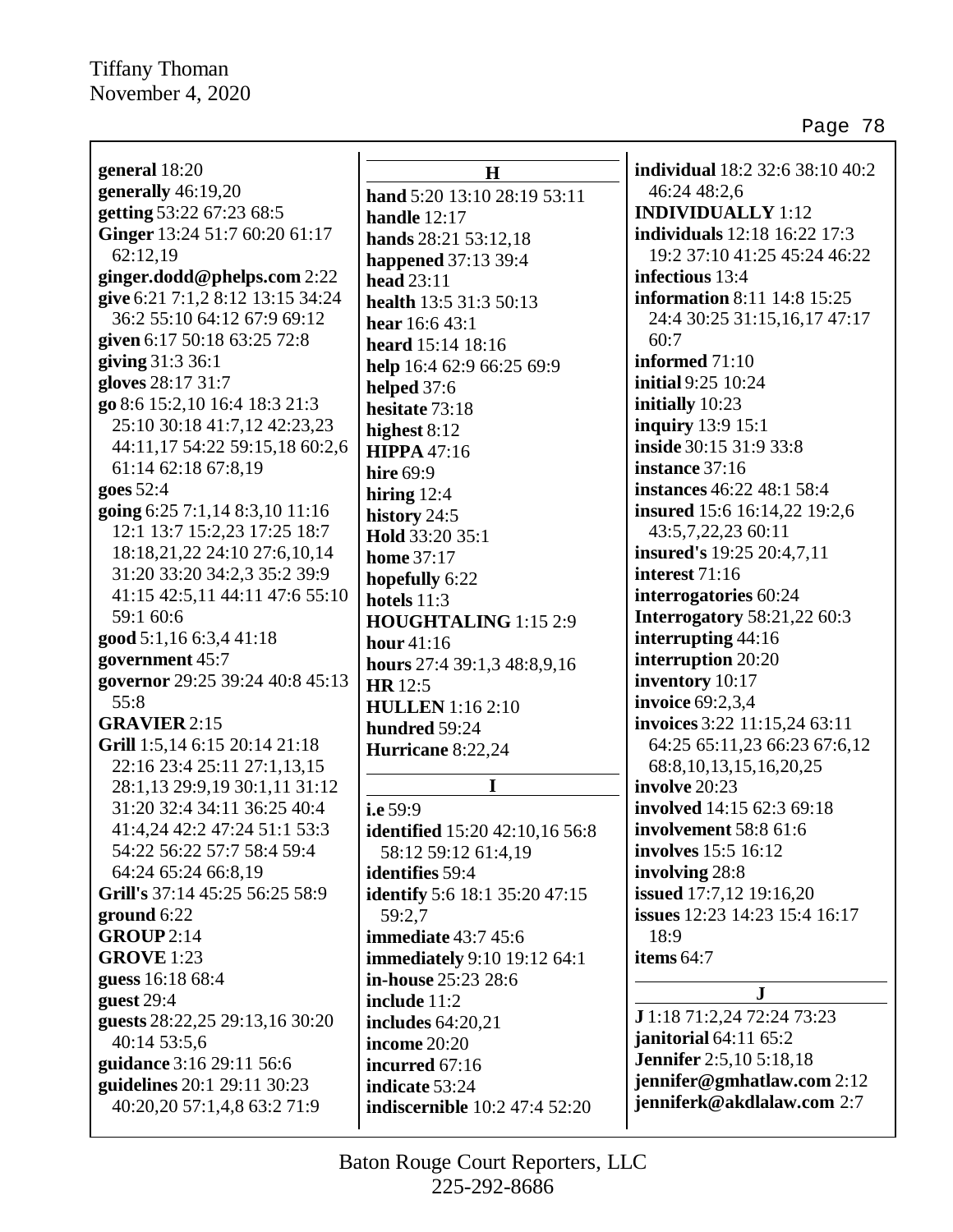Page 78

| general 18:20                    |                |
|----------------------------------|----------------|
| generally 46:19,20               |                |
| getting 53:22 67:23 68:5         | ha             |
| Ginger 13:24 51:7 60:20 61:17    | ha             |
| 62:12,19                         | ha             |
|                                  | ha             |
| ginger.dodd@phelps.com 2:22      | he             |
| give 6:21 7:1,2 8:12 13:15 34:24 | he             |
| 36:2 55:10 64:12 67:9 69:12      | he             |
| given 6:17 50:18 63:25 72:8      | <b>he</b>      |
| giving 31:3 36:1                 | hel            |
| gloves 28:17 31:7                | hel            |
| go 8:6 15:2,10 16:4 18:3 21:3    | he             |
| 25:10 30:18 41:7,12 42:23,23     | hiş            |
| 44:11,17 54:22 59:15,18 60:2,6   | HI             |
| 61:14 62:18 67:8,19              | hiı            |
| goes 52:4                        | hiı            |
| going 6:25 7:1,14 8:3,10 11:16   | his            |
| 12:1 13:7 15:2,23 17:25 18:7     | Ho             |
| 18:18,21,22 24:10 27:6,10,14     | ho             |
| 31:20 33:20 34:2,3 35:2 39:9     |                |
| 41:15 42:5,11 44:11 47:6 55:10   | ho             |
| 59:1 60:6                        | ho             |
| good 5:1,16 6:3,4 41:18          | H <sub>(</sub> |
|                                  | ho             |
| government 45:7                  | ho             |
| governor 29:25 39:24 40:8 45:13  | HI             |
| 55:8                             | H              |
| <b>GRAVIER 2:15</b>              | hu             |
| Grill 1:5,14 6:15 20:14 21:18    | Hι             |
| 22:16 23:4 25:11 27:1,13,15      |                |
| 28:1,13 29:9,19 30:1,11 31:12    |                |
| 31:20 32:4 34:11 36:25 40:4      | i.e            |
| 41:4,24 42:2 47:24 51:1 53:3     | ide            |
| 54:22 56:22 57:7 58:4 59:4       |                |
| 64:24 65:24 66:8,19              | ide            |
| Grill's 37:14 45:25 56:25 58:9   | ide            |
| ground 6:22                      | 5              |
| GROUP2:14                        | im             |
| <b>GROVE</b> 1:23                | im             |
| guess 16:18 68:4                 | in-            |
| guest $29:4$                     | ino            |
| guests 28:22,25 29:13,16 30:20   | ino            |
| 40:14 53:5,6                     | ino            |
| guidance 3:16 29:11 56:6         |                |
|                                  | ino            |
| guidelines 20:1 29:11 30:23      | ino            |
| 40:20,20 57:1,4,8 63:2 71:9      | ino            |
|                                  |                |

**H hand** 5:20 13:10 28:19 53:11 **handle** 12:17 **hands** 28:21 53:12,18 **ppened** 37:13 39:4 **head** 23:11 **health** 13:5 31:3 50:13 **hear** 16:6 43:1 **heard** 15:14 18:16 **help** 16:4 62:9 66:25 69:9 **hed** 37:6 **hesitate** 73:18 **highest** 8:12 **HIPPA** 47:16 **hire** 69:9 **hiring** 12:4 **history** 24:5 **Hold** 33:20 35:1 **me** 37:17 **hopefully** 6:22 **hotels** 11:3 **DUGHTALING** 1:15 2:9 **hour** 41:16 **hours** 27:4 39:1,3 48:8,9,16 **HR** 12:5 **HULLEN** 1:16 2:10 **ndred** 59:24 **Hurricane** 8:22,24

**I**

**i.e** 59:9 **identified** 15:20 42:10,16 56:8 58:12 59:12 61:4,19 **identifies** 59:4 **identify** 5:6 18:1 35:20 47:15 59:2,7 **immediate** 43:7 45:6 **imediately** 9:10 19:12 64:1 **in-house** 25:23 28:6 **include** 11:2 **includes** 64:20,21 **income** 20:20 **incurred** 67:16 **indicate** 53:24 **discernible** 10:2 47:4 52:20

**individual** 18:2 32:6 38:10 40:2 46:24 48:2,6 **INDIVIDUALLY** 1:12 **individuals** 12:18 16:22 17:3 19:2 37:10 41:25 45:24 46:22 **infectious** 13:4 **information** 8:11 14:8 15:25 24:4 30:25 31:15,16,17 47:17 60:7 **informed** 71:10 **initial** 9:25 10:24 **initially** 10:23 **inquiry** 13:9 15:1 **inside** 30:15 31:9 33:8 **instance** 37:16 **instances** 46:22 48:1 58:4 **insured** 15:6 16:14,22 19:2,6 43:5,7,22,23 60:11 **insured's** 19:25 20:4,7,11 **interest** 71:16 **interrogatories** 60:24 **Interrogatory** 58:21,22 60:3 **interrupting** 44:16 **interruption** 20:20 **inventory** 10:17 **invoice** 69:2,3,4 **invoices** 3:22 11:15,24 63:11 64:25 65:11,23 66:23 67:6,12 68:8,10,13,15,16,20,25 **involve** 20:23 **involved** 14:15 62:3 69:18 **involvement** 58:8 61:6 **involves** 15:5 16:12 **involving** 28:8 **issued** 17:7,12 19:16,20 **issues** 12:23 14:23 15:4 16:17 18:9 **items** 64:7

# **J**

**J** 1:18 71:2,24 72:24 73:23 **janitorial** 64:11 65:2 **Jennifer** 2:5,10 5:18,18 **jennifer@gmhatlaw.com** 2:12 **jenniferk@akdlalaw.com** 2:7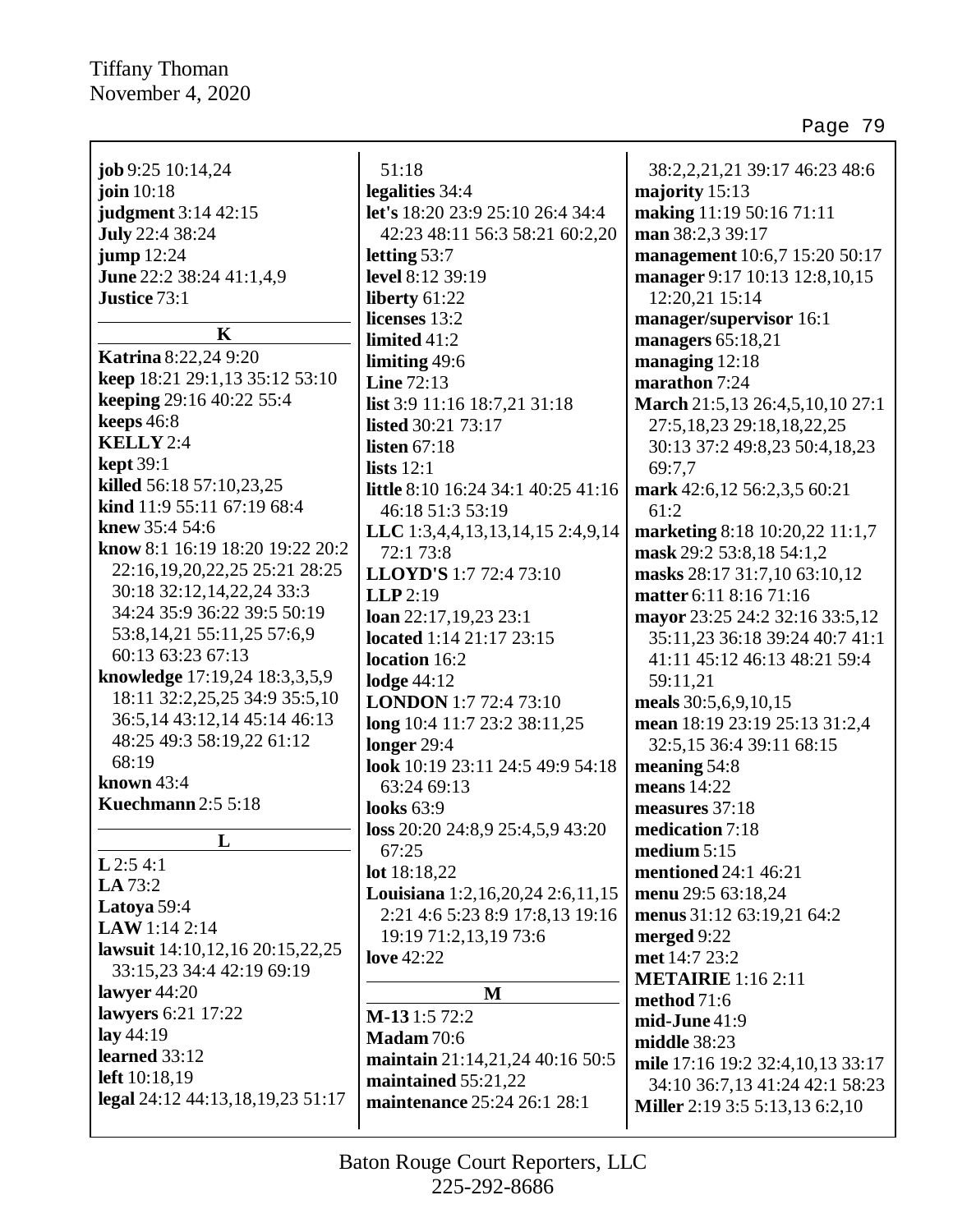|                                                             | 51:18                              | 38:2,2,21,21 39:17 46:23 48:6         |
|-------------------------------------------------------------|------------------------------------|---------------------------------------|
| job 9:25 $10:14,24$                                         |                                    |                                       |
| join $10:18$                                                | legalities 34:4                    | majority 15:13                        |
| judgment 3:14 42:15                                         | let's 18:20 23:9 25:10 26:4 34:4   | making 11:19 50:16 71:11              |
| <b>July 22:4 38:24</b>                                      | 42:23 48:11 56:3 58:21 60:2,20     | man 38:2,3 39:17                      |
| jump $12:24$                                                | letting $53:7$                     | management 10:6,7 15:20 50:17         |
| June 22:2 38:24 41:1,4,9                                    | level 8:12 39:19                   | manager 9:17 10:13 12:8,10,15         |
| Justice 73:1                                                | liberty 61:22                      | 12:20,21 15:14                        |
| $\mathbf K$                                                 | licenses 13:2                      | manager/supervisor 16:1               |
| <b>Katrina</b> 8:22,24 9:20                                 | limited $41:2$                     | managers $65:18,21$                   |
| keep 18:21 29:1,13 35:12 53:10                              | limiting 49:6                      | managing 12:18                        |
| keeping 29:16 40:22 55:4                                    | <b>Line 72:13</b>                  | marathon 7:24                         |
| keeps 46:8                                                  | list 3:9 11:16 18:7,21 31:18       | March 21:5,13 26:4,5,10,10 27:1       |
| KELLY 2:4                                                   | listed 30:21 73:17                 | 27:5, 18, 23 29:18, 18, 22, 25        |
|                                                             | listen $67:18$                     | 30:13 37:2 49:8,23 50:4,18,23         |
| $\text{kept }39:1$<br>killed 56:18 57:10,23,25              | lists $12:1$                       | 69:7.7                                |
| kind 11:9 55:11 67:19 68:4                                  | little 8:10 16:24 34:1 40:25 41:16 | mark 42:6,12 56:2,3,5 60:21           |
| knew 35:4 54:6                                              | 46:18 51:3 53:19                   | 61:2                                  |
| know 8:1 16:19 18:20 19:22 20:2                             | LLC 1:3,4,4,13,13,14,15 2:4,9,14   | marketing 8:18 10:20,22 11:1,7        |
| 22:16,19,20,22,25 25:21 28:25                               | 72:1 73:8                          | mask 29:2 53:8,18 54:1,2              |
| 30:18 32:12,14,22,24 33:3                                   | LLOYD'S 1:7 72:4 73:10             | masks 28:17 31:7,10 63:10,12          |
| 34:24 35:9 36:22 39:5 50:19                                 | $LLP$ 2:19                         | matter 6:11 8:16 71:16                |
|                                                             | loan $22:17,19,23$ $23:1$          | mayor 23:25 24:2 32:16 33:5,12        |
| 53:8, 14, 21 55:11, 25 57:6, 9<br>60:13 63:23 67:13         | located 1:14 21:17 23:15           | 35:11,23 36:18 39:24 40:7 41:1        |
|                                                             | location 16:2                      | 41:11 45:12 46:13 48:21 59:4          |
| knowledge 17:19,24 18:3,3,5,9                               | lodge $44:12$                      | 59:11,21                              |
| 18:11 32:2,25,25 34:9 35:5,10                               | <b>LONDON</b> 1:7 72:4 73:10       | meals 30:5,6,9,10,15                  |
| 36:5, 14 43:12, 14 45:14 46:13<br>48:25 49:3 58:19,22 61:12 | long 10:4 11:7 23:2 38:11,25       | mean 18:19 23:19 25:13 31:2,4         |
| 68:19                                                       | longer $29:4$                      | 32:5,15 36:4 39:11 68:15              |
| known 43:4                                                  | look 10:19 23:11 24:5 49:9 54:18   | meaning 54:8                          |
| <b>Kuechmann</b> 2:5 5:18                                   | 63:24 69:13                        | means 14:22                           |
|                                                             | looks $63:9$                       | measures 37:18                        |
| L                                                           | loss 20:20 24:8,9 25:4,5,9 43:20   | medication 7:18                       |
| $L$ 2:5 4:1                                                 | 67:25                              | medium $5:15$                         |
| LA 73:2                                                     | lot 18:18,22                       | mentioned 24:1 46:21                  |
| Latoya 59:4                                                 | Louisiana 1:2,16,20,24 2:6,11,15   | menu 29:5 63:18,24                    |
| LAW 1:14 2:14                                               | 2:21 4:6 5:23 8:9 17:8,13 19:16    | menus 31:12 63:19,21 64:2             |
| lawsuit 14:10,12,16 20:15,22,25                             | 19:19 71:2,13,19 73:6              | merged 9:22                           |
| 33:15,23 34:4 42:19 69:19                                   | <b>love</b> 42:22                  | met 14:7 23:2                         |
| lawyer $44:20$                                              | M                                  | <b>METAIRIE</b> 1:16 2:11             |
| lawyers 6:21 17:22                                          | M-131:572:2                        | method 71:6                           |
| lay $44:19$                                                 | <b>Madam</b> 70:6                  | $mid-June$ 41:9                       |
| learned 33:12                                               | maintain 21:14,21,24 40:16 50:5    | middle 38:23                          |
| left 10:18,19                                               | maintained 55:21,22                | mile 17:16 19:2 32:4,10,13 33:17      |
| legal 24:12 44:13,18,19,23 51:17                            | maintenance 25:24 26:1 28:1        | 34:10 36:7,13 41:24 42:1 58:23        |
|                                                             |                                    | <b>Miller</b> 2:19 3:5 5:13,13 6:2,10 |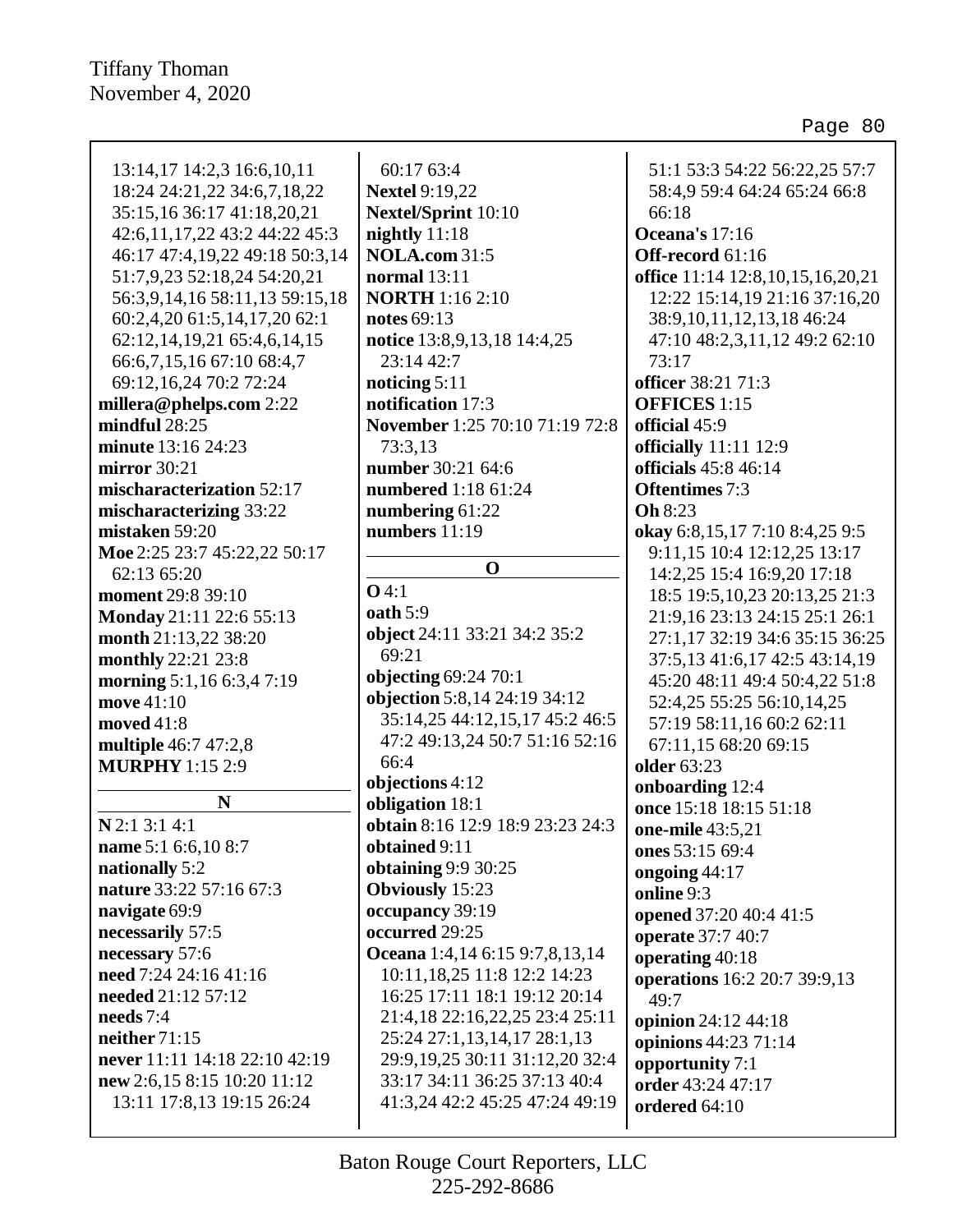| 13:14,17 14:2,3 16:6,10,11     | 60:17 63:4                                                    | 51:1 53:3 54:22 56:22,25 57:7    |
|--------------------------------|---------------------------------------------------------------|----------------------------------|
| 18:24 24:21,22 34:6,7,18,22    | <b>Nextel 9:19,22</b>                                         | 58:4,9 59:4 64:24 65:24 66:8     |
| 35:15,16 36:17 41:18,20,21     | Nextel/Sprint 10:10                                           | 66:18                            |
| 42:6,11,17,22 43:2 44:22 45:3  | nightly $11:18$                                               | Oceana's 17:16                   |
| 46:17 47:4,19,22 49:18 50:3,14 | <b>NOLA.com 31:5</b>                                          | Off-record 61:16                 |
| 51:7,9,23 52:18,24 54:20,21    | <b>normal</b> 13:11                                           | office 11:14 12:8,10,15,16,20,21 |
| 56:3,9,14,16 58:11,13 59:15,18 | <b>NORTH</b> 1:16 2:10                                        | 12:22 15:14,19 21:16 37:16,20    |
| 60:2,4,20 61:5,14,17,20 62:1   | notes 69:13                                                   | 38:9, 10, 11, 12, 13, 18 46: 24  |
| 62:12,14,19,21 65:4,6,14,15    | notice 13:8,9,13,18 14:4,25                                   | 47:10 48:2,3,11,12 49:2 62:10    |
| 66:6,7,15,16 67:10 68:4,7      | 23:14 42:7                                                    | 73:17                            |
| 69:12,16,24 70:2 72:24         | noticing $5:11$                                               | officer 38:21 71:3               |
| millera@phelps.com 2:22        | notification 17:3                                             | <b>OFFICES</b> 1:15              |
| mindful $28:25$                | November 1:25 70:10 71:19 72:8                                | official 45:9                    |
| minute 13:16 24:23             | 73:3,13                                                       | officially 11:11 12:9            |
| mirror 30:21                   | number 30:21 64:6                                             | officials 45:8 46:14             |
| mischaracterization 52:17      | numbered 1:18 61:24                                           | <b>Oftentimes</b> 7:3            |
| mischaracterizing 33:22        | numbering 61:22                                               | <b>Oh</b> 8:23                   |
| mistaken 59:20                 | numbers 11:19                                                 | okay 6:8,15,17 7:10 8:4,25 9:5   |
| Moe 2:25 23:7 45:22,22 50:17   |                                                               | 9:11,15 10:4 12:12,25 13:17      |
| 62:13 65:20                    | $\mathbf 0$                                                   | 14:2,25 15:4 16:9,20 17:18       |
| <b>moment</b> 29:8 39:10       | $O$ 4:1                                                       | 18:5 19:5, 10, 23 20:13, 25 21:3 |
| Monday 21:11 22:6 55:13        | oath 5:9                                                      | 21:9,16 23:13 24:15 25:1 26:1    |
| month 21:13,22 38:20           | object 24:11 33:21 34:2 35:2                                  | 27:1,17 32:19 34:6 35:15 36:25   |
| monthly 22:21 23:8             | 69:21                                                         | 37:5, 13 41:6, 17 42:5 43:14, 19 |
| morning 5:1,16 6:3,4 7:19      | objecting 69:24 70:1                                          | 45:20 48:11 49:4 50:4,22 51:8    |
| move 41:10                     | objection 5:8,14 24:19 34:12                                  | 52:4,25 55:25 56:10,14,25        |
| moved 41:8                     | 35:14,25 44:12,15,17 45:2 46:5                                | 57:19 58:11,16 60:2 62:11        |
| multiple 46:7 47:2,8           | 47:2 49:13,24 50:7 51:16 52:16                                | 67:11,15 68:20 69:15             |
| <b>MURPHY</b> 1:15 2:9         | 66:4                                                          | <b>older</b> 63:23               |
|                                | objections 4:12                                               | onboarding 12:4                  |
| N                              | obligation 18:1                                               | once 15:18 18:15 51:18           |
| $N$ 2:1 3:1 4:1                | obtain 8:16 12:9 18:9 23:23 24:3                              | one-mile 43:5,21                 |
| name 5:1 6:6,10 8:7            | obtained 9:11                                                 | ones 53:15 69:4                  |
| nationally 5:2                 | <b>obtaining 9:9 30:25</b>                                    | ongoing 44:17                    |
| nature 33:22 57:16 67:3        | <b>Obviously</b> 15:23                                        | online 9:3                       |
| navigate 69:9                  | occupancy 39:19<br>occurred 29:25                             | opened 37:20 40:4 41:5           |
| necessarily 57:5               |                                                               | operate 37:7 40:7                |
| necessary 57:6                 | Oceana 1:4,14 6:15 9:7,8,13,14                                | operating $40:18$                |
| need 7:24 24:16 41:16          | 10:11,18,25 11:8 12:2 14:23<br>16:25 17:11 18:1 19:12 20:14   | operations 16:2 20:7 39:9,13     |
| needed 21:12 57:12             |                                                               | 49:7                             |
| needs $7:4$<br>neither $71:15$ | 21:4,18 22:16,22,25 23:4 25:11<br>25:24 27:1,13,14,17 28:1,13 | opinion 24:12 44:18              |
| never 11:11 14:18 22:10 42:19  | 29:9,19,25 30:11 31:12,20 32:4                                | opinions 44:23 71:14             |
| new 2:6,15 8:15 10:20 11:12    | 33:17 34:11 36:25 37:13 40:4                                  | opportunity 7:1                  |
| 13:11 17:8,13 19:15 26:24      | 41:3,24 42:2 45:25 47:24 49:19                                | order 43:24 47:17                |
|                                |                                                               | ordered 64:10                    |
|                                |                                                               |                                  |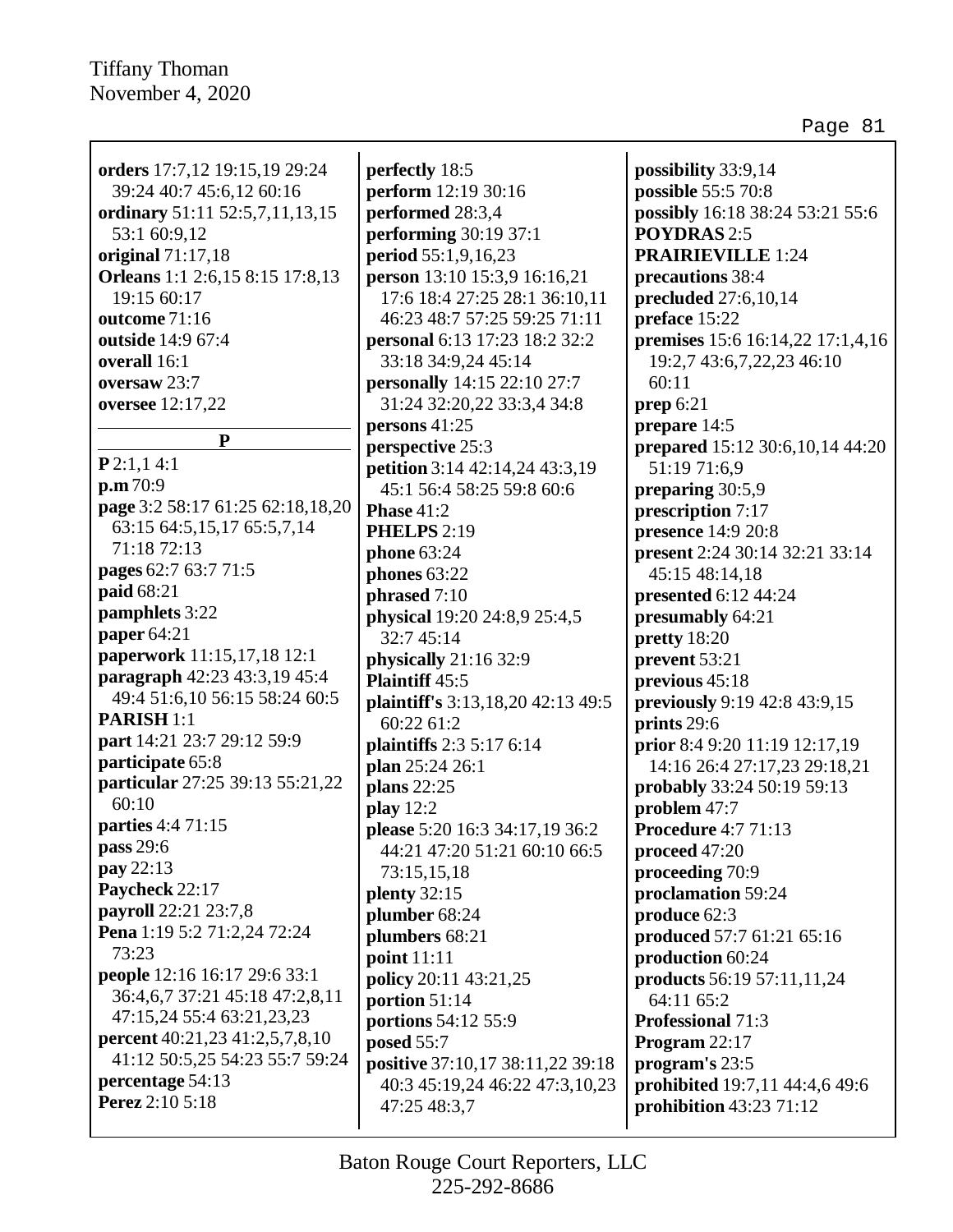| orders 17:7,12 19:15,19 29:24<br>39:24 40:7 45:6,12 60:16   | perfectly 18:5<br>perform 12:19 30:16                         | possibility 33:9,14<br>possible 55:5 70:8 |
|-------------------------------------------------------------|---------------------------------------------------------------|-------------------------------------------|
| ordinary 51:11 52:5,7,11,13,15                              | performed 28:3,4                                              | possibly 16:18 38:24 53:21 55:6           |
| 53:1 60:9,12                                                | <b>performing</b> 30:19 37:1                                  | <b>POYDRAS 2:5</b>                        |
| original $71:17,18$                                         | period 55:1,9,16,23                                           | <b>PRAIRIEVILLE 1:24</b>                  |
| Orleans 1:1 2:6,15 8:15 17:8,13                             |                                                               |                                           |
| 19:15 60:17                                                 | person 13:10 15:3,9 16:16,21<br>17:6 18:4 27:25 28:1 36:10,11 | precautions 38:4<br>precluded 27:6,10,14  |
|                                                             |                                                               |                                           |
| outcome 71:16                                               | 46:23 48:7 57:25 59:25 71:11                                  | preface 15:22                             |
| outside 14:9 67:4<br>overall 16:1                           | personal 6:13 17:23 18:2 32:2<br>33:18 34:9,24 45:14          | premises 15:6 16:14,22 17:1,4,16          |
| oversaw 23:7                                                |                                                               | 19:2,7 43:6,7,22,23 46:10<br>60:11        |
|                                                             | <b>personally</b> 14:15 22:10 27:7                            |                                           |
| oversee 12:17,22                                            | 31:24 32:20,22 33:3,4 34:8                                    | prep $6:21$                               |
| ${\bf P}$                                                   | persons 41:25                                                 | prepare 14:5                              |
| P2:1,14:1                                                   | perspective 25:3                                              | prepared 15:12 30:6,10,14 44:20           |
| p.m.70:9                                                    | petition 3:14 42:14,24 43:3,19                                | 51:19 71:6,9                              |
| page 3:2 58:17 61:25 62:18,18,20                            | 45:1 56:4 58:25 59:8 60:6                                     | preparing 30:5,9                          |
| 63:15 64:5,15,17 65:5,7,14                                  | <b>Phase 41:2</b>                                             | prescription 7:17                         |
| 71:18 72:13                                                 | <b>PHELPS</b> 2:19                                            | presence 14:9 20:8                        |
| pages 62:7 63:7 71:5                                        | <b>phone</b> 63:24                                            | present 2:24 30:14 32:21 33:14            |
| paid 68:21                                                  | phones 63:22                                                  | 45:15 48:14,18                            |
| pamphlets 3:22                                              | phrased 7:10                                                  | presented 6:12 44:24                      |
| paper 64:21                                                 | physical 19:20 24:8,9 25:4,5                                  | presumably 64:21                          |
| paperwork 11:15,17,18 12:1                                  | 32:7 45:14                                                    | pretty 18:20                              |
| paragraph 42:23 43:3,19 45:4                                | physically $21:1632:9$                                        | prevent 53:21                             |
| 49:4 51:6,10 56:15 58:24 60:5                               | Plaintiff 45:5                                                | previous 45:18                            |
| <b>PARISH 1:1</b>                                           | plaintiff's 3:13,18,20 42:13 49:5                             | previously 9:19 42:8 43:9,15              |
| part 14:21 23:7 29:12 59:9                                  | 60:22 61:2                                                    | prints 29:6                               |
| participate 65:8                                            | plaintiffs 2:3 5:17 6:14                                      | prior 8:4 9:20 11:19 12:17,19             |
| particular 27:25 39:13 55:21,22                             | plan 25:24 26:1                                               | 14:16 26:4 27:17,23 29:18,21              |
| 60:10                                                       | plans 22:25                                                   | probably 33:24 50:19 59:13                |
| <b>parties</b> 4:4 71:15                                    | play $12:2$                                                   | problem 47:7                              |
| pass 29:6                                                   | please 5:20 16:3 34:17,19 36:2                                | <b>Procedure 4:7 71:13</b>                |
| pay 22:13                                                   | 44:21 47:20 51:21 60:10 66:5                                  | proceed $47:20$                           |
| Paycheck 22:17                                              | 73:15,15,18                                                   | proceeding 70:9                           |
| payroll 22:21 23:7,8                                        | plenty $32:15$                                                | proclamation 59:24                        |
| Pena 1:19 5:2 71:2,24 72:24                                 | plumber 68:24                                                 | produce 62:3                              |
| 73:23                                                       | plumbers 68:21                                                | produced 57:7 61:21 65:16                 |
|                                                             | point 11:11                                                   | production 60:24                          |
| people 12:16 16:17 29:6 33:1                                | policy 20:11 43:21,25                                         | products 56:19 57:11,11,24                |
| 36:4,6,7 37:21 45:18 47:2,8,11<br>47:15,24 55:4 63:21,23,23 | portion 51:14                                                 | 64:11 65:2                                |
|                                                             | portions 54:12 55:9                                           | <b>Professional 71:3</b>                  |
| <b>percent</b> 40:21,23 41:2,5,7,8,10                       | posed 55:7                                                    | Program 22:17                             |
| 41:12 50:5,25 54:23 55:7 59:24                              | positive 37:10,17 38:11,22 39:18                              | program's 23:5                            |
| percentage 54:13<br>Perez 2:10 5:18                         | 40:3 45:19,24 46:22 47:3,10,23                                | prohibited 19:7,11 44:4,6 49:6            |
|                                                             | 47:25 48:3,7                                                  | prohibition 43:23 71:12                   |
|                                                             |                                                               |                                           |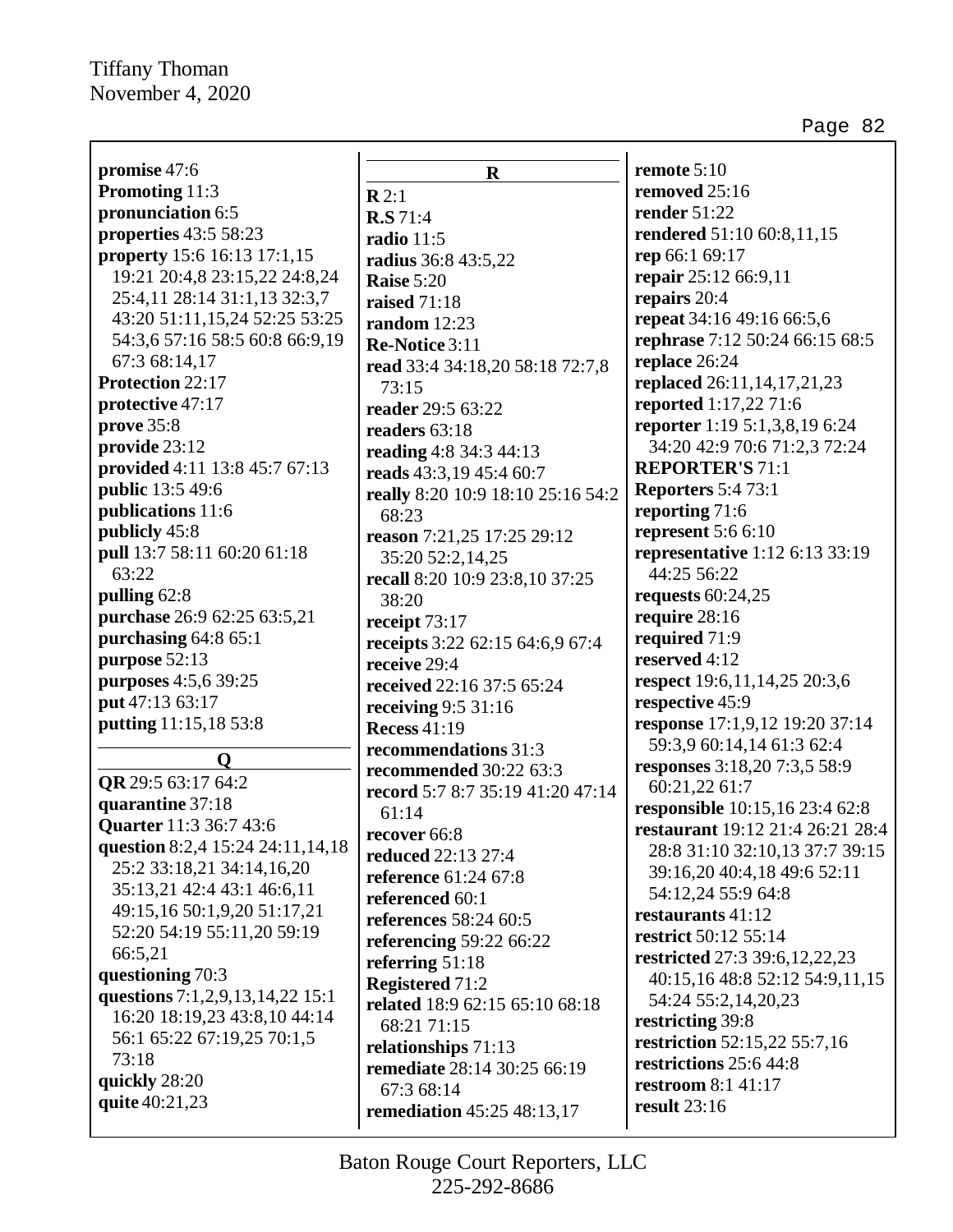Page 82

| promise 47:6                     | $\mathbf R$                                        | remote 5:10                                                               |
|----------------------------------|----------------------------------------------------|---------------------------------------------------------------------------|
| Promoting 11:3                   | $\mathbf{R}$ 2:1                                   | removed 25:16                                                             |
| pronunciation 6:5                | R.S.71:4                                           | render 51:22                                                              |
| properties 43:5 58:23            | radio 11:5                                         | rendered 51:10 60:8,11,15                                                 |
| property 15:6 16:13 17:1,15      | <b>radius</b> 36:8 43:5,22                         | rep 66:1 69:17                                                            |
| 19:21 20:4,8 23:15,22 24:8,24    | Raise 5:20                                         | repair 25:12 66:9,11                                                      |
| 25:4,11 28:14 31:1,13 32:3,7     | <b>raised</b> 71:18                                | repairs 20:4                                                              |
| 43:20 51:11,15,24 52:25 53:25    | random $12:23$                                     | repeat 34:16 49:16 66:5,6                                                 |
| 54:3,6 57:16 58:5 60:8 66:9,19   | Re-Notice 3:11                                     | rephrase 7:12 50:24 66:15 68:5                                            |
| 67:3 68:14,17                    | read 33:4 34:18,20 58:18 72:7,8                    | replace 26:24                                                             |
| Protection 22:17                 | 73:15                                              | replaced 26:11,14,17,21,23                                                |
| protective 47:17                 | reader 29:5 63:22                                  | reported 1:17,22 71:6                                                     |
| prove 35:8                       | readers 63:18                                      | reporter 1:19 5:1,3,8,19 6:24                                             |
| provide 23:12                    | reading 4:8 34:3 44:13                             | 34:20 42:9 70:6 71:2,3 72:24                                              |
| provided 4:11 13:8 45:7 67:13    | reads 43:3,19 45:4 60:7                            | <b>REPORTER'S 71:1</b>                                                    |
| <b>public</b> 13:5 49:6          | really 8:20 10:9 18:10 25:16 54:2                  | <b>Reporters 5:4 73:1</b>                                                 |
| publications 11:6                | 68:23                                              | reporting 71:6                                                            |
| publicly 45:8                    | reason 7:21,25 17:25 29:12                         | represent $5:66:10$                                                       |
| pull 13:7 58:11 60:20 61:18      | 35:20 52:2,14,25                                   | representative 1:12 6:13 33:19                                            |
| 63:22                            | recall 8:20 10:9 23:8,10 37:25                     | 44:25 56:22                                                               |
| pulling 62:8                     | 38:20                                              | requests $60:24,25$                                                       |
| purchase 26:9 62:25 63:5,21      | receipt 73:17                                      | require 28:16                                                             |
| purchasing 64:8 65:1             | receipts 3:22 62:15 64:6,9 67:4                    | required 71:9                                                             |
| purpose 52:13                    | receive 29:4                                       | reserved 4:12                                                             |
| purposes 4:5,6 39:25             | received 22:16 37:5 65:24                          | respect 19:6,11,14,25 20:3,6                                              |
| put 47:13 63:17                  | receiving $9:5$ 31:16                              | respective 45:9                                                           |
| putting 11:15,18 53:8            | <b>Recess 41:19</b>                                | response 17:1,9,12 19:20 37:14                                            |
| $\mathbf 0$                      | recommendations 31:3                               | 59:3,9 60:14,14 61:3 62:4                                                 |
| QR 29:5 63:17 64:2               | recommended 30:22 63:3                             | responses 3:18,20 7:3,5 58:9                                              |
| quarantine 37:18                 | record 5:7 8:7 35:19 41:20 47:14                   | 60:21,22 61:7                                                             |
| Quarter 11:3 36:7 43:6           | 61:14                                              | <b>responsible</b> 10:15,16 23:4 62:8<br>restaurant 19:12 21:4 26:21 28:4 |
| question 8:2,4 15:24 24:11,14,18 | recover 66:8                                       |                                                                           |
| 25:2 33:18,21 34:14,16,20        | <b>reduced</b> 22:13 27:4                          | 28:8 31:10 32:10,13 37:7 39:15<br>39:16,20 40:4,18 49:6 52:11             |
| 35:13,21 42:4 43:1 46:6,11       | <b>reference</b> 61:24 67:8                        | 54:12,24 55:9 64:8                                                        |
| 49:15,16 50:1,9,20 51:17,21      | referenced 60:1                                    | restaurants 41:12                                                         |
| 52:20 54:19 55:11,20 59:19       | references 58:24 60:5                              | restrict 50:12 55:14                                                      |
| 66:5,21                          | referencing $59:2266:22$                           | restricted 27:3 39:6,12,22,23                                             |
| questioning 70:3                 | referring $51:18$                                  | 40:15,16 48:8 52:12 54:9,11,15                                            |
| questions 7:1,2,9,13,14,22 15:1  | <b>Registered 71:2</b>                             | 54:24 55:2,14,20,23                                                       |
| 16:20 18:19,23 43:8,10 44:14     | related 18:9 62:15 65:10 68:18                     | restricting 39:8                                                          |
| 56:1 65:22 67:19,25 70:1,5       | 68:21 71:15                                        | restriction 52:15,22 55:7,16                                              |
| 73:18                            | relationships 71:13<br>remediate 28:14 30:25 66:19 | restrictions 25:6 44:8                                                    |
| quickly 28:20                    | 67:3 68:14                                         | <b>restroom</b> 8:1 41:17                                                 |
| quite 40:21,23                   | <b>remediation</b> 45:25 48:13,17                  | result $23:16$                                                            |
|                                  |                                                    |                                                                           |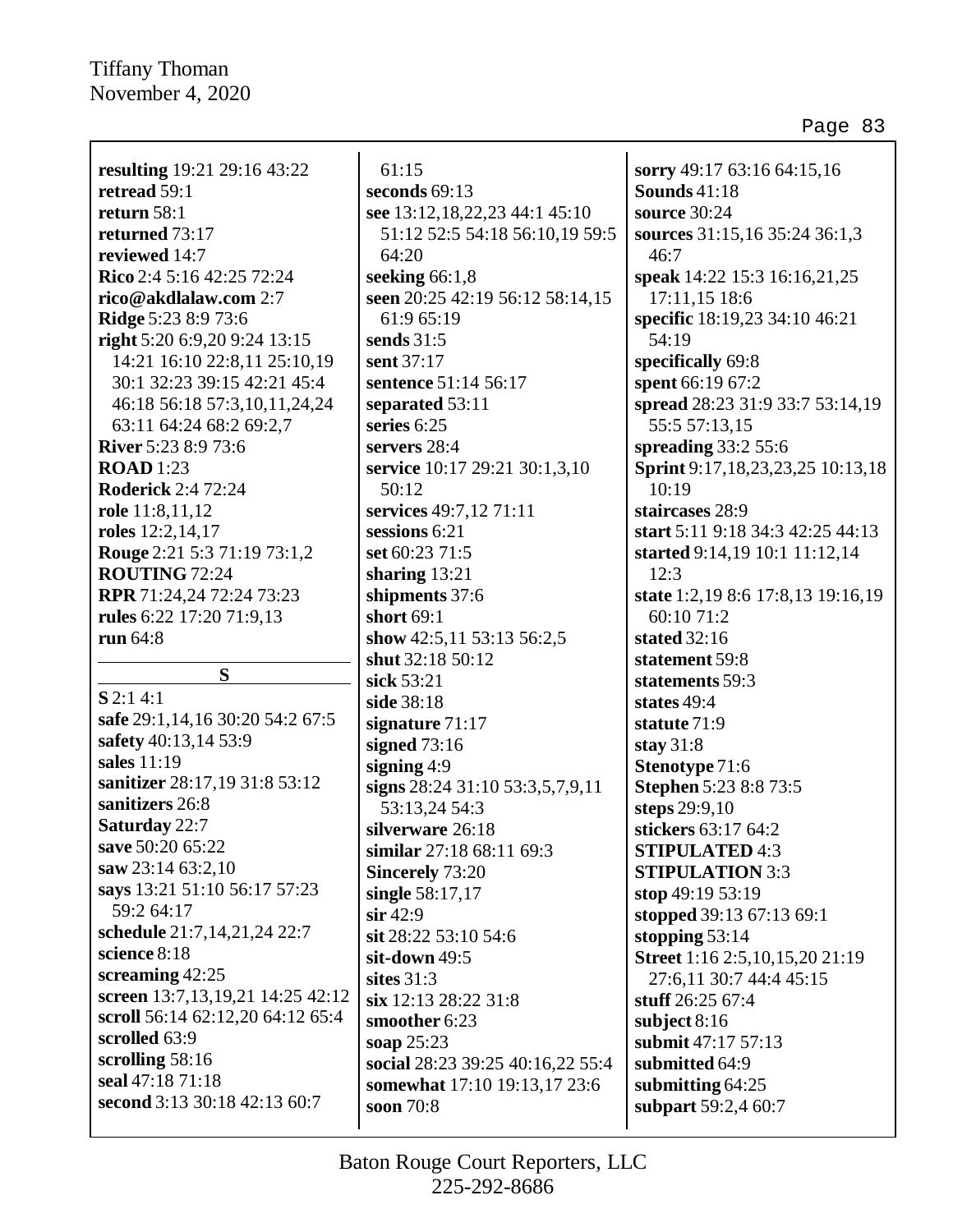Г

| <b>resulting</b> 19:21 29:16 43:22    |                            |
|---------------------------------------|----------------------------|
| retread 59:1                          | S                          |
| return $58:1$                         | Ś                          |
| returned 73:17                        |                            |
| reviewed 14:7                         |                            |
| Rico 2:4 5:16 42:25 72:24             |                            |
|                                       | S                          |
| rico@akdlalaw.com 2:7                 | Ś                          |
| <b>Ridge 5:23 8:9 73:6</b>            |                            |
| right 5:20 6:9,20 9:24 13:15          | S                          |
| 14:21 16:10 22:8,11 25:10,19          | Ś                          |
| 30:1 32:23 39:15 42:21 45:4           | Ś                          |
| 46:18 56:18 57:3,10,11,24,24          | Ś                          |
| 63:11 64:24 68:2 69:2,7               | Ś                          |
| <b>River</b> 5:23 8:9 73:6            | Ś                          |
| <b>ROAD</b> 1:23                      | Ś                          |
| <b>Roderick 2:4 72:24</b>             |                            |
| role 11:8,11,12                       | S                          |
| roles 12:2,14,17                      | Ś                          |
| <b>Rouge</b> 2:21 5:3 71:19 73:1,2    | Ś                          |
| <b>ROUTING 72:24</b>                  | Ś                          |
| RPR 71:24,24 72:24 73:23              | Ś                          |
| rules 6:22 17:20 71:9,13              | Ś                          |
| run $64:8$                            | Ś                          |
|                                       | Ś                          |
| S                                     | Ś                          |
| $S$ 2:14:1                            | Ś                          |
| safe 29:1,14,16 30:20 54:2 67:5       |                            |
| safety 40:13,14 53:9                  | Ś                          |
| sales 11:19                           | Ś                          |
| sanitizer 28:17,19 31:8 53:12         | Ś                          |
| sanitizers 26:8                       | Ś                          |
|                                       |                            |
| <b>Saturday 22:7</b>                  | S                          |
| save 50:20 65:22                      |                            |
| saw 23:14 63:2,10                     | ř                          |
| says 13:21 51:10 56:17 57:23          | S                          |
| 59:2 64:17                            | S                          |
| schedule 21:7,14,21,24 22:7           | S                          |
| science 8:18                          | S                          |
| screaming $42:25$                     | S                          |
| screen 13:7, 13, 19, 21 14: 25 42: 12 |                            |
|                                       |                            |
| scroll 56:14 62:12,20 64:12 65:4      |                            |
| scrolled 63:9                         |                            |
| scrolling $58:16$                     |                            |
| seal 47:18 71:18                      |                            |
| second 3:13 30:18 42:13 60:7          | S<br>S<br>S<br>Ś<br>Ś<br>Ś |

61:15 **seconds** 69:13 **see** 13:12,18,22,23 44:1 45:10 51:12 52:5 54:18 56:10,19 59:5 64:20 **seeking** 66:1,8 **seen** 20:25 42:19 56:12 58:14,15 61:9 65:19 **sends** 31:5 **sent** 37:17 **sentence** 51:14 56:17 **separated** 53:11 **series** 6:25 **servers** 28:4 **service** 10:17 29:21 30:1,3,10 50:12 **services** 49:7,12 71:11 **sessions** 6:21 **set** 60:23 71:5 **sharing** 13:21 **shipments** 37:6 **short** 69:1 **show** 42:5,11 53:13 56:2,5 **shut** 32:18 50:12 **sick** 53:21 **side** 38:18 **signature** 71:17 **signed** 73:16 **signing** 4:9 **signs** 28:24 31:10 53:3,5,7,9,11 53:13,24 54:3 **silverware** 26:18 **similar** 27:18 68:11 69:3 **Sincerely** 73:20 **single** 58:17,17 **sir** 42:9 **sit** 28:22 53:10 54:6 **sit-down** 49:5 **sites** 31:3 **six** 12:13 28:22 31:8 **smoother** 6:23 **soap** 25:23 **social** 28:23 39:25 40:16,22 55:4 **somewhat** 17:10 19:13,17 23:6 **soon** 70:8

**sorry** 49:17 63:16 64:15,16 **Sounds** 41:18 **source** 30:24 **sources** 31:15,16 35:24 36:1,3 46:7 **speak** 14:22 15:3 16:16,21,25 17:11,15 18:6 **specific** 18:19,23 34:10 46:21 54:19 **specifically** 69:8 **spent** 66:19 67:2 **spread** 28:23 31:9 33:7 53:14,19 55:5 57:13,15 **spreading** 33:2 55:6 **Sprint** 9:17,18,23,23,25 10:13,18 10:19 **staircases** 28:9 **start** 5:11 9:18 34:3 42:25 44:13 **started** 9:14,19 10:1 11:12,14 12:3 **state** 1:2,19 8:6 17:8,13 19:16,19 60:10 71:2 **stated** 32:16 **statement** 59:8 **statements** 59:3 **states** 49:4 **statute** 71:9 **stay** 31:8 **Stenotype** 71:6 **Stephen** 5:23 8:8 73:5 **steps** 29:9,10 **stickers** 63:17 64:2 **STIPULATED** 4:3 **STIPULATION** 3:3 **stop** 49:19 53:19 **stopped** 39:13 67:13 69:1 **stopping** 53:14 **Street** 1:16 2:5,10,15,20 21:19 27:6,11 30:7 44:4 45:15 **stuff** 26:25 67:4 **subject** 8:16 **submit** 47:17 57:13 **submitted** 64:9 **submitting** 64:25 **subpart** 59:2,4 60:7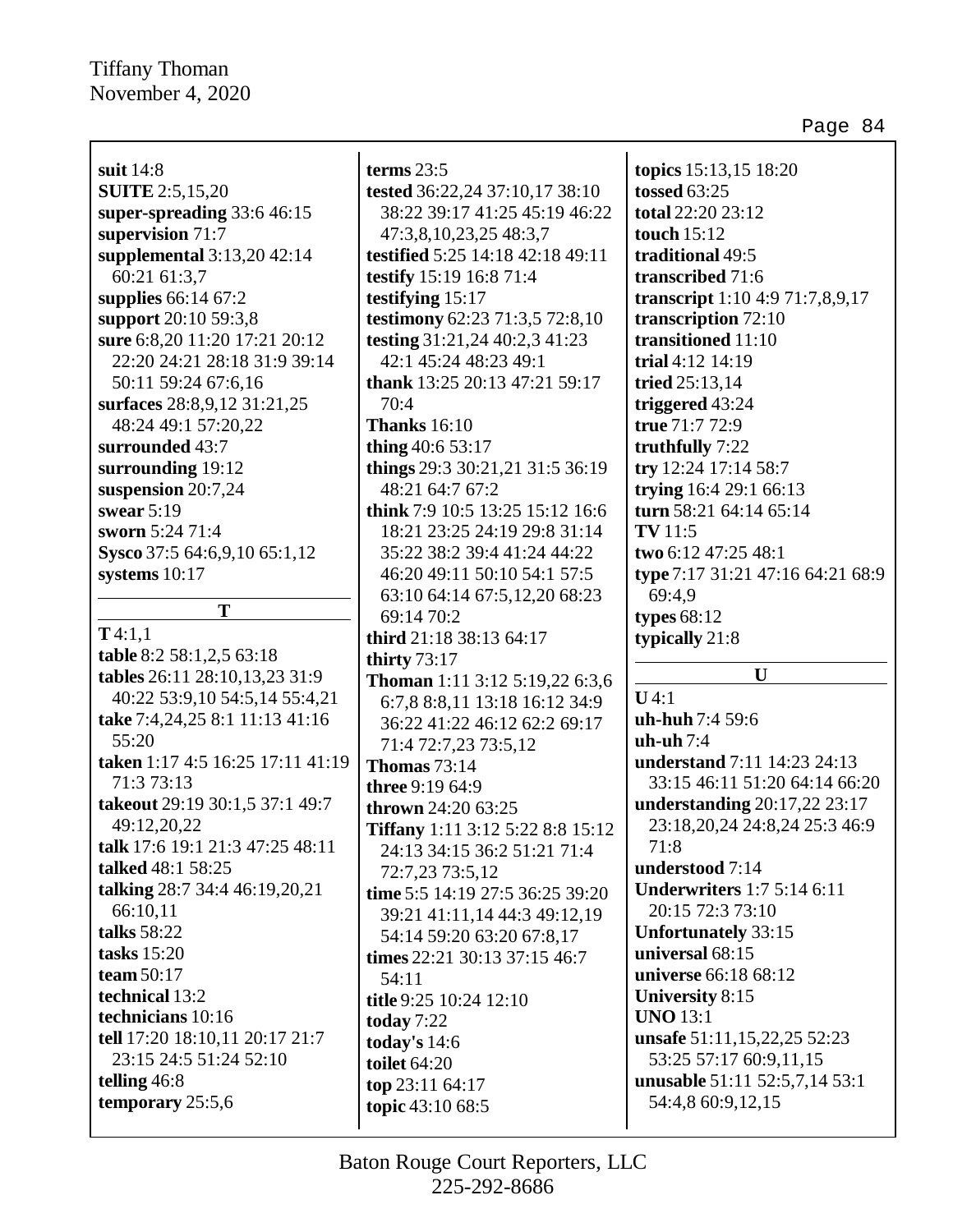Page 84

**suit** 14:8 **SUITE** 2:5,15,20 **super-spreading** 33:6 46:15 **supervision** 71:7 **supplemental** 3:13,20 42:14 60:21 61:3,7 **supplies** 66:14 67:2 **support** 20:10 59:3,8 **sure** 6:8,20 11:20 17:21 20:12 22:20 24:21 28:18 31:9 39:14 50:11 59:24 67:6,16 **surfaces** 28:8,9,12 31:21,25 48:24 49:1 57:20,22 **surrounded** 43:7 **surrounding** 19:12 **suspension** 20:7,24 **swear** 5:19 **sworn** 5:24 71:4 **Sysco** 37:5 64:6,9,10 65:1,12 **systems** 10:17 **T T** 4:1,1 **table** 8:2 58:1,2,5 63:18 **tables** 26:11 28:10,13,23 31:9 40:22 53:9,10 54:5,14 55:4,21

**take** 7:4,24,25 8:1 11:13 41:16

**taken** 1:17 4:5 16:25 17:11 41:19

**takeout** 29:19 30:1,5 37:1 49:7

**talk** 17:6 19:1 21:3 47:25 48:11

**talking** 28:7 34:4 46:19,20,21

**tell** 17:20 18:10,11 20:17 21:7 23:15 24:5 51:24 52:10

55:20

71:3 73:13

49:12,20,22

**talked** 48:1 58:25

66:10,11 **talks** 58:22 **tasks** 15:20 **team** 50:17 **technical** 13:2 **technicians** 10:16

**telling** 46:8

**temporary** 25:5,6

**tested** 36:22,24 37:10,17 38:10 38:22 39:17 41:25 45:19 46:22 47:3,8,10,23,25 48:3,7 **testified** 5:25 14:18 42:18 49:11 **testify** 15:19 16:8 71:4 **testifying** 15:17 **testimony** 62:23 71:3,5 72:8,10 **testing** 31:21,24 40:2,3 41:23 42:1 45:24 48:23 49:1 **thank** 13:25 20:13 47:21 59:17 70:4 **Thanks** 16:10 **thing** 40:6 53:17 **things** 29:3 30:21,21 31:5 36:19 48:21 64:7 67:2 **think** 7:9 10:5 13:25 15:12 16:6 18:21 23:25 24:19 29:8 31:14 35:22 38:2 39:4 41:24 44:22 46:20 49:11 50:10 54:1 57:5 63:10 64:14 67:5,12,20 68:23 69:14 70:2 **third** 21:18 38:13 64:17 **thirty** 73:17 **Thoman** 1:11 3:12 5:19,22 6:3,6 6:7,8 8:8,11 13:18 16:12 34:9 36:22 41:22 46:12 62:2 69:17 71:4 72:7,23 73:5,12 **Thomas** 73:14 **three** 9:19 64:9 **thrown** 24:20 63:25 **Tiffany** 1:11 3:12 5:22 8:8 15:12 24:13 34:15 36:2 51:21 71:4 72:7,23 73:5,12 **time** 5:5 14:19 27:5 36:25 39:20 39:21 41:11,14 44:3 49:12,19 54:14 59:20 63:20 67:8,17 **times** 22:21 30:13 37:15 46:7 54:11 **title** 9:25 10:24 12:10 **today** 7:22 **today's** 14:6 **toilet** 64:20 **top** 23:11 64:17 **topic** 43:10 68:5

**terms** 23:5

**topics** 15:13,15 18:20 **tossed** 63:25 **total** 22:20 23:12 **touch** 15:12 **traditional** 49:5 **transcribed** 71:6 **transcript** 1:10 4:9 71:7,8,9,17 **transcription** 72:10 **transitioned** 11:10 **trial** 4:12 14:19 **tried** 25:13,14 **triggered** 43:24 **true** 71:7 72:9 **truthfully** 7:22 **try** 12:24 17:14 58:7 **trying** 16:4 29:1 66:13 **turn** 58:21 64:14 65:14 **TV** 11:5 **two** 6:12 47:25 48:1 **type** 7:17 31:21 47:16 64:21 68:9 69:4,9 **types** 68:12 **typically** 21:8

#### **U**

**U** 4:1 **uh-huh** 7:4 59:6 **uh-uh** 7:4 **understand** 7:11 14:23 24:13 33:15 46:11 51:20 64:14 66:20 **understanding** 20:17,22 23:17 23:18,20,24 24:8,24 25:3 46:9 71:8 **understood** 7:14 **Underwriters** 1:7 5:14 6:11 20:15 72:3 73:10 **Unfortunately** 33:15 **universal** 68:15 **universe** 66:18 68:12 **University** 8:15 **UNO** 13:1 **unsafe** 51:11,15,22,25 52:23 53:25 57:17 60:9,11,15 **unusable** 51:11 52:5,7,14 53:1 54:4,8 60:9,12,15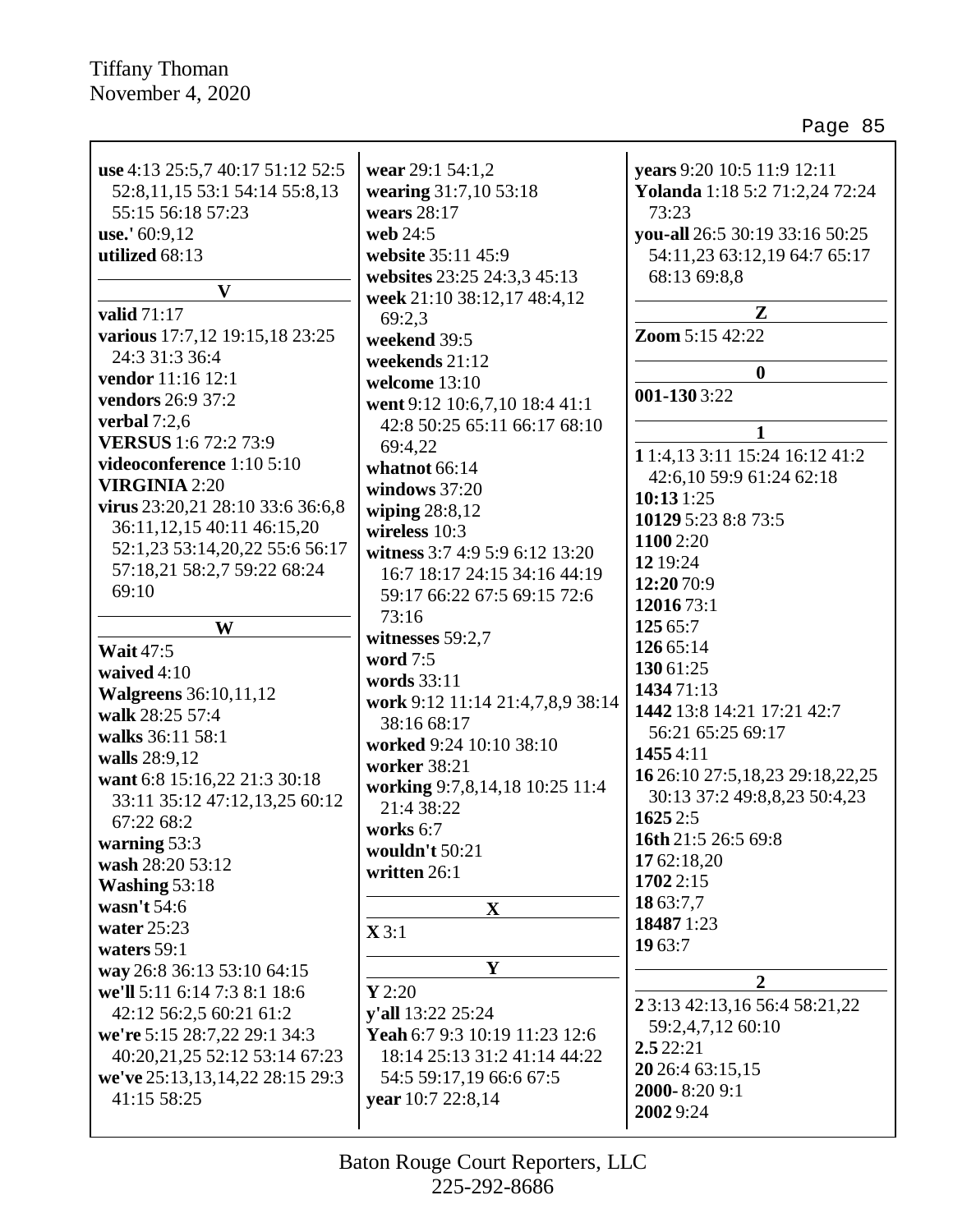| use 4:13 25:5,7 40:17 51:12 52:5<br>52:8,11,15 53:1 54:14 55:8,13<br>55:15 56:18 57:23<br>use.' $60:9,12$<br>utilized 68:13<br>$\mathbf{V}$<br>valid 71:17<br>various 17:7,12 19:15,18 23:25<br>24:3 31:3 36:4<br>vendor 11:16 12:1<br>vendors 26:9 37:2<br>verbal $7:2,6$<br><b>VERSUS</b> 1:6 72:2 73:9<br>videoconference 1:10 5:10<br><b>VIRGINIA 2:20</b><br>virus 23:20,21 28:10 33:6 36:6,8<br>36:11, 12, 15 40:11 46:15, 20<br>52:1,23 53:14,20,22 55:6 56:17<br>57:18,21 58:2,7 59:22 68:24<br>69:10<br>W<br><b>Wait 47:5</b><br>waived 4:10<br><b>Walgreens</b> 36:10,11,12<br>walk 28:25 57:4<br>walks 36:11 58:1<br>walls 28:9,12<br>want 6:8 15:16,22 21:3 30:18<br>33:11 35:12 47:12,13,25 60:12<br>67:22 68:2<br>warning 53:3<br>wash 28:20 53:12<br>Washing 53:18<br>wasn't 54:6<br>water $25:23$ | wear 29:1 54:1,2<br>wearing 31:7,10 53:18<br>wears 28:17<br>web 24:5<br>website 35:11 45:9<br>websites 23:25 24:3,3 45:13<br>week 21:10 38:12,17 48:4,12<br>69:2,3<br>weekend 39:5<br>weekends 21:12<br>welcome 13:10<br>went 9:12 10:6,7,10 18:4 41:1<br>42:8 50:25 65:11 66:17 68:10<br>69:4,22<br>whatnot 66:14<br>windows 37:20<br>wiping $28:8,12$<br>wireless $10:3$<br>witness 3:7 4:9 5:9 6:12 13:20<br>16:7 18:17 24:15 34:16 44:19<br>59:17 66:22 67:5 69:15 72:6<br>73:16<br>witnesses 59:2,7<br>word 7:5<br>words 33:11<br>work 9:12 11:14 21:4,7,8,9 38:14<br>38:16 68:17<br>worked 9:24 10:10 38:10<br>worker 38:21<br>working 9:7,8,14,18 10:25 11:4<br>21:4 38:22<br>works 6:7<br>wouldn't $50:21$<br>written 26:1<br>$\mathbf{X}$<br>$\mathbf{X} 3:1$ | years 9:20 10:5 11:9 12:11<br>Yolanda 1:18 5:2 71:2,24 72:24<br>73:23<br>you-all 26:5 30:19 33:16 50:25<br>54:11,23 63:12,19 64:7 65:17<br>68:13 69:8,8<br>Z<br><b>Zoom 5:15 42:22</b><br>$\boldsymbol{0}$<br>001-1303:22<br>$\mathbf{1}$<br>1 1:4,13 3:11 15:24 16:12 41:2<br>42:6,10 59:9 61:24 62:18<br>10:131:25<br>10129 5:23 8:8 73:5<br>1100 2:20<br>12 19:24<br>12:20 70:9<br>12016 73:1<br>125 65:7<br>126 65:14<br>130 61:25<br>143471:13<br>1442 13:8 14:21 17:21 42:7<br>56:21 65:25 69:17<br>14554:11<br>16 26:10 27:5, 18, 23 29:18, 22, 25<br>30:13 37:2 49:8,8,23 50:4,23<br>1625 2:5<br>16th 21:5 26:5 69:8<br>17 62:18,20<br>1702 2:15<br>18 63:7,7<br>18487 1:23 |
|-------------------------------------------------------------------------------------------------------------------------------------------------------------------------------------------------------------------------------------------------------------------------------------------------------------------------------------------------------------------------------------------------------------------------------------------------------------------------------------------------------------------------------------------------------------------------------------------------------------------------------------------------------------------------------------------------------------------------------------------------------------------------------------------------------------------|------------------------------------------------------------------------------------------------------------------------------------------------------------------------------------------------------------------------------------------------------------------------------------------------------------------------------------------------------------------------------------------------------------------------------------------------------------------------------------------------------------------------------------------------------------------------------------------------------------------------------------------------------------------------------------------------------------------------------------------------------------------------|-------------------------------------------------------------------------------------------------------------------------------------------------------------------------------------------------------------------------------------------------------------------------------------------------------------------------------------------------------------------------------------------------------------------------------------------------------------------------------------------------------------------------------------------------------------------------------------------------------------------------------------------------------------------------------------|
|                                                                                                                                                                                                                                                                                                                                                                                                                                                                                                                                                                                                                                                                                                                                                                                                                   |                                                                                                                                                                                                                                                                                                                                                                                                                                                                                                                                                                                                                                                                                                                                                                        |                                                                                                                                                                                                                                                                                                                                                                                                                                                                                                                                                                                                                                                                                     |
|                                                                                                                                                                                                                                                                                                                                                                                                                                                                                                                                                                                                                                                                                                                                                                                                                   |                                                                                                                                                                                                                                                                                                                                                                                                                                                                                                                                                                                                                                                                                                                                                                        |                                                                                                                                                                                                                                                                                                                                                                                                                                                                                                                                                                                                                                                                                     |
|                                                                                                                                                                                                                                                                                                                                                                                                                                                                                                                                                                                                                                                                                                                                                                                                                   |                                                                                                                                                                                                                                                                                                                                                                                                                                                                                                                                                                                                                                                                                                                                                                        |                                                                                                                                                                                                                                                                                                                                                                                                                                                                                                                                                                                                                                                                                     |
|                                                                                                                                                                                                                                                                                                                                                                                                                                                                                                                                                                                                                                                                                                                                                                                                                   |                                                                                                                                                                                                                                                                                                                                                                                                                                                                                                                                                                                                                                                                                                                                                                        |                                                                                                                                                                                                                                                                                                                                                                                                                                                                                                                                                                                                                                                                                     |
| waters $59:1$                                                                                                                                                                                                                                                                                                                                                                                                                                                                                                                                                                                                                                                                                                                                                                                                     |                                                                                                                                                                                                                                                                                                                                                                                                                                                                                                                                                                                                                                                                                                                                                                        | 19 63:7                                                                                                                                                                                                                                                                                                                                                                                                                                                                                                                                                                                                                                                                             |
| way 26:8 36:13 53:10 64:15                                                                                                                                                                                                                                                                                                                                                                                                                                                                                                                                                                                                                                                                                                                                                                                        | Y                                                                                                                                                                                                                                                                                                                                                                                                                                                                                                                                                                                                                                                                                                                                                                      | $\overline{2}$                                                                                                                                                                                                                                                                                                                                                                                                                                                                                                                                                                                                                                                                      |
| we'll 5:11 6:14 7:3 8:1 18:6                                                                                                                                                                                                                                                                                                                                                                                                                                                                                                                                                                                                                                                                                                                                                                                      | Y2:20                                                                                                                                                                                                                                                                                                                                                                                                                                                                                                                                                                                                                                                                                                                                                                  | 2 3:13 42:13,16 56:4 58:21,22                                                                                                                                                                                                                                                                                                                                                                                                                                                                                                                                                                                                                                                       |
| 42:12 56:2,5 60:21 61:2                                                                                                                                                                                                                                                                                                                                                                                                                                                                                                                                                                                                                                                                                                                                                                                           | y'all 13:22 25:24                                                                                                                                                                                                                                                                                                                                                                                                                                                                                                                                                                                                                                                                                                                                                      | 59:2,4,7,12 60:10                                                                                                                                                                                                                                                                                                                                                                                                                                                                                                                                                                                                                                                                   |
| we're 5:15 28:7,22 29:1 34:3                                                                                                                                                                                                                                                                                                                                                                                                                                                                                                                                                                                                                                                                                                                                                                                      | Yeah 6:7 9:3 10:19 11:23 12:6                                                                                                                                                                                                                                                                                                                                                                                                                                                                                                                                                                                                                                                                                                                                          | 2.522:21                                                                                                                                                                                                                                                                                                                                                                                                                                                                                                                                                                                                                                                                            |
| 40:20,21,25 52:12 53:14 67:23                                                                                                                                                                                                                                                                                                                                                                                                                                                                                                                                                                                                                                                                                                                                                                                     | 18:14 25:13 31:2 41:14 44:22                                                                                                                                                                                                                                                                                                                                                                                                                                                                                                                                                                                                                                                                                                                                           | 20 26:4 63:15,15                                                                                                                                                                                                                                                                                                                                                                                                                                                                                                                                                                                                                                                                    |
| we've 25:13,13,14,22 28:15 29:3                                                                                                                                                                                                                                                                                                                                                                                                                                                                                                                                                                                                                                                                                                                                                                                   | 54:5 59:17,19 66:6 67:5                                                                                                                                                                                                                                                                                                                                                                                                                                                                                                                                                                                                                                                                                                                                                | 2000-8:20 9:1                                                                                                                                                                                                                                                                                                                                                                                                                                                                                                                                                                                                                                                                       |
| 41:15 58:25                                                                                                                                                                                                                                                                                                                                                                                                                                                                                                                                                                                                                                                                                                                                                                                                       | year 10:7 22:8,14                                                                                                                                                                                                                                                                                                                                                                                                                                                                                                                                                                                                                                                                                                                                                      |                                                                                                                                                                                                                                                                                                                                                                                                                                                                                                                                                                                                                                                                                     |
|                                                                                                                                                                                                                                                                                                                                                                                                                                                                                                                                                                                                                                                                                                                                                                                                                   |                                                                                                                                                                                                                                                                                                                                                                                                                                                                                                                                                                                                                                                                                                                                                                        | 2002 9:24                                                                                                                                                                                                                                                                                                                                                                                                                                                                                                                                                                                                                                                                           |